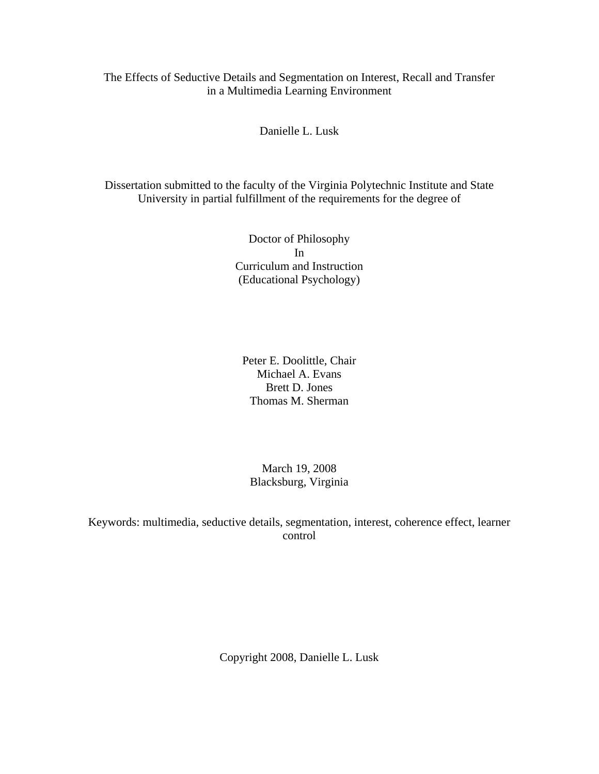The Effects of Seductive Details and Segmentation on Interest, Recall and Transfer in a Multimedia Learning Environment

Danielle L. Lusk

Dissertation submitted to the faculty of the Virginia Polytechnic Institute and State University in partial fulfillment of the requirements for the degree of

> Doctor of Philosophy In Curriculum and Instruction (Educational Psychology)

Peter E. Doolittle, Chair Michael A. Evans Brett D. Jones Thomas M. Sherman

March 19, 2008 Blacksburg, Virginia

Keywords: multimedia, seductive details, segmentation, interest, coherence effect, learner control

Copyright 2008, Danielle L. Lusk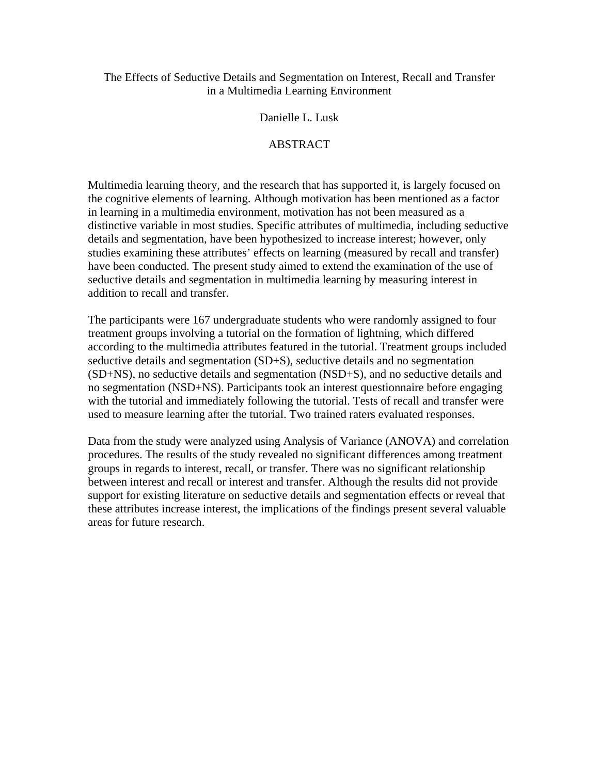### The Effects of Seductive Details and Segmentation on Interest, Recall and Transfer in a Multimedia Learning Environment

#### Danielle L. Lusk

#### ABSTRACT

Multimedia learning theory, and the research that has supported it, is largely focused on the cognitive elements of learning. Although motivation has been mentioned as a factor in learning in a multimedia environment, motivation has not been measured as a distinctive variable in most studies. Specific attributes of multimedia, including seductive details and segmentation, have been hypothesized to increase interest; however, only studies examining these attributes' effects on learning (measured by recall and transfer) have been conducted. The present study aimed to extend the examination of the use of seductive details and segmentation in multimedia learning by measuring interest in addition to recall and transfer.

The participants were 167 undergraduate students who were randomly assigned to four treatment groups involving a tutorial on the formation of lightning, which differed according to the multimedia attributes featured in the tutorial. Treatment groups included seductive details and segmentation (SD+S), seductive details and no segmentation (SD+NS), no seductive details and segmentation (NSD+S), and no seductive details and no segmentation (NSD+NS). Participants took an interest questionnaire before engaging with the tutorial and immediately following the tutorial. Tests of recall and transfer were used to measure learning after the tutorial. Two trained raters evaluated responses.

Data from the study were analyzed using Analysis of Variance (ANOVA) and correlation procedures. The results of the study revealed no significant differences among treatment groups in regards to interest, recall, or transfer. There was no significant relationship between interest and recall or interest and transfer. Although the results did not provide support for existing literature on seductive details and segmentation effects or reveal that these attributes increase interest, the implications of the findings present several valuable areas for future research.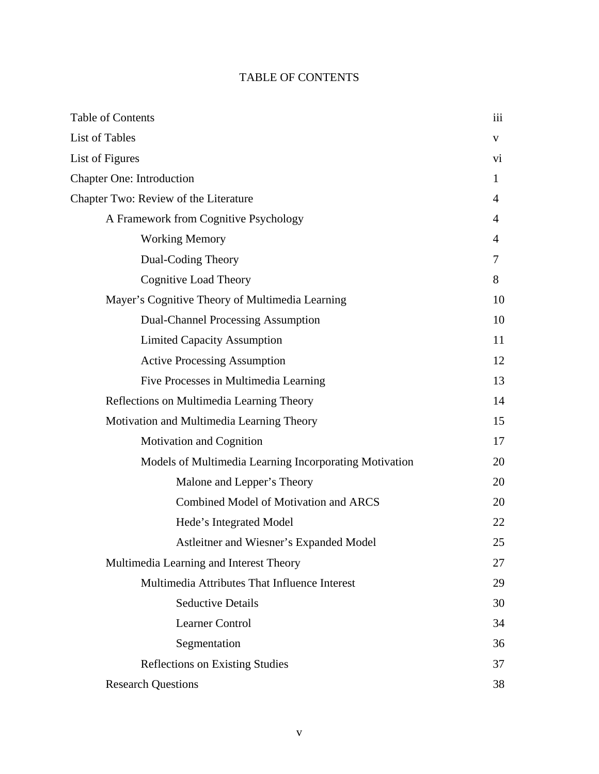# TABLE OF CONTENTS

| <b>Table of Contents</b>                               | 111 |
|--------------------------------------------------------|-----|
| <b>List of Tables</b>                                  | V   |
| List of Figures                                        | Vİ. |
| <b>Chapter One: Introduction</b>                       | 1   |
| Chapter Two: Review of the Literature                  | 4   |
| A Framework from Cognitive Psychology                  | 4   |
| <b>Working Memory</b>                                  | 4   |
| Dual-Coding Theory                                     | 7   |
| <b>Cognitive Load Theory</b>                           | 8   |
| Mayer's Cognitive Theory of Multimedia Learning        | 10  |
| <b>Dual-Channel Processing Assumption</b>              | 10  |
| <b>Limited Capacity Assumption</b>                     | 11  |
| <b>Active Processing Assumption</b>                    | 12  |
| Five Processes in Multimedia Learning                  | 13  |
| Reflections on Multimedia Learning Theory              | 14  |
| Motivation and Multimedia Learning Theory              | 15  |
| <b>Motivation and Cognition</b>                        | 17  |
| Models of Multimedia Learning Incorporating Motivation | 20  |
| Malone and Lepper's Theory                             | 20  |
| Combined Model of Motivation and ARCS                  | 20  |
| Hede's Integrated Model                                | 22  |
| Astleitner and Wiesner's Expanded Model                | 25  |
| Multimedia Learning and Interest Theory                | 27  |
| Multimedia Attributes That Influence Interest          | 29  |
| <b>Seductive Details</b>                               | 30  |
| Learner Control                                        | 34  |
| Segmentation                                           | 36  |
| <b>Reflections on Existing Studies</b>                 | 37  |
| <b>Research Questions</b>                              | 38  |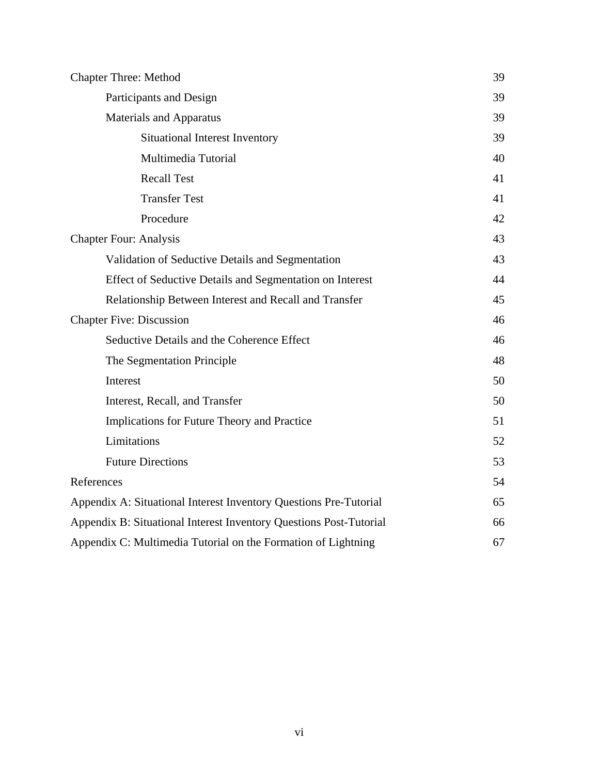| <b>Chapter Three: Method</b>                                       |    |
|--------------------------------------------------------------------|----|
| Participants and Design                                            |    |
| <b>Materials and Apparatus</b>                                     | 39 |
| <b>Situational Interest Inventory</b>                              | 39 |
| Multimedia Tutorial                                                | 40 |
| <b>Recall Test</b>                                                 | 41 |
| <b>Transfer Test</b>                                               | 41 |
| Procedure                                                          | 42 |
| <b>Chapter Four: Analysis</b>                                      | 43 |
| Validation of Seductive Details and Segmentation                   | 43 |
| Effect of Seductive Details and Segmentation on Interest           | 44 |
| Relationship Between Interest and Recall and Transfer              | 45 |
| <b>Chapter Five: Discussion</b>                                    | 46 |
| Seductive Details and the Coherence Effect                         | 46 |
| The Segmentation Principle                                         | 48 |
| Interest                                                           | 50 |
| Interest, Recall, and Transfer                                     | 50 |
| Implications for Future Theory and Practice                        | 51 |
| Limitations                                                        | 52 |
| <b>Future Directions</b>                                           | 53 |
| References                                                         | 54 |
| Appendix A: Situational Interest Inventory Questions Pre-Tutorial  |    |
| Appendix B: Situational Interest Inventory Questions Post-Tutorial |    |
| Appendix C: Multimedia Tutorial on the Formation of Lightning      |    |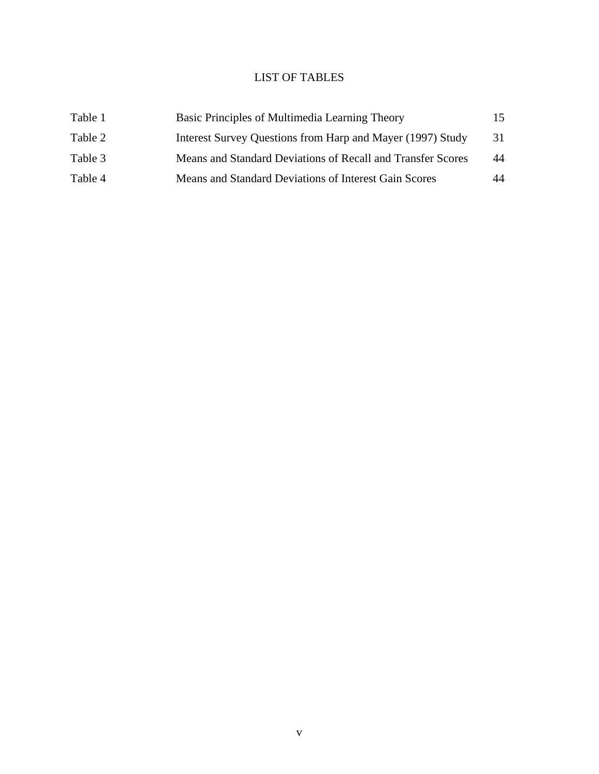## LIST OF TABLES

| Table 1 | Basic Principles of Multimedia Learning Theory              | 15. |
|---------|-------------------------------------------------------------|-----|
| Table 2 | Interest Survey Questions from Harp and Mayer (1997) Study  | 31  |
| Table 3 | Means and Standard Deviations of Recall and Transfer Scores | 44  |
| Table 4 | Means and Standard Deviations of Interest Gain Scores       | 44  |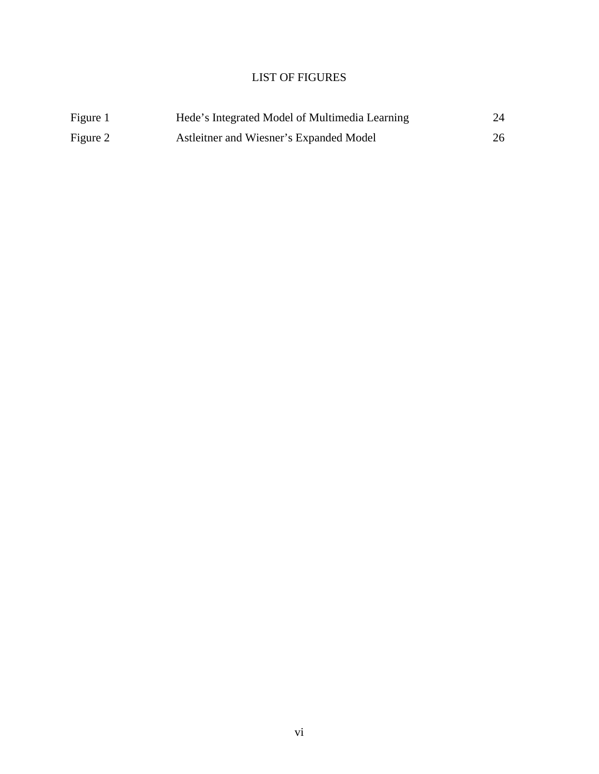# LIST OF FIGURES

| Figure 1 | Hede's Integrated Model of Multimedia Learning | 24 |
|----------|------------------------------------------------|----|
| Figure 2 | Astleitner and Wiesner's Expanded Model        | 26 |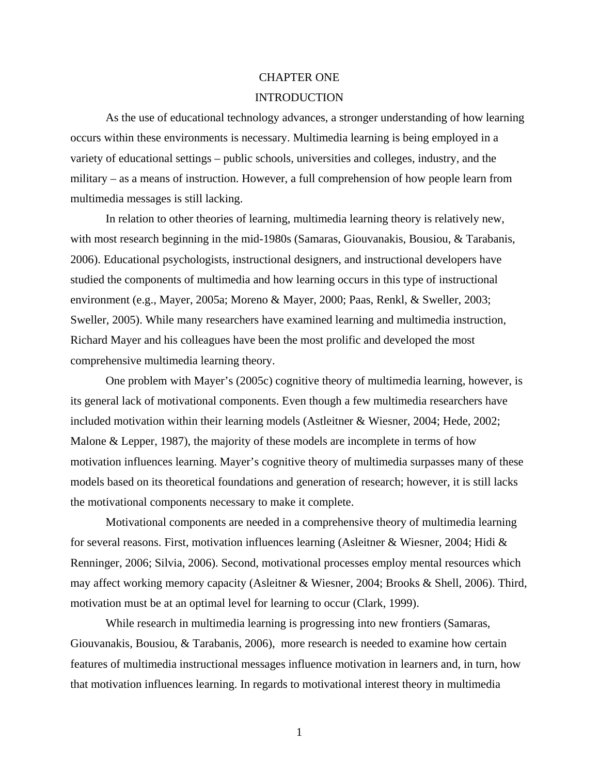# CHAPTER ONE INTRODUCTION

As the use of educational technology advances, a stronger understanding of how learning occurs within these environments is necessary. Multimedia learning is being employed in a variety of educational settings – public schools, universities and colleges, industry, and the military – as a means of instruction. However, a full comprehension of how people learn from multimedia messages is still lacking.

In relation to other theories of learning, multimedia learning theory is relatively new, with most research beginning in the mid-1980s (Samaras, Giouvanakis, Bousiou, & Tarabanis, 2006). Educational psychologists, instructional designers, and instructional developers have studied the components of multimedia and how learning occurs in this type of instructional environment (e.g., Mayer, 2005a; Moreno & Mayer, 2000; Paas, Renkl, & Sweller, 2003; Sweller, 2005). While many researchers have examined learning and multimedia instruction, Richard Mayer and his colleagues have been the most prolific and developed the most comprehensive multimedia learning theory.

One problem with Mayer's (2005c) cognitive theory of multimedia learning, however, is its general lack of motivational components. Even though a few multimedia researchers have included motivation within their learning models (Astleitner & Wiesner, 2004; Hede, 2002; Malone & Lepper, 1987), the majority of these models are incomplete in terms of how motivation influences learning. Mayer's cognitive theory of multimedia surpasses many of these models based on its theoretical foundations and generation of research; however, it is still lacks the motivational components necessary to make it complete.

Motivational components are needed in a comprehensive theory of multimedia learning for several reasons. First, motivation influences learning (Asleitner & Wiesner, 2004; Hidi & Renninger, 2006; Silvia, 2006). Second, motivational processes employ mental resources which may affect working memory capacity (Asleitner & Wiesner, 2004; Brooks & Shell, 2006). Third, motivation must be at an optimal level for learning to occur (Clark, 1999).

While research in multimedia learning is progressing into new frontiers (Samaras, Giouvanakis, Bousiou, & Tarabanis, 2006), more research is needed to examine how certain features of multimedia instructional messages influence motivation in learners and, in turn, how that motivation influences learning. In regards to motivational interest theory in multimedia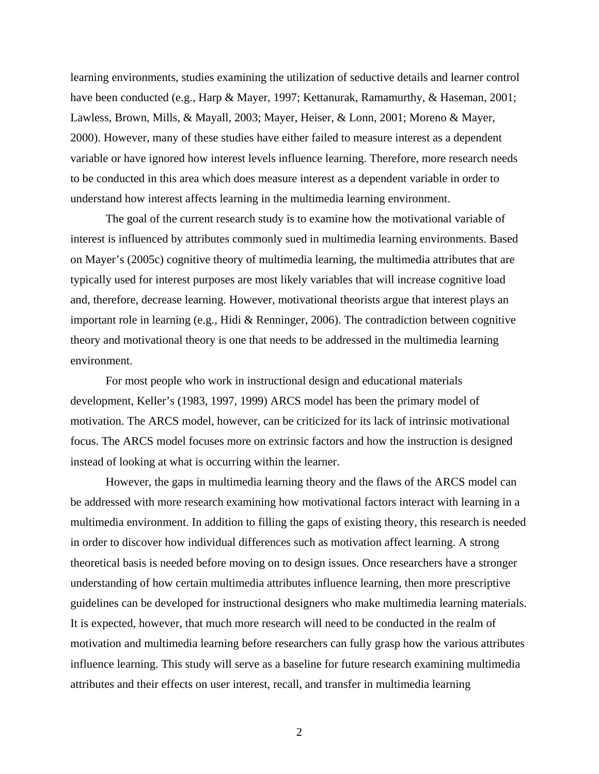learning environments, studies examining the utilization of seductive details and learner control have been conducted (e.g., Harp & Mayer, 1997; Kettanurak, Ramamurthy, & Haseman, 2001; Lawless, Brown, Mills, & Mayall, 2003; Mayer, Heiser, & Lonn, 2001; Moreno & Mayer, 2000). However, many of these studies have either failed to measure interest as a dependent variable or have ignored how interest levels influence learning. Therefore, more research needs to be conducted in this area which does measure interest as a dependent variable in order to understand how interest affects learning in the multimedia learning environment.

The goal of the current research study is to examine how the motivational variable of interest is influenced by attributes commonly sued in multimedia learning environments. Based on Mayer's (2005c) cognitive theory of multimedia learning, the multimedia attributes that are typically used for interest purposes are most likely variables that will increase cognitive load and, therefore, decrease learning. However, motivational theorists argue that interest plays an important role in learning (e.g., Hidi & Renninger, 2006). The contradiction between cognitive theory and motivational theory is one that needs to be addressed in the multimedia learning environment.

For most people who work in instructional design and educational materials development, Keller's (1983, 1997, 1999) ARCS model has been the primary model of motivation. The ARCS model, however, can be criticized for its lack of intrinsic motivational focus. The ARCS model focuses more on extrinsic factors and how the instruction is designed instead of looking at what is occurring within the learner.

 However, the gaps in multimedia learning theory and the flaws of the ARCS model can be addressed with more research examining how motivational factors interact with learning in a multimedia environment. In addition to filling the gaps of existing theory, this research is needed in order to discover how individual differences such as motivation affect learning. A strong theoretical basis is needed before moving on to design issues. Once researchers have a stronger understanding of how certain multimedia attributes influence learning, then more prescriptive guidelines can be developed for instructional designers who make multimedia learning materials. It is expected, however, that much more research will need to be conducted in the realm of motivation and multimedia learning before researchers can fully grasp how the various attributes influence learning. This study will serve as a baseline for future research examining multimedia attributes and their effects on user interest, recall, and transfer in multimedia learning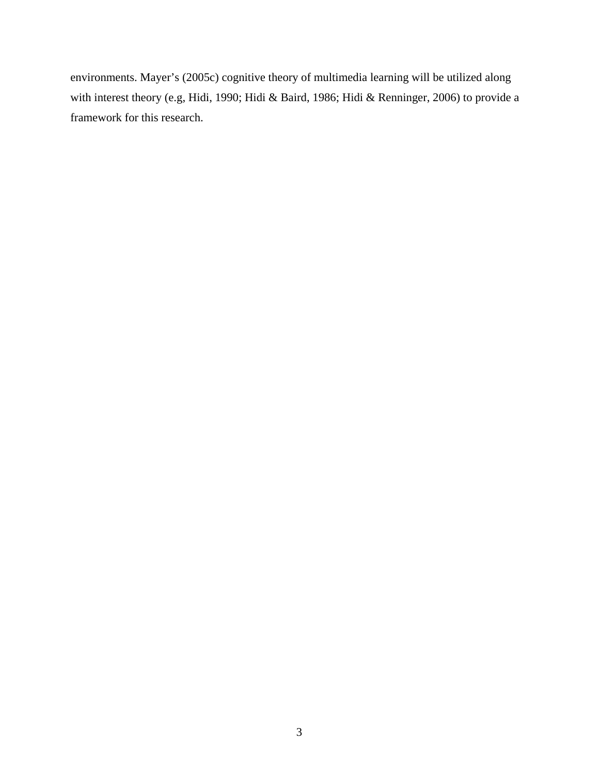environments. Mayer's (2005c) cognitive theory of multimedia learning will be utilized along with interest theory (e.g, Hidi, 1990; Hidi & Baird, 1986; Hidi & Renninger, 2006) to provide a framework for this research.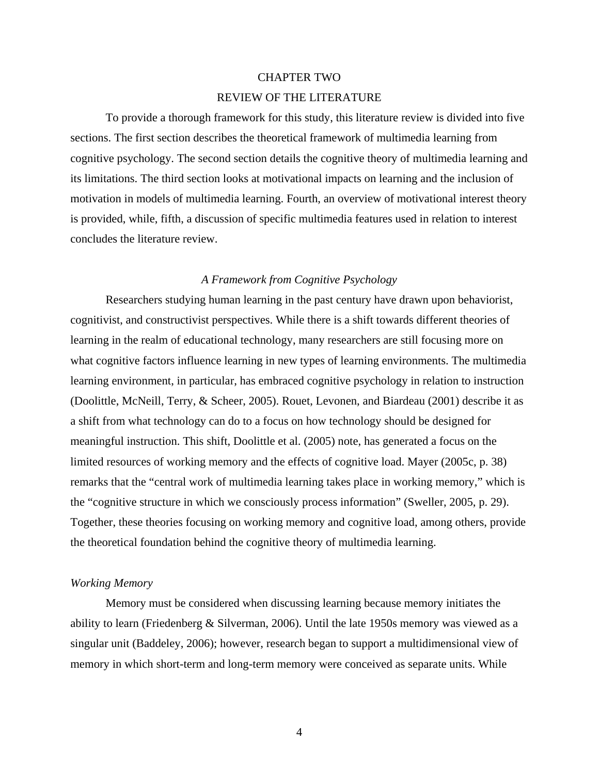# CHAPTER TWO REVIEW OF THE LITERATURE

 To provide a thorough framework for this study, this literature review is divided into five sections. The first section describes the theoretical framework of multimedia learning from cognitive psychology. The second section details the cognitive theory of multimedia learning and its limitations. The third section looks at motivational impacts on learning and the inclusion of motivation in models of multimedia learning. Fourth, an overview of motivational interest theory is provided, while, fifth, a discussion of specific multimedia features used in relation to interest concludes the literature review.

#### *A Framework from Cognitive Psychology*

 Researchers studying human learning in the past century have drawn upon behaviorist, cognitivist, and constructivist perspectives. While there is a shift towards different theories of learning in the realm of educational technology, many researchers are still focusing more on what cognitive factors influence learning in new types of learning environments. The multimedia learning environment, in particular, has embraced cognitive psychology in relation to instruction (Doolittle, McNeill, Terry, & Scheer, 2005). Rouet, Levonen, and Biardeau (2001) describe it as a shift from what technology can do to a focus on how technology should be designed for meaningful instruction. This shift, Doolittle et al. (2005) note, has generated a focus on the limited resources of working memory and the effects of cognitive load. Mayer (2005c, p. 38) remarks that the "central work of multimedia learning takes place in working memory," which is the "cognitive structure in which we consciously process information" (Sweller, 2005, p. 29). Together, these theories focusing on working memory and cognitive load, among others, provide the theoretical foundation behind the cognitive theory of multimedia learning.

#### *Working Memory*

Memory must be considered when discussing learning because memory initiates the ability to learn (Friedenberg & Silverman, 2006). Until the late 1950s memory was viewed as a singular unit (Baddeley, 2006); however, research began to support a multidimensional view of memory in which short-term and long-term memory were conceived as separate units. While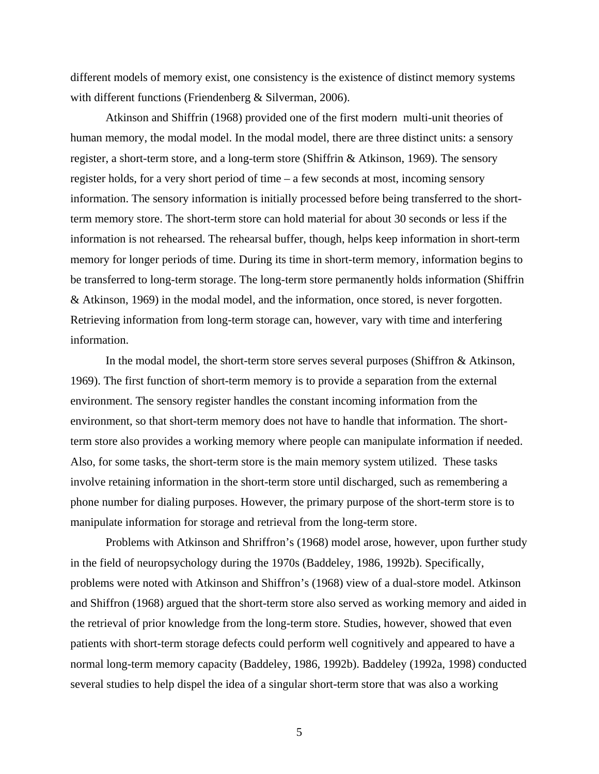different models of memory exist, one consistency is the existence of distinct memory systems with different functions (Friendenberg & Silverman, 2006).

Atkinson and Shiffrin (1968) provided one of the first modern multi-unit theories of human memory, the modal model. In the modal model, there are three distinct units: a sensory register, a short-term store, and a long-term store (Shiffrin & Atkinson, 1969). The sensory register holds, for a very short period of time – a few seconds at most, incoming sensory information. The sensory information is initially processed before being transferred to the shortterm memory store. The short-term store can hold material for about 30 seconds or less if the information is not rehearsed. The rehearsal buffer, though, helps keep information in short-term memory for longer periods of time. During its time in short-term memory, information begins to be transferred to long-term storage. The long-term store permanently holds information (Shiffrin & Atkinson, 1969) in the modal model, and the information, once stored, is never forgotten. Retrieving information from long-term storage can, however, vary with time and interfering information.

In the modal model, the short-term store serves several purposes (Shiffron & Atkinson, 1969). The first function of short-term memory is to provide a separation from the external environment. The sensory register handles the constant incoming information from the environment, so that short-term memory does not have to handle that information. The shortterm store also provides a working memory where people can manipulate information if needed. Also, for some tasks, the short-term store is the main memory system utilized. These tasks involve retaining information in the short-term store until discharged, such as remembering a phone number for dialing purposes. However, the primary purpose of the short-term store is to manipulate information for storage and retrieval from the long-term store.

Problems with Atkinson and Shriffron's (1968) model arose, however, upon further study in the field of neuropsychology during the 1970s (Baddeley, 1986, 1992b). Specifically, problems were noted with Atkinson and Shiffron's (1968) view of a dual-store model. Atkinson and Shiffron (1968) argued that the short-term store also served as working memory and aided in the retrieval of prior knowledge from the long-term store. Studies, however, showed that even patients with short-term storage defects could perform well cognitively and appeared to have a normal long-term memory capacity (Baddeley, 1986, 1992b). Baddeley (1992a, 1998) conducted several studies to help dispel the idea of a singular short-term store that was also a working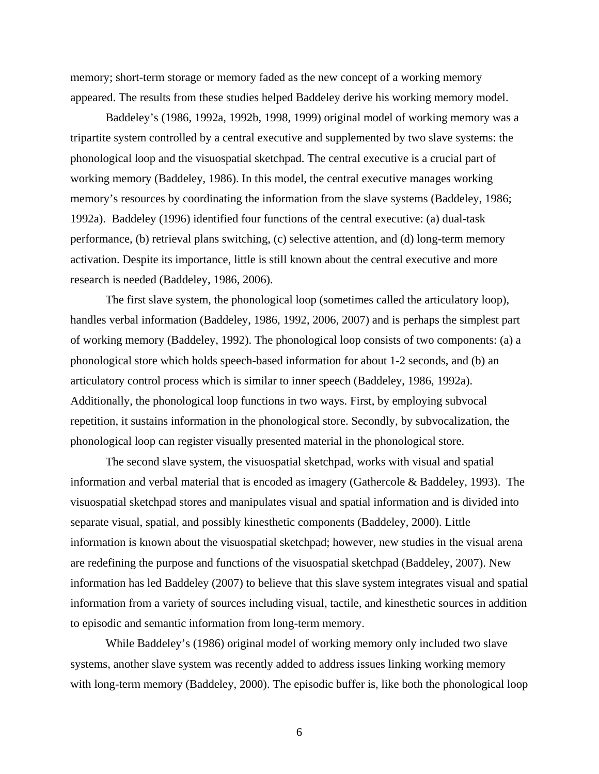memory; short-term storage or memory faded as the new concept of a working memory appeared. The results from these studies helped Baddeley derive his working memory model.

Baddeley's (1986, 1992a, 1992b, 1998, 1999) original model of working memory was a tripartite system controlled by a central executive and supplemented by two slave systems: the phonological loop and the visuospatial sketchpad. The central executive is a crucial part of working memory (Baddeley, 1986). In this model, the central executive manages working memory's resources by coordinating the information from the slave systems (Baddeley, 1986; 1992a). Baddeley (1996) identified four functions of the central executive: (a) dual-task performance, (b) retrieval plans switching, (c) selective attention, and (d) long-term memory activation. Despite its importance, little is still known about the central executive and more research is needed (Baddeley, 1986, 2006).

The first slave system, the phonological loop (sometimes called the articulatory loop), handles verbal information (Baddeley, 1986, 1992, 2006, 2007) and is perhaps the simplest part of working memory (Baddeley, 1992). The phonological loop consists of two components: (a) a phonological store which holds speech-based information for about 1-2 seconds, and (b) an articulatory control process which is similar to inner speech (Baddeley, 1986, 1992a). Additionally, the phonological loop functions in two ways. First, by employing subvocal repetition, it sustains information in the phonological store. Secondly, by subvocalization, the phonological loop can register visually presented material in the phonological store.

 The second slave system, the visuospatial sketchpad, works with visual and spatial information and verbal material that is encoded as imagery (Gathercole & Baddeley, 1993). The visuospatial sketchpad stores and manipulates visual and spatial information and is divided into separate visual, spatial, and possibly kinesthetic components (Baddeley, 2000). Little information is known about the visuospatial sketchpad; however, new studies in the visual arena are redefining the purpose and functions of the visuospatial sketchpad (Baddeley, 2007). New information has led Baddeley (2007) to believe that this slave system integrates visual and spatial information from a variety of sources including visual, tactile, and kinesthetic sources in addition to episodic and semantic information from long-term memory.

 While Baddeley's (1986) original model of working memory only included two slave systems, another slave system was recently added to address issues linking working memory with long-term memory (Baddeley, 2000). The episodic buffer is, like both the phonological loop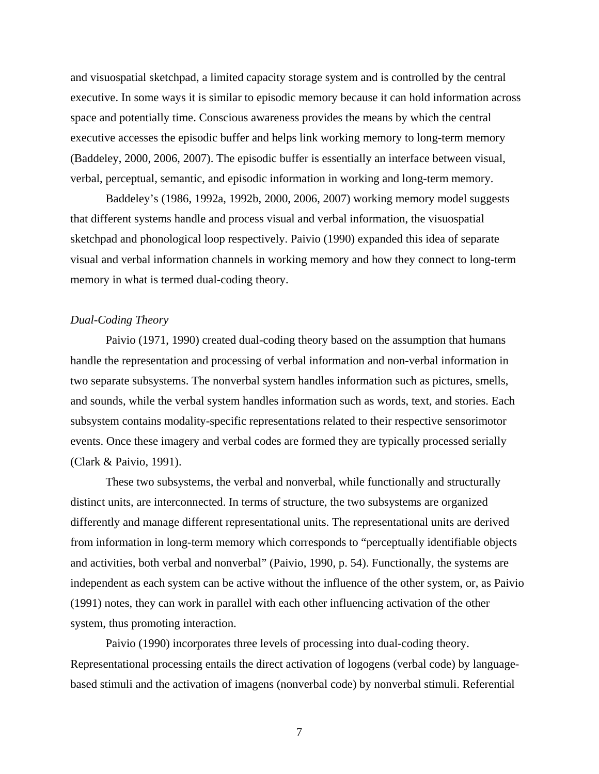and visuospatial sketchpad, a limited capacity storage system and is controlled by the central executive. In some ways it is similar to episodic memory because it can hold information across space and potentially time. Conscious awareness provides the means by which the central executive accesses the episodic buffer and helps link working memory to long-term memory (Baddeley, 2000, 2006, 2007). The episodic buffer is essentially an interface between visual, verbal, perceptual, semantic, and episodic information in working and long-term memory.

 Baddeley's (1986, 1992a, 1992b, 2000, 2006, 2007) working memory model suggests that different systems handle and process visual and verbal information, the visuospatial sketchpad and phonological loop respectively. Paivio (1990) expanded this idea of separate visual and verbal information channels in working memory and how they connect to long-term memory in what is termed dual-coding theory.

#### *Dual-Coding Theory*

 Paivio (1971, 1990) created dual-coding theory based on the assumption that humans handle the representation and processing of verbal information and non-verbal information in two separate subsystems. The nonverbal system handles information such as pictures, smells, and sounds, while the verbal system handles information such as words, text, and stories. Each subsystem contains modality-specific representations related to their respective sensorimotor events. Once these imagery and verbal codes are formed they are typically processed serially (Clark & Paivio, 1991).

These two subsystems, the verbal and nonverbal, while functionally and structurally distinct units, are interconnected. In terms of structure, the two subsystems are organized differently and manage different representational units. The representational units are derived from information in long-term memory which corresponds to "perceptually identifiable objects and activities, both verbal and nonverbal" (Paivio, 1990, p. 54). Functionally, the systems are independent as each system can be active without the influence of the other system, or, as Paivio (1991) notes, they can work in parallel with each other influencing activation of the other system, thus promoting interaction.

 Paivio (1990) incorporates three levels of processing into dual-coding theory. Representational processing entails the direct activation of logogens (verbal code) by languagebased stimuli and the activation of imagens (nonverbal code) by nonverbal stimuli. Referential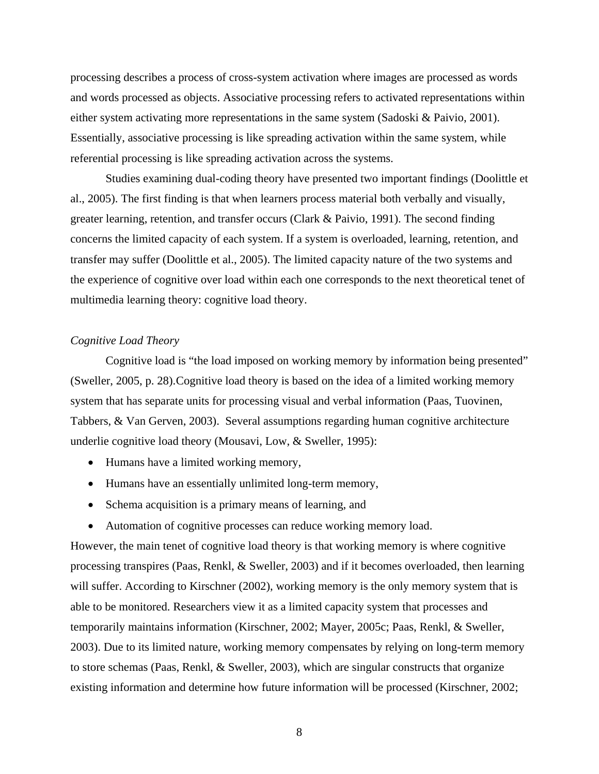processing describes a process of cross-system activation where images are processed as words and words processed as objects. Associative processing refers to activated representations within either system activating more representations in the same system (Sadoski & Paivio, 2001). Essentially, associative processing is like spreading activation within the same system, while referential processing is like spreading activation across the systems.

 Studies examining dual-coding theory have presented two important findings (Doolittle et al., 2005). The first finding is that when learners process material both verbally and visually, greater learning, retention, and transfer occurs (Clark & Paivio, 1991). The second finding concerns the limited capacity of each system. If a system is overloaded, learning, retention, and transfer may suffer (Doolittle et al., 2005). The limited capacity nature of the two systems and the experience of cognitive over load within each one corresponds to the next theoretical tenet of multimedia learning theory: cognitive load theory.

#### *Cognitive Load Theory*

 Cognitive load is "the load imposed on working memory by information being presented" (Sweller, 2005, p. 28). Cognitive load theory is based on the idea of a limited working memory system that has separate units for processing visual and verbal information (Paas, Tuovinen, Tabbers, & Van Gerven, 2003). Several assumptions regarding human cognitive architecture underlie cognitive load theory (Mousavi, Low, & Sweller, 1995):

- Humans have a limited working memory,
- Humans have an essentially unlimited long-term memory,
- Schema acquisition is a primary means of learning, and
- Automation of cognitive processes can reduce working memory load.

However, the main tenet of cognitive load theory is that working memory is where cognitive processing transpires (Paas, Renkl, & Sweller, 2003) and if it becomes overloaded, then learning will suffer. According to Kirschner (2002), working memory is the only memory system that is able to be monitored. Researchers view it as a limited capacity system that processes and temporarily maintains information (Kirschner, 2002; Mayer, 2005c; Paas, Renkl, & Sweller, 2003). Due to its limited nature, working memory compensates by relying on long-term memory to store schemas (Paas, Renkl, & Sweller, 2003), which are singular constructs that organize existing information and determine how future information will be processed (Kirschner, 2002;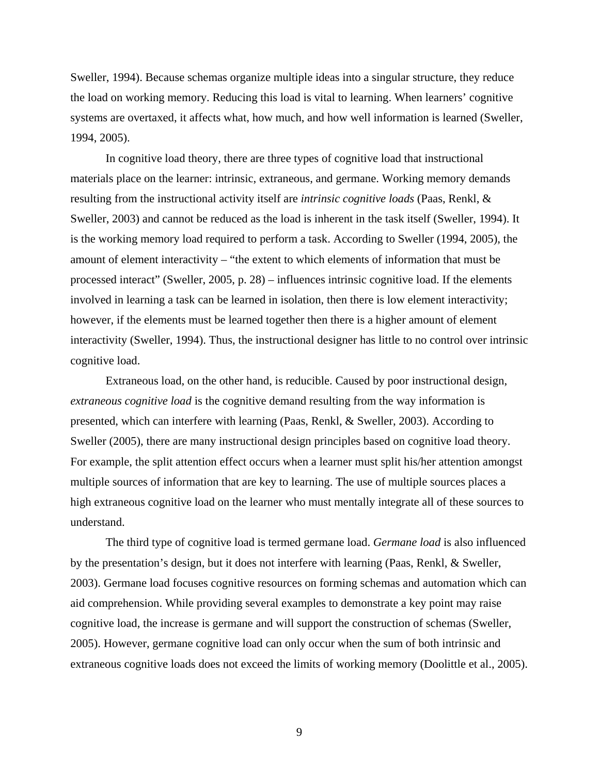Sweller, 1994). Because schemas organize multiple ideas into a singular structure, they reduce the load on working memory. Reducing this load is vital to learning. When learners' cognitive systems are overtaxed, it affects what, how much, and how well information is learned (Sweller, 1994, 2005).

 In cognitive load theory, there are three types of cognitive load that instructional materials place on the learner: intrinsic, extraneous, and germane. Working memory demands resulting from the instructional activity itself are *intrinsic cognitive loads* (Paas, Renkl, & Sweller, 2003) and cannot be reduced as the load is inherent in the task itself (Sweller, 1994). It is the working memory load required to perform a task. According to Sweller (1994, 2005), the amount of element interactivity – "the extent to which elements of information that must be processed interact" (Sweller, 2005, p. 28) – influences intrinsic cognitive load. If the elements involved in learning a task can be learned in isolation, then there is low element interactivity; however, if the elements must be learned together then there is a higher amount of element interactivity (Sweller, 1994). Thus, the instructional designer has little to no control over intrinsic cognitive load.

Extraneous load, on the other hand, is reducible. Caused by poor instructional design, *extraneous cognitive load* is the cognitive demand resulting from the way information is presented, which can interfere with learning (Paas, Renkl, & Sweller, 2003). According to Sweller (2005), there are many instructional design principles based on cognitive load theory. For example, the split attention effect occurs when a learner must split his/her attention amongst multiple sources of information that are key to learning. The use of multiple sources places a high extraneous cognitive load on the learner who must mentally integrate all of these sources to understand.

The third type of cognitive load is termed germane load. *Germane load* is also influenced by the presentation's design, but it does not interfere with learning (Paas, Renkl, & Sweller, 2003). Germane load focuses cognitive resources on forming schemas and automation which can aid comprehension. While providing several examples to demonstrate a key point may raise cognitive load, the increase is germane and will support the construction of schemas (Sweller, 2005). However, germane cognitive load can only occur when the sum of both intrinsic and extraneous cognitive loads does not exceed the limits of working memory (Doolittle et al., 2005).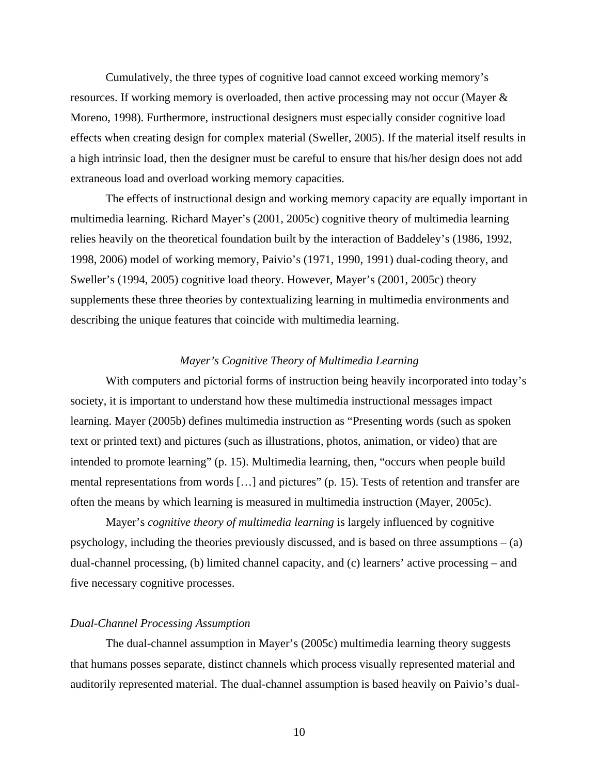Cumulatively, the three types of cognitive load cannot exceed working memory's resources. If working memory is overloaded, then active processing may not occur (Mayer & Moreno, 1998). Furthermore, instructional designers must especially consider cognitive load effects when creating design for complex material (Sweller, 2005). If the material itself results in a high intrinsic load, then the designer must be careful to ensure that his/her design does not add extraneous load and overload working memory capacities.

 The effects of instructional design and working memory capacity are equally important in multimedia learning. Richard Mayer's (2001, 2005c) cognitive theory of multimedia learning relies heavily on the theoretical foundation built by the interaction of Baddeley's (1986, 1992, 1998, 2006) model of working memory, Paivio's (1971, 1990, 1991) dual-coding theory, and Sweller's (1994, 2005) cognitive load theory. However, Mayer's (2001, 2005c) theory supplements these three theories by contextualizing learning in multimedia environments and describing the unique features that coincide with multimedia learning.

#### *Mayer's Cognitive Theory of Multimedia Learning*

 With computers and pictorial forms of instruction being heavily incorporated into today's society, it is important to understand how these multimedia instructional messages impact learning. Mayer (2005b) defines multimedia instruction as "Presenting words (such as spoken text or printed text) and pictures (such as illustrations, photos, animation, or video) that are intended to promote learning" (p. 15). Multimedia learning, then, "occurs when people build mental representations from words […] and pictures" (p. 15). Tests of retention and transfer are often the means by which learning is measured in multimedia instruction (Mayer, 2005c).

Mayer's *cognitive theory of multimedia learning* is largely influenced by cognitive psychology, including the theories previously discussed, and is based on three assumptions – (a) dual-channel processing, (b) limited channel capacity, and (c) learners' active processing – and five necessary cognitive processes.

#### *Dual-Channel Processing Assumption*

The dual-channel assumption in Mayer's (2005c) multimedia learning theory suggests that humans posses separate, distinct channels which process visually represented material and auditorily represented material. The dual-channel assumption is based heavily on Paivio's dual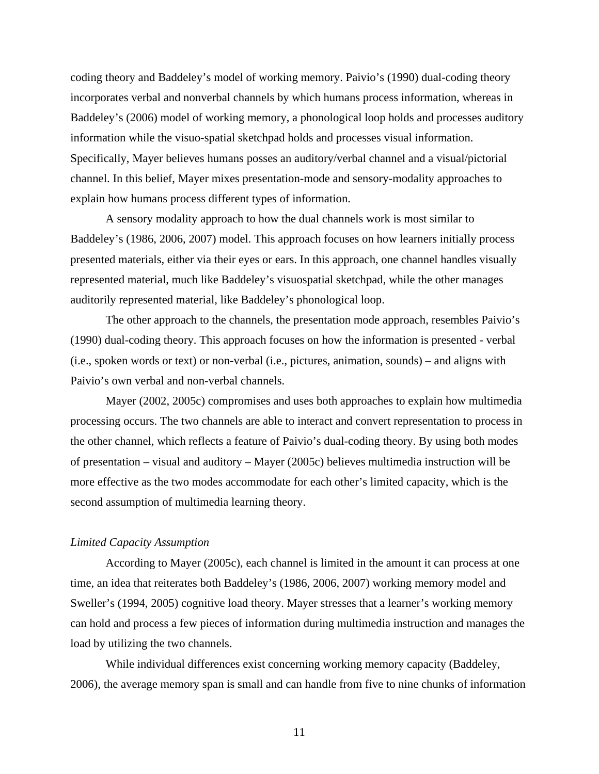coding theory and Baddeley's model of working memory. Paivio's (1990) dual-coding theory incorporates verbal and nonverbal channels by which humans process information, whereas in Baddeley's (2006) model of working memory, a phonological loop holds and processes auditory information while the visuo-spatial sketchpad holds and processes visual information. Specifically, Mayer believes humans posses an auditory/verbal channel and a visual/pictorial channel. In this belief, Mayer mixes presentation-mode and sensory-modality approaches to explain how humans process different types of information.

A sensory modality approach to how the dual channels work is most similar to Baddeley's (1986, 2006, 2007) model. This approach focuses on how learners initially process presented materials, either via their eyes or ears. In this approach, one channel handles visually represented material, much like Baddeley's visuospatial sketchpad, while the other manages auditorily represented material, like Baddeley's phonological loop.

The other approach to the channels, the presentation mode approach, resembles Paivio's (1990) dual-coding theory. This approach focuses on how the information is presented - verbal (i.e., spoken words or text) or non-verbal (i.e., pictures, animation, sounds) – and aligns with Paivio's own verbal and non-verbal channels.

Mayer (2002, 2005c) compromises and uses both approaches to explain how multimedia processing occurs. The two channels are able to interact and convert representation to process in the other channel, which reflects a feature of Paivio's dual-coding theory. By using both modes of presentation – visual and auditory – Mayer (2005c) believes multimedia instruction will be more effective as the two modes accommodate for each other's limited capacity, which is the second assumption of multimedia learning theory.

#### *Limited Capacity Assumption*

 According to Mayer (2005c), each channel is limited in the amount it can process at one time, an idea that reiterates both Baddeley's (1986, 2006, 2007) working memory model and Sweller's (1994, 2005) cognitive load theory. Mayer stresses that a learner's working memory can hold and process a few pieces of information during multimedia instruction and manages the load by utilizing the two channels.

While individual differences exist concerning working memory capacity (Baddeley, 2006), the average memory span is small and can handle from five to nine chunks of information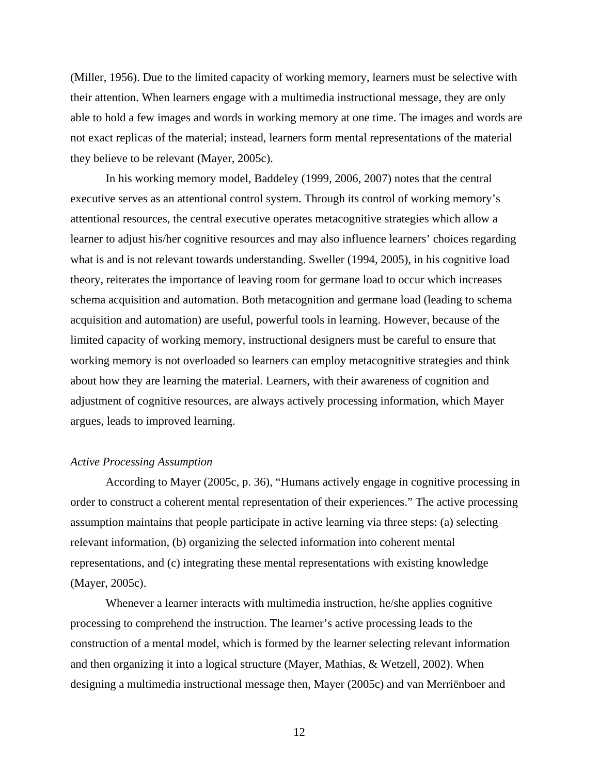(Miller, 1956). Due to the limited capacity of working memory, learners must be selective with their attention. When learners engage with a multimedia instructional message, they are only able to hold a few images and words in working memory at one time. The images and words are not exact replicas of the material; instead, learners form mental representations of the material they believe to be relevant (Mayer, 2005c).

In his working memory model, Baddeley (1999, 2006, 2007) notes that the central executive serves as an attentional control system. Through its control of working memory's attentional resources, the central executive operates metacognitive strategies which allow a learner to adjust his/her cognitive resources and may also influence learners' choices regarding what is and is not relevant towards understanding. Sweller (1994, 2005), in his cognitive load theory, reiterates the importance of leaving room for germane load to occur which increases schema acquisition and automation. Both metacognition and germane load (leading to schema acquisition and automation) are useful, powerful tools in learning. However, because of the limited capacity of working memory, instructional designers must be careful to ensure that working memory is not overloaded so learners can employ metacognitive strategies and think about how they are learning the material. Learners, with their awareness of cognition and adjustment of cognitive resources, are always actively processing information, which Mayer argues, leads to improved learning.

#### *Active Processing Assumption*

 According to Mayer (2005c, p. 36), "Humans actively engage in cognitive processing in order to construct a coherent mental representation of their experiences." The active processing assumption maintains that people participate in active learning via three steps: (a) selecting relevant information, (b) organizing the selected information into coherent mental representations, and (c) integrating these mental representations with existing knowledge (Mayer, 2005c).

Whenever a learner interacts with multimedia instruction, he/she applies cognitive processing to comprehend the instruction. The learner's active processing leads to the construction of a mental model, which is formed by the learner selecting relevant information and then organizing it into a logical structure (Mayer, Mathias, & Wetzell, 2002). When designing a multimedia instructional message then, Mayer (2005c) and van Merriënboer and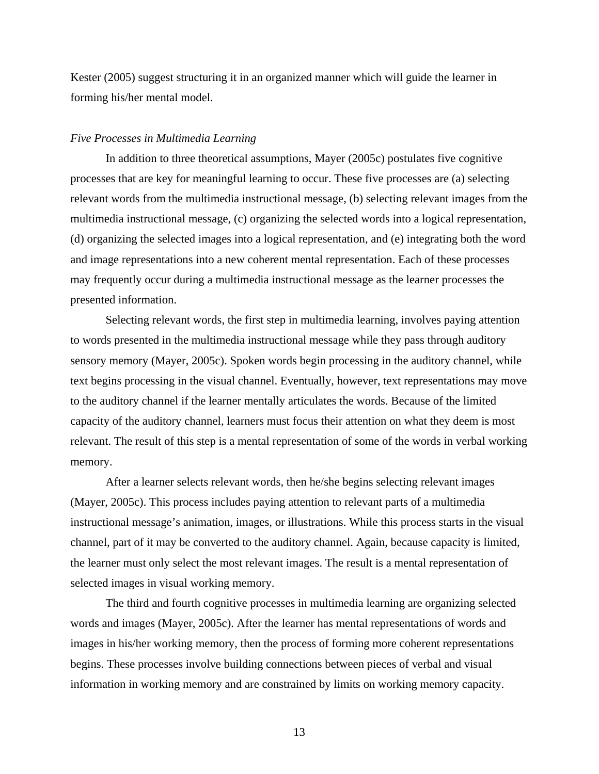Kester (2005) suggest structuring it in an organized manner which will guide the learner in forming his/her mental model.

#### *Five Processes in Multimedia Learning*

In addition to three theoretical assumptions, Mayer (2005c) postulates five cognitive processes that are key for meaningful learning to occur. These five processes are (a) selecting relevant words from the multimedia instructional message, (b) selecting relevant images from the multimedia instructional message, (c) organizing the selected words into a logical representation, (d) organizing the selected images into a logical representation, and (e) integrating both the word and image representations into a new coherent mental representation. Each of these processes may frequently occur during a multimedia instructional message as the learner processes the presented information.

Selecting relevant words, the first step in multimedia learning, involves paying attention to words presented in the multimedia instructional message while they pass through auditory sensory memory (Mayer, 2005c). Spoken words begin processing in the auditory channel, while text begins processing in the visual channel. Eventually, however, text representations may move to the auditory channel if the learner mentally articulates the words. Because of the limited capacity of the auditory channel, learners must focus their attention on what they deem is most relevant. The result of this step is a mental representation of some of the words in verbal working memory.

 After a learner selects relevant words, then he/she begins selecting relevant images (Mayer, 2005c). This process includes paying attention to relevant parts of a multimedia instructional message's animation, images, or illustrations. While this process starts in the visual channel, part of it may be converted to the auditory channel. Again, because capacity is limited, the learner must only select the most relevant images. The result is a mental representation of selected images in visual working memory.

 The third and fourth cognitive processes in multimedia learning are organizing selected words and images (Mayer, 2005c). After the learner has mental representations of words and images in his/her working memory, then the process of forming more coherent representations begins. These processes involve building connections between pieces of verbal and visual information in working memory and are constrained by limits on working memory capacity.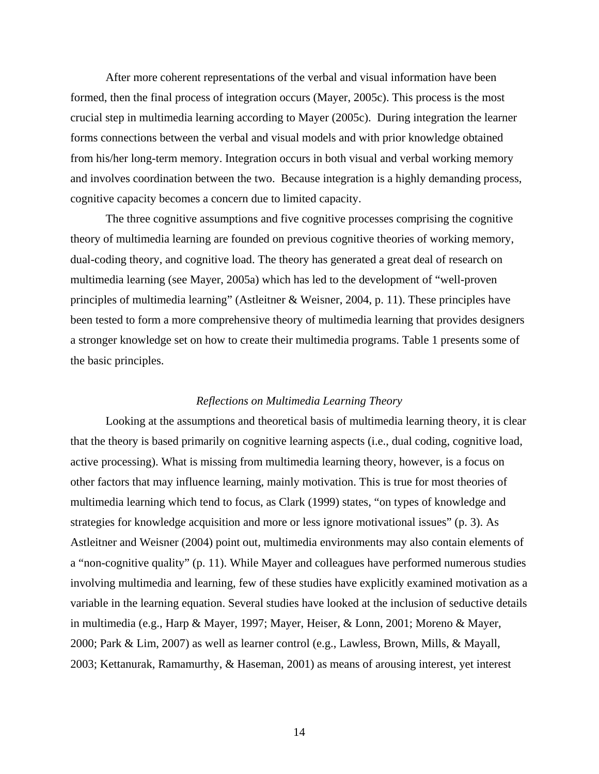After more coherent representations of the verbal and visual information have been formed, then the final process of integration occurs (Mayer, 2005c). This process is the most crucial step in multimedia learning according to Mayer (2005c). During integration the learner forms connections between the verbal and visual models and with prior knowledge obtained from his/her long-term memory. Integration occurs in both visual and verbal working memory and involves coordination between the two. Because integration is a highly demanding process, cognitive capacity becomes a concern due to limited capacity.

 The three cognitive assumptions and five cognitive processes comprising the cognitive theory of multimedia learning are founded on previous cognitive theories of working memory, dual-coding theory, and cognitive load. The theory has generated a great deal of research on multimedia learning (see Mayer, 2005a) which has led to the development of "well-proven principles of multimedia learning" (Astleitner & Weisner, 2004, p. 11). These principles have been tested to form a more comprehensive theory of multimedia learning that provides designers a stronger knowledge set on how to create their multimedia programs. Table 1 presents some of the basic principles.

#### *Reflections on Multimedia Learning Theory*

 Looking at the assumptions and theoretical basis of multimedia learning theory, it is clear that the theory is based primarily on cognitive learning aspects (i.e., dual coding, cognitive load, active processing). What is missing from multimedia learning theory, however, is a focus on other factors that may influence learning, mainly motivation. This is true for most theories of multimedia learning which tend to focus, as Clark (1999) states, "on types of knowledge and strategies for knowledge acquisition and more or less ignore motivational issues" (p. 3). As Astleitner and Weisner (2004) point out, multimedia environments may also contain elements of a "non-cognitive quality" (p. 11). While Mayer and colleagues have performed numerous studies involving multimedia and learning, few of these studies have explicitly examined motivation as a variable in the learning equation. Several studies have looked at the inclusion of seductive details in multimedia (e.g., Harp & Mayer, 1997; Mayer, Heiser, & Lonn, 2001; Moreno & Mayer, 2000; Park & Lim, 2007) as well as learner control (e.g., Lawless, Brown, Mills, & Mayall, 2003; Kettanurak, Ramamurthy, & Haseman, 2001) as means of arousing interest, yet interest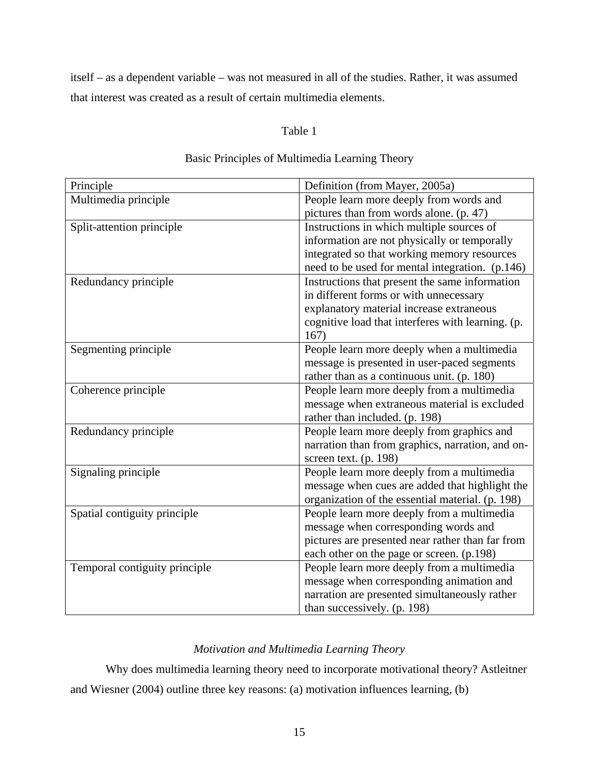itself – as a dependent variable – was not measured in all of the studies. Rather, it was assumed that interest was created as a result of certain multimedia elements.

### Table 1

| Principle                     | Definition (from Mayer, 2005a)                    |
|-------------------------------|---------------------------------------------------|
| Multimedia principle          | People learn more deeply from words and           |
|                               | pictures than from words alone. (p. 47)           |
| Split-attention principle     | Instructions in which multiple sources of         |
|                               | information are not physically or temporally      |
|                               | integrated so that working memory resources       |
|                               | need to be used for mental integration. (p.146)   |
| Redundancy principle          | Instructions that present the same information    |
|                               | in different forms or with unnecessary            |
|                               | explanatory material increase extraneous          |
|                               | cognitive load that interferes with learning. (p. |
|                               | 167)                                              |
| Segmenting principle          | People learn more deeply when a multimedia        |
|                               | message is presented in user-paced segments       |
|                               | rather than as a continuous unit. (p. 180)        |
| Coherence principle           | People learn more deeply from a multimedia        |
|                               | message when extraneous material is excluded      |
|                               | rather than included. (p. 198)                    |
| Redundancy principle          | People learn more deeply from graphics and        |
|                               | narration than from graphics, narration, and on-  |
|                               | screen text. (p. 198)                             |
| Signaling principle           | People learn more deeply from a multimedia        |
|                               | message when cues are added that highlight the    |
|                               | organization of the essential material. (p. 198)  |
| Spatial contiguity principle  | People learn more deeply from a multimedia        |
|                               | message when corresponding words and              |
|                               | pictures are presented near rather than far from  |
|                               | each other on the page or screen. (p.198)         |
| Temporal contiguity principle | People learn more deeply from a multimedia        |
|                               | message when corresponding animation and          |
|                               | narration are presented simultaneously rather     |
|                               | than successively. (p. 198)                       |

## Basic Principles of Multimedia Learning Theory

## *Motivation and Multimedia Learning Theory*

Why does multimedia learning theory need to incorporate motivational theory? Astleitner and Wiesner (2004) outline three key reasons: (a) motivation influences learning, (b)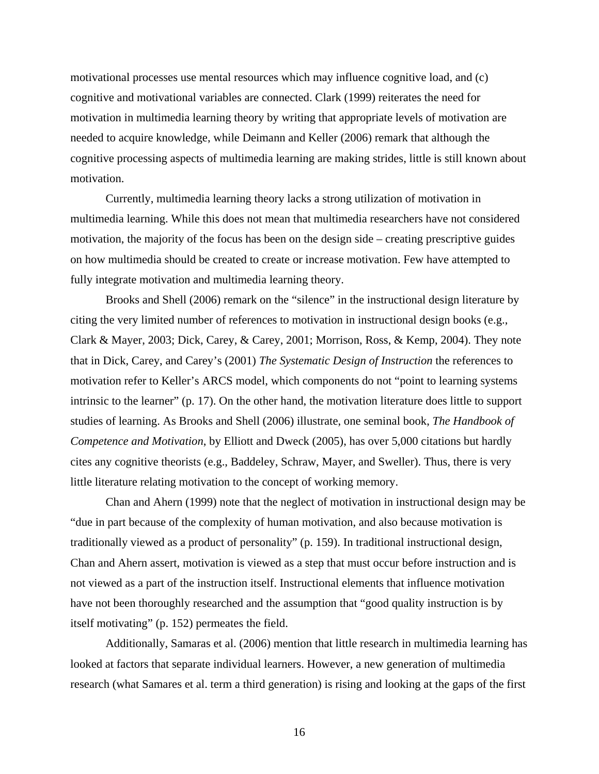motivational processes use mental resources which may influence cognitive load, and (c) cognitive and motivational variables are connected. Clark (1999) reiterates the need for motivation in multimedia learning theory by writing that appropriate levels of motivation are needed to acquire knowledge, while Deimann and Keller (2006) remark that although the cognitive processing aspects of multimedia learning are making strides, little is still known about motivation.

Currently, multimedia learning theory lacks a strong utilization of motivation in multimedia learning. While this does not mean that multimedia researchers have not considered motivation, the majority of the focus has been on the design side – creating prescriptive guides on how multimedia should be created to create or increase motivation. Few have attempted to fully integrate motivation and multimedia learning theory.

Brooks and Shell (2006) remark on the "silence" in the instructional design literature by citing the very limited number of references to motivation in instructional design books (e.g., Clark & Mayer, 2003; Dick, Carey, & Carey, 2001; Morrison, Ross, & Kemp, 2004). They note that in Dick, Carey, and Carey's (2001) *The Systematic Design of Instruction* the references to motivation refer to Keller's ARCS model, which components do not "point to learning systems intrinsic to the learner" (p. 17). On the other hand, the motivation literature does little to support studies of learning. As Brooks and Shell (2006) illustrate, one seminal book, *The Handbook of Competence and Motivation*, by Elliott and Dweck (2005), has over 5,000 citations but hardly cites any cognitive theorists (e.g., Baddeley, Schraw, Mayer, and Sweller). Thus, there is very little literature relating motivation to the concept of working memory.

Chan and Ahern (1999) note that the neglect of motivation in instructional design may be "due in part because of the complexity of human motivation, and also because motivation is traditionally viewed as a product of personality" (p. 159). In traditional instructional design, Chan and Ahern assert, motivation is viewed as a step that must occur before instruction and is not viewed as a part of the instruction itself. Instructional elements that influence motivation have not been thoroughly researched and the assumption that "good quality instruction is by itself motivating" (p. 152) permeates the field.

Additionally, Samaras et al. (2006) mention that little research in multimedia learning has looked at factors that separate individual learners. However, a new generation of multimedia research (what Samares et al. term a third generation) is rising and looking at the gaps of the first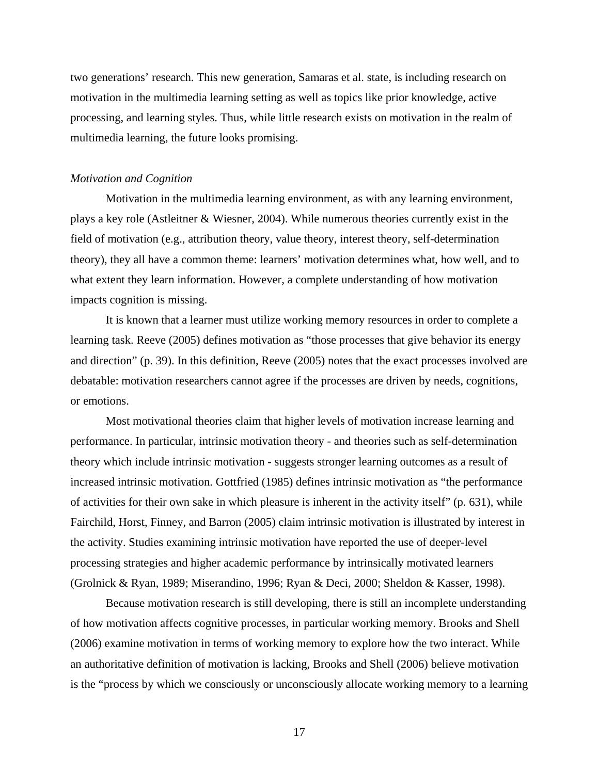two generations' research. This new generation, Samaras et al. state, is including research on motivation in the multimedia learning setting as well as topics like prior knowledge, active processing, and learning styles. Thus, while little research exists on motivation in the realm of multimedia learning, the future looks promising.

#### *Motivation and Cognition*

Motivation in the multimedia learning environment, as with any learning environment, plays a key role (Astleitner & Wiesner, 2004). While numerous theories currently exist in the field of motivation (e.g., attribution theory, value theory, interest theory, self-determination theory), they all have a common theme: learners' motivation determines what, how well, and to what extent they learn information. However, a complete understanding of how motivation impacts cognition is missing.

It is known that a learner must utilize working memory resources in order to complete a learning task. Reeve (2005) defines motivation as "those processes that give behavior its energy and direction" (p. 39). In this definition, Reeve (2005) notes that the exact processes involved are debatable: motivation researchers cannot agree if the processes are driven by needs, cognitions, or emotions.

Most motivational theories claim that higher levels of motivation increase learning and performance. In particular, intrinsic motivation theory - and theories such as self-determination theory which include intrinsic motivation - suggests stronger learning outcomes as a result of increased intrinsic motivation. Gottfried (1985) defines intrinsic motivation as "the performance of activities for their own sake in which pleasure is inherent in the activity itself" (p. 631), while Fairchild, Horst, Finney, and Barron (2005) claim intrinsic motivation is illustrated by interest in the activity. Studies examining intrinsic motivation have reported the use of deeper-level processing strategies and higher academic performance by intrinsically motivated learners (Grolnick & Ryan, 1989; Miserandino, 1996; Ryan & Deci, 2000; Sheldon & Kasser, 1998).

Because motivation research is still developing, there is still an incomplete understanding of how motivation affects cognitive processes, in particular working memory. Brooks and Shell (2006) examine motivation in terms of working memory to explore how the two interact. While an authoritative definition of motivation is lacking, Brooks and Shell (2006) believe motivation is the "process by which we consciously or unconsciously allocate working memory to a learning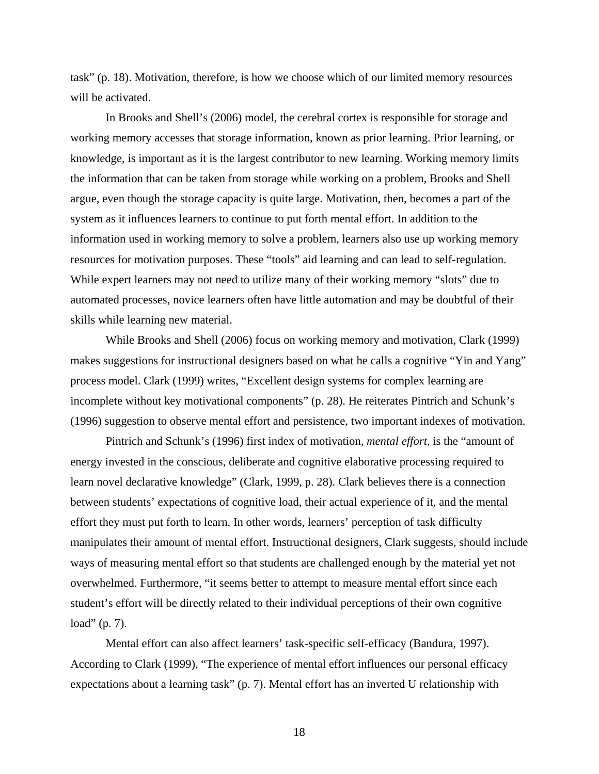task" (p. 18). Motivation, therefore, is how we choose which of our limited memory resources will be activated.

 In Brooks and Shell's (2006) model, the cerebral cortex is responsible for storage and working memory accesses that storage information, known as prior learning. Prior learning, or knowledge, is important as it is the largest contributor to new learning. Working memory limits the information that can be taken from storage while working on a problem, Brooks and Shell argue, even though the storage capacity is quite large. Motivation, then, becomes a part of the system as it influences learners to continue to put forth mental effort. In addition to the information used in working memory to solve a problem, learners also use up working memory resources for motivation purposes. These "tools" aid learning and can lead to self-regulation. While expert learners may not need to utilize many of their working memory "slots" due to automated processes, novice learners often have little automation and may be doubtful of their skills while learning new material.

While Brooks and Shell (2006) focus on working memory and motivation, Clark (1999) makes suggestions for instructional designers based on what he calls a cognitive "Yin and Yang" process model. Clark (1999) writes, "Excellent design systems for complex learning are incomplete without key motivational components" (p. 28). He reiterates Pintrich and Schunk's (1996) suggestion to observe mental effort and persistence, two important indexes of motivation.

Pintrich and Schunk's (1996) first index of motivation, *mental effort,* is the "amount of energy invested in the conscious, deliberate and cognitive elaborative processing required to learn novel declarative knowledge" (Clark, 1999, p. 28). Clark believes there is a connection between students' expectations of cognitive load, their actual experience of it, and the mental effort they must put forth to learn. In other words, learners' perception of task difficulty manipulates their amount of mental effort. Instructional designers, Clark suggests, should include ways of measuring mental effort so that students are challenged enough by the material yet not overwhelmed. Furthermore, "it seems better to attempt to measure mental effort since each student's effort will be directly related to their individual perceptions of their own cognitive load" (p. 7).

Mental effort can also affect learners' task-specific self-efficacy (Bandura, 1997). According to Clark (1999), "The experience of mental effort influences our personal efficacy expectations about a learning task" (p. 7). Mental effort has an inverted U relationship with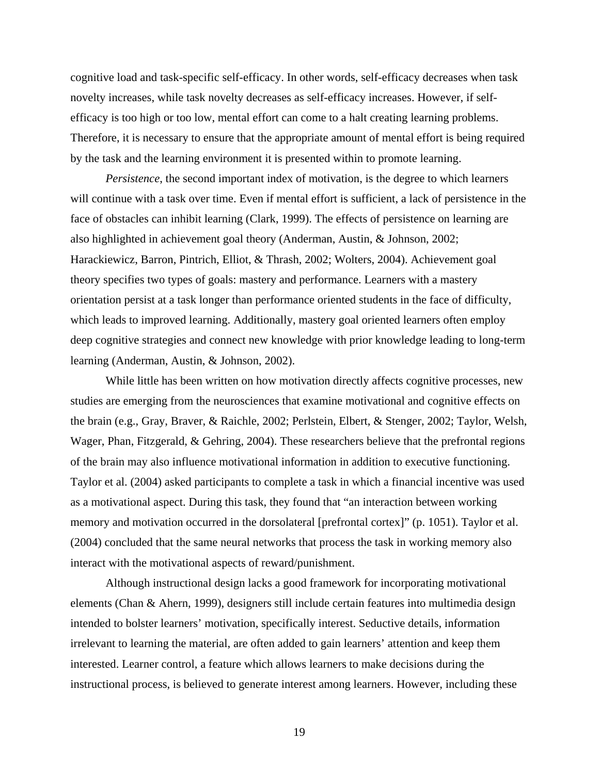cognitive load and task-specific self-efficacy. In other words, self-efficacy decreases when task novelty increases, while task novelty decreases as self-efficacy increases. However, if selfefficacy is too high or too low, mental effort can come to a halt creating learning problems. Therefore, it is necessary to ensure that the appropriate amount of mental effort is being required by the task and the learning environment it is presented within to promote learning.

*Persistence*, the second important index of motivation, is the degree to which learners will continue with a task over time. Even if mental effort is sufficient, a lack of persistence in the face of obstacles can inhibit learning (Clark, 1999). The effects of persistence on learning are also highlighted in achievement goal theory (Anderman, Austin, & Johnson, 2002; Harackiewicz, Barron, Pintrich, Elliot, & Thrash, 2002; Wolters, 2004). Achievement goal theory specifies two types of goals: mastery and performance. Learners with a mastery orientation persist at a task longer than performance oriented students in the face of difficulty, which leads to improved learning. Additionally, mastery goal oriented learners often employ deep cognitive strategies and connect new knowledge with prior knowledge leading to long-term learning (Anderman, Austin, & Johnson, 2002).

While little has been written on how motivation directly affects cognitive processes, new studies are emerging from the neurosciences that examine motivational and cognitive effects on the brain (e.g., Gray, Braver, & Raichle, 2002; Perlstein, Elbert, & Stenger, 2002; Taylor, Welsh, Wager, Phan, Fitzgerald, & Gehring, 2004). These researchers believe that the prefrontal regions of the brain may also influence motivational information in addition to executive functioning. Taylor et al. (2004) asked participants to complete a task in which a financial incentive was used as a motivational aspect. During this task, they found that "an interaction between working memory and motivation occurred in the dorsolateral [prefrontal cortex]" (p. 1051). Taylor et al. (2004) concluded that the same neural networks that process the task in working memory also interact with the motivational aspects of reward/punishment.

Although instructional design lacks a good framework for incorporating motivational elements (Chan & Ahern, 1999), designers still include certain features into multimedia design intended to bolster learners' motivation, specifically interest. Seductive details, information irrelevant to learning the material, are often added to gain learners' attention and keep them interested. Learner control, a feature which allows learners to make decisions during the instructional process, is believed to generate interest among learners. However, including these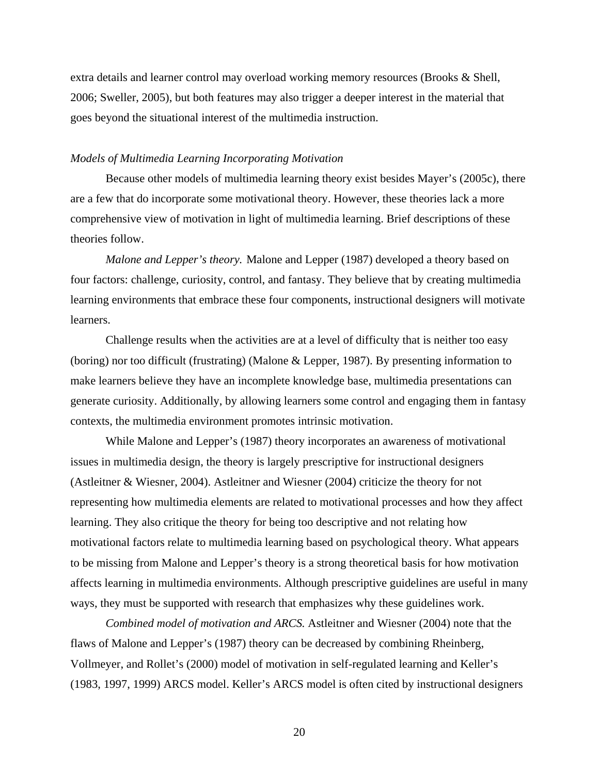extra details and learner control may overload working memory resources (Brooks & Shell, 2006; Sweller, 2005), but both features may also trigger a deeper interest in the material that goes beyond the situational interest of the multimedia instruction.

#### *Models of Multimedia Learning Incorporating Motivation*

 Because other models of multimedia learning theory exist besides Mayer's (2005c), there are a few that do incorporate some motivational theory. However, these theories lack a more comprehensive view of motivation in light of multimedia learning. Brief descriptions of these theories follow.

*Malone and Lepper's theory.* Malone and Lepper (1987) developed a theory based on four factors: challenge, curiosity, control, and fantasy. They believe that by creating multimedia learning environments that embrace these four components, instructional designers will motivate learners.

Challenge results when the activities are at a level of difficulty that is neither too easy (boring) nor too difficult (frustrating) (Malone & Lepper, 1987). By presenting information to make learners believe they have an incomplete knowledge base, multimedia presentations can generate curiosity. Additionally, by allowing learners some control and engaging them in fantasy contexts, the multimedia environment promotes intrinsic motivation.

While Malone and Lepper's (1987) theory incorporates an awareness of motivational issues in multimedia design, the theory is largely prescriptive for instructional designers (Astleitner & Wiesner, 2004). Astleitner and Wiesner (2004) criticize the theory for not representing how multimedia elements are related to motivational processes and how they affect learning. They also critique the theory for being too descriptive and not relating how motivational factors relate to multimedia learning based on psychological theory. What appears to be missing from Malone and Lepper's theory is a strong theoretical basis for how motivation affects learning in multimedia environments. Although prescriptive guidelines are useful in many ways, they must be supported with research that emphasizes why these guidelines work.

*Combined model of motivation and ARCS.* Astleitner and Wiesner (2004) note that the flaws of Malone and Lepper's (1987) theory can be decreased by combining Rheinberg, Vollmeyer, and Rollet's (2000) model of motivation in self-regulated learning and Keller's (1983, 1997, 1999) ARCS model. Keller's ARCS model is often cited by instructional designers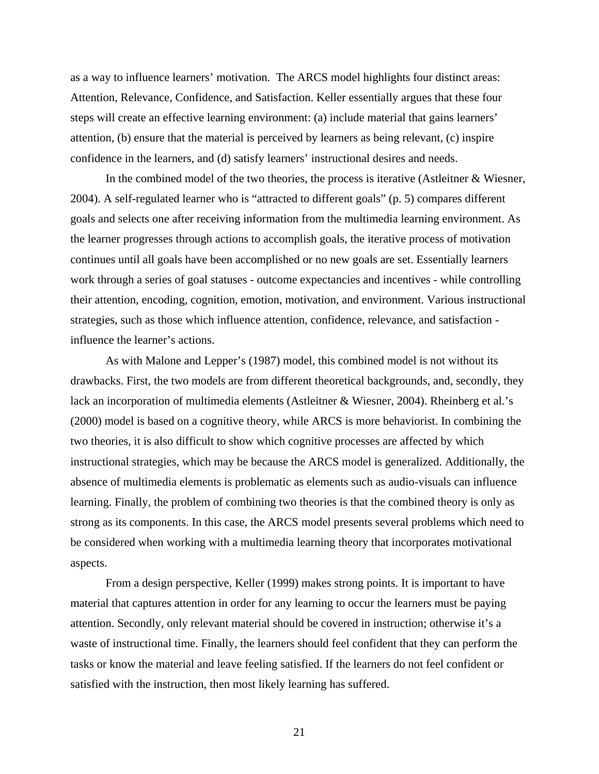as a way to influence learners' motivation. The ARCS model highlights four distinct areas: Attention, Relevance, Confidence, and Satisfaction. Keller essentially argues that these four steps will create an effective learning environment: (a) include material that gains learners' attention, (b) ensure that the material is perceived by learners as being relevant, (c) inspire confidence in the learners, and (d) satisfy learners' instructional desires and needs.

 In the combined model of the two theories, the process is iterative (Astleitner & Wiesner, 2004). A self-regulated learner who is "attracted to different goals" (p. 5) compares different goals and selects one after receiving information from the multimedia learning environment. As the learner progresses through actions to accomplish goals, the iterative process of motivation continues until all goals have been accomplished or no new goals are set. Essentially learners work through a series of goal statuses - outcome expectancies and incentives - while controlling their attention, encoding, cognition, emotion, motivation, and environment. Various instructional strategies, such as those which influence attention, confidence, relevance, and satisfaction influence the learner's actions.

 As with Malone and Lepper's (1987) model, this combined model is not without its drawbacks. First, the two models are from different theoretical backgrounds, and, secondly, they lack an incorporation of multimedia elements (Astleitner & Wiesner, 2004). Rheinberg et al.'s (2000) model is based on a cognitive theory, while ARCS is more behaviorist. In combining the two theories, it is also difficult to show which cognitive processes are affected by which instructional strategies, which may be because the ARCS model is generalized. Additionally, the absence of multimedia elements is problematic as elements such as audio-visuals can influence learning. Finally, the problem of combining two theories is that the combined theory is only as strong as its components. In this case, the ARCS model presents several problems which need to be considered when working with a multimedia learning theory that incorporates motivational aspects.

 From a design perspective, Keller (1999) makes strong points. It is important to have material that captures attention in order for any learning to occur the learners must be paying attention. Secondly, only relevant material should be covered in instruction; otherwise it's a waste of instructional time. Finally, the learners should feel confident that they can perform the tasks or know the material and leave feeling satisfied. If the learners do not feel confident or satisfied with the instruction, then most likely learning has suffered.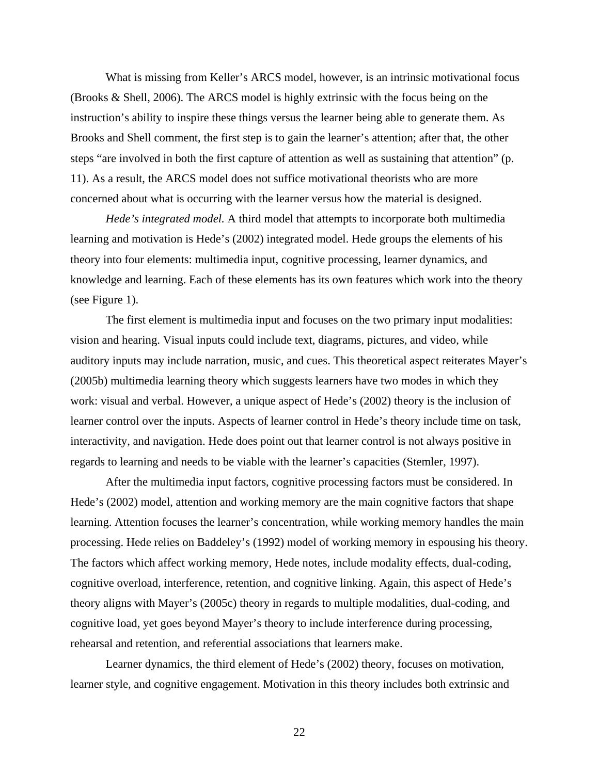What is missing from Keller's ARCS model, however, is an intrinsic motivational focus (Brooks & Shell, 2006). The ARCS model is highly extrinsic with the focus being on the instruction's ability to inspire these things versus the learner being able to generate them. As Brooks and Shell comment, the first step is to gain the learner's attention; after that, the other steps "are involved in both the first capture of attention as well as sustaining that attention" (p. 11). As a result, the ARCS model does not suffice motivational theorists who are more concerned about what is occurring with the learner versus how the material is designed.

*Hede's integrated model.* A third model that attempts to incorporate both multimedia learning and motivation is Hede's (2002) integrated model. Hede groups the elements of his theory into four elements: multimedia input, cognitive processing, learner dynamics, and knowledge and learning. Each of these elements has its own features which work into the theory (see Figure 1).

 The first element is multimedia input and focuses on the two primary input modalities: vision and hearing. Visual inputs could include text, diagrams, pictures, and video, while auditory inputs may include narration, music, and cues. This theoretical aspect reiterates Mayer's (2005b) multimedia learning theory which suggests learners have two modes in which they work: visual and verbal. However, a unique aspect of Hede's (2002) theory is the inclusion of learner control over the inputs. Aspects of learner control in Hede's theory include time on task, interactivity, and navigation. Hede does point out that learner control is not always positive in regards to learning and needs to be viable with the learner's capacities (Stemler, 1997).

 After the multimedia input factors, cognitive processing factors must be considered. In Hede's (2002) model, attention and working memory are the main cognitive factors that shape learning. Attention focuses the learner's concentration, while working memory handles the main processing. Hede relies on Baddeley's (1992) model of working memory in espousing his theory. The factors which affect working memory, Hede notes, include modality effects, dual-coding, cognitive overload, interference, retention, and cognitive linking. Again, this aspect of Hede's theory aligns with Mayer's (2005c) theory in regards to multiple modalities, dual-coding, and cognitive load, yet goes beyond Mayer's theory to include interference during processing, rehearsal and retention, and referential associations that learners make.

 Learner dynamics, the third element of Hede's (2002) theory, focuses on motivation, learner style, and cognitive engagement. Motivation in this theory includes both extrinsic and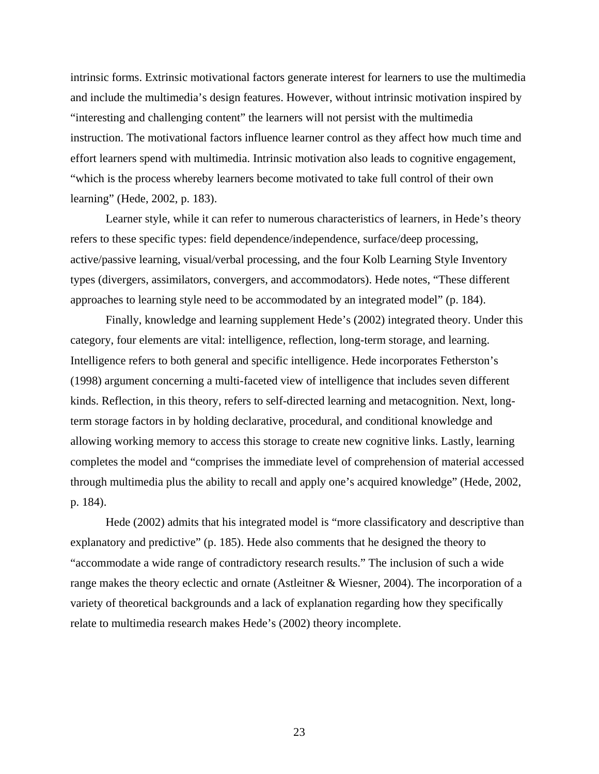intrinsic forms. Extrinsic motivational factors generate interest for learners to use the multimedia and include the multimedia's design features. However, without intrinsic motivation inspired by "interesting and challenging content" the learners will not persist with the multimedia instruction. The motivational factors influence learner control as they affect how much time and effort learners spend with multimedia. Intrinsic motivation also leads to cognitive engagement, "which is the process whereby learners become motivated to take full control of their own learning" (Hede, 2002, p. 183).

Learner style, while it can refer to numerous characteristics of learners, in Hede's theory refers to these specific types: field dependence/independence, surface/deep processing, active/passive learning, visual/verbal processing, and the four Kolb Learning Style Inventory types (divergers, assimilators, convergers, and accommodators). Hede notes, "These different approaches to learning style need to be accommodated by an integrated model" (p. 184).

 Finally, knowledge and learning supplement Hede's (2002) integrated theory. Under this category, four elements are vital: intelligence, reflection, long-term storage, and learning. Intelligence refers to both general and specific intelligence. Hede incorporates Fetherston's (1998) argument concerning a multi-faceted view of intelligence that includes seven different kinds. Reflection, in this theory, refers to self-directed learning and metacognition. Next, longterm storage factors in by holding declarative, procedural, and conditional knowledge and allowing working memory to access this storage to create new cognitive links. Lastly, learning completes the model and "comprises the immediate level of comprehension of material accessed through multimedia plus the ability to recall and apply one's acquired knowledge" (Hede, 2002, p. 184).

 Hede (2002) admits that his integrated model is "more classificatory and descriptive than explanatory and predictive" (p. 185). Hede also comments that he designed the theory to "accommodate a wide range of contradictory research results." The inclusion of such a wide range makes the theory eclectic and ornate (Astleitner & Wiesner, 2004). The incorporation of a variety of theoretical backgrounds and a lack of explanation regarding how they specifically relate to multimedia research makes Hede's (2002) theory incomplete.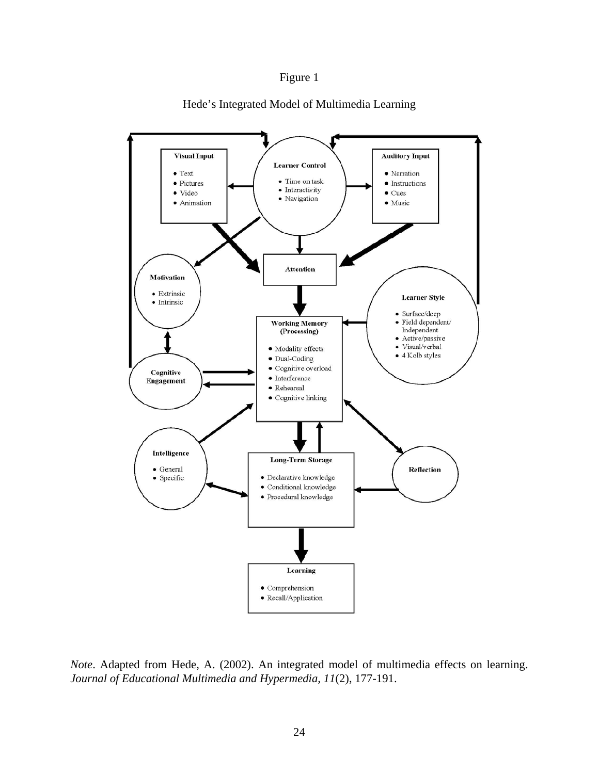## Figure 1



Hede's Integrated Model of Multimedia Learning

*Note*. Adapted from Hede, A. (2002). An integrated model of multimedia effects on learning. *Journal of Educational Multimedia and Hypermedia, 11*(2), 177-191.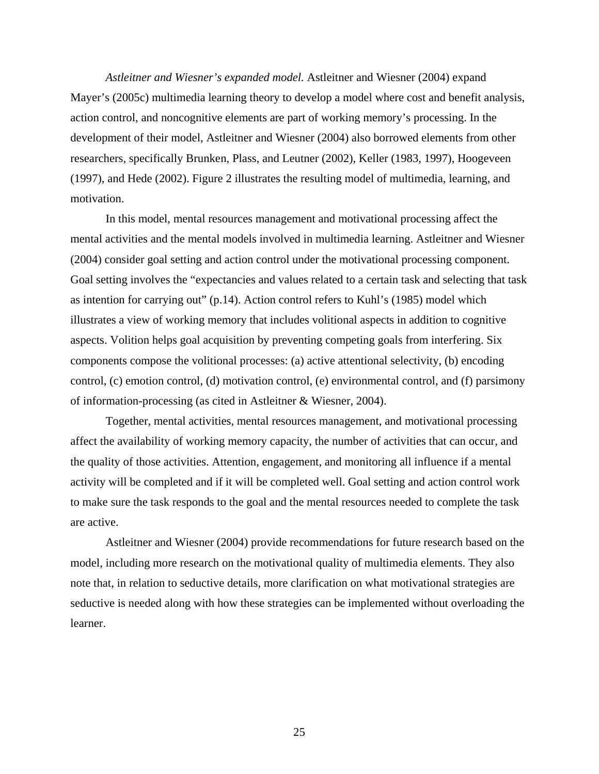*Astleitner and Wiesner's expanded model.* Astleitner and Wiesner (2004) expand Mayer's (2005c) multimedia learning theory to develop a model where cost and benefit analysis, action control, and noncognitive elements are part of working memory's processing. In the development of their model, Astleitner and Wiesner (2004) also borrowed elements from other researchers, specifically Brunken, Plass, and Leutner (2002), Keller (1983, 1997), Hoogeveen (1997), and Hede (2002). Figure 2 illustrates the resulting model of multimedia, learning, and motivation.

In this model, mental resources management and motivational processing affect the mental activities and the mental models involved in multimedia learning. Astleitner and Wiesner (2004) consider goal setting and action control under the motivational processing component. Goal setting involves the "expectancies and values related to a certain task and selecting that task as intention for carrying out" (p.14). Action control refers to Kuhl's (1985) model which illustrates a view of working memory that includes volitional aspects in addition to cognitive aspects. Volition helps goal acquisition by preventing competing goals from interfering. Six components compose the volitional processes: (a) active attentional selectivity, (b) encoding control, (c) emotion control, (d) motivation control, (e) environmental control, and (f) parsimony of information-processing (as cited in Astleitner & Wiesner, 2004).

 Together, mental activities, mental resources management, and motivational processing affect the availability of working memory capacity, the number of activities that can occur, and the quality of those activities. Attention, engagement, and monitoring all influence if a mental activity will be completed and if it will be completed well. Goal setting and action control work to make sure the task responds to the goal and the mental resources needed to complete the task are active.

 Astleitner and Wiesner (2004) provide recommendations for future research based on the model, including more research on the motivational quality of multimedia elements. They also note that, in relation to seductive details, more clarification on what motivational strategies are seductive is needed along with how these strategies can be implemented without overloading the learner.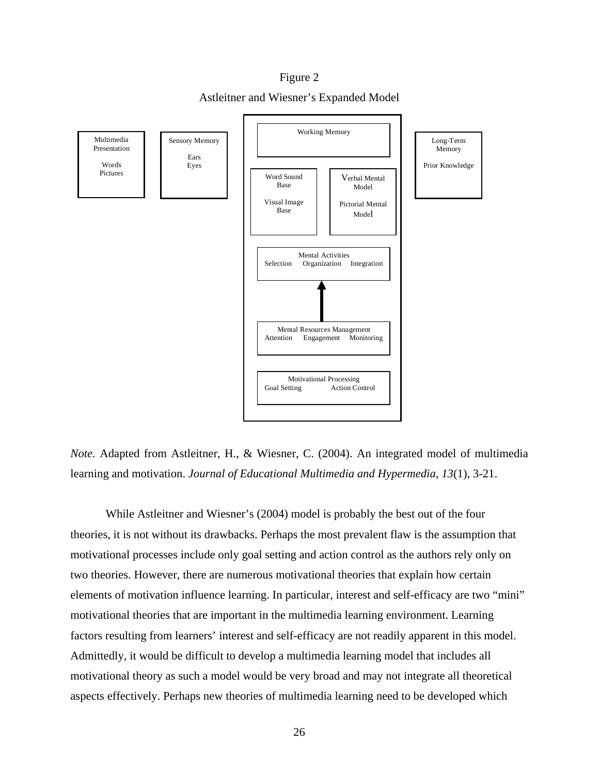Figure 2 Astleitner and Wiesner's Expanded Model



*Note.* Adapted from Astleitner, H., & Wiesner, C. (2004). An integrated model of multimedia learning and motivation. *Journal of Educational Multimedia and Hypermedia, 13*(1), 3-21.

 While Astleitner and Wiesner's (2004) model is probably the best out of the four theories, it is not without its drawbacks. Perhaps the most prevalent flaw is the assumption that motivational processes include only goal setting and action control as the authors rely only on two theories. However, there are numerous motivational theories that explain how certain elements of motivation influence learning. In particular, interest and self-efficacy are two "mini" motivational theories that are important in the multimedia learning environment. Learning factors resulting from learners' interest and self-efficacy are not readily apparent in this model. Admittedly, it would be difficult to develop a multimedia learning model that includes all motivational theory as such a model would be very broad and may not integrate all theoretical aspects effectively. Perhaps new theories of multimedia learning need to be developed which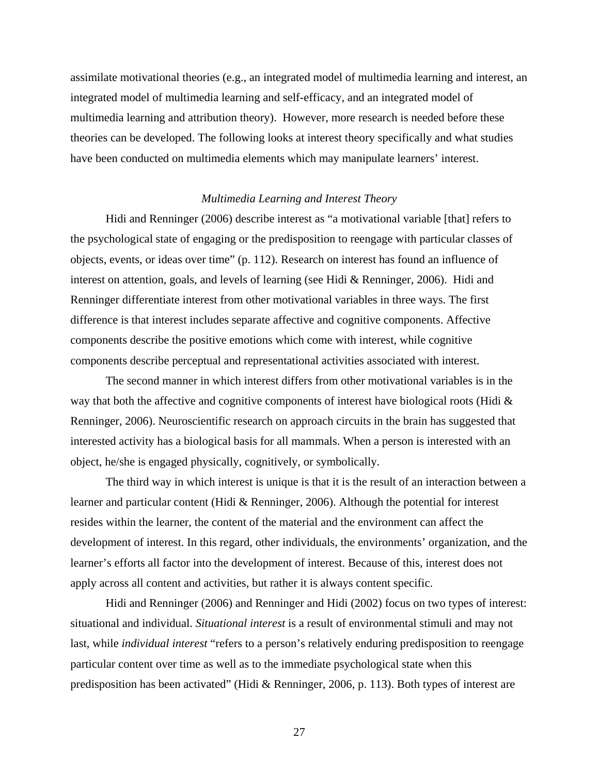assimilate motivational theories (e.g., an integrated model of multimedia learning and interest, an integrated model of multimedia learning and self-efficacy, and an integrated model of multimedia learning and attribution theory). However, more research is needed before these theories can be developed. The following looks at interest theory specifically and what studies have been conducted on multimedia elements which may manipulate learners' interest.

#### *Multimedia Learning and Interest Theory*

 Hidi and Renninger (2006) describe interest as "a motivational variable [that] refers to the psychological state of engaging or the predisposition to reengage with particular classes of objects, events, or ideas over time" (p. 112). Research on interest has found an influence of interest on attention, goals, and levels of learning (see Hidi & Renninger, 2006). Hidi and Renninger differentiate interest from other motivational variables in three ways. The first difference is that interest includes separate affective and cognitive components. Affective components describe the positive emotions which come with interest, while cognitive components describe perceptual and representational activities associated with interest.

The second manner in which interest differs from other motivational variables is in the way that both the affective and cognitive components of interest have biological roots (Hidi & Renninger, 2006). Neuroscientific research on approach circuits in the brain has suggested that interested activity has a biological basis for all mammals. When a person is interested with an object, he/she is engaged physically, cognitively, or symbolically.

The third way in which interest is unique is that it is the result of an interaction between a learner and particular content (Hidi & Renninger, 2006). Although the potential for interest resides within the learner, the content of the material and the environment can affect the development of interest. In this regard, other individuals, the environments' organization, and the learner's efforts all factor into the development of interest. Because of this, interest does not apply across all content and activities, but rather it is always content specific.

Hidi and Renninger (2006) and Renninger and Hidi (2002) focus on two types of interest: situational and individual. *Situational interest* is a result of environmental stimuli and may not last, while *individual interest* "refers to a person's relatively enduring predisposition to reengage particular content over time as well as to the immediate psychological state when this predisposition has been activated" (Hidi & Renninger, 2006, p. 113). Both types of interest are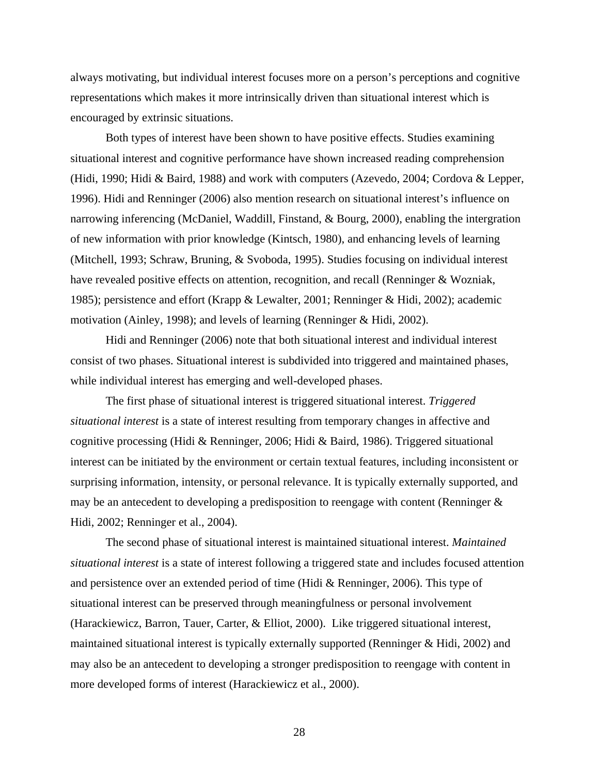always motivating, but individual interest focuses more on a person's perceptions and cognitive representations which makes it more intrinsically driven than situational interest which is encouraged by extrinsic situations.

Both types of interest have been shown to have positive effects. Studies examining situational interest and cognitive performance have shown increased reading comprehension (Hidi, 1990; Hidi & Baird, 1988) and work with computers (Azevedo, 2004; Cordova & Lepper, 1996). Hidi and Renninger (2006) also mention research on situational interest's influence on narrowing inferencing (McDaniel, Waddill, Finstand, & Bourg, 2000), enabling the intergration of new information with prior knowledge (Kintsch, 1980), and enhancing levels of learning (Mitchell, 1993; Schraw, Bruning, & Svoboda, 1995). Studies focusing on individual interest have revealed positive effects on attention, recognition, and recall (Renninger & Wozniak, 1985); persistence and effort (Krapp & Lewalter, 2001; Renninger & Hidi, 2002); academic motivation (Ainley, 1998); and levels of learning (Renninger & Hidi, 2002).

Hidi and Renninger (2006) note that both situational interest and individual interest consist of two phases. Situational interest is subdivided into triggered and maintained phases, while individual interest has emerging and well-developed phases.

The first phase of situational interest is triggered situational interest. *Triggered situational interest* is a state of interest resulting from temporary changes in affective and cognitive processing (Hidi & Renninger, 2006; Hidi & Baird, 1986). Triggered situational interest can be initiated by the environment or certain textual features, including inconsistent or surprising information, intensity, or personal relevance. It is typically externally supported, and may be an antecedent to developing a predisposition to reengage with content (Renninger & Hidi, 2002; Renninger et al., 2004).

The second phase of situational interest is maintained situational interest. *Maintained situational interest* is a state of interest following a triggered state and includes focused attention and persistence over an extended period of time (Hidi & Renninger, 2006). This type of situational interest can be preserved through meaningfulness or personal involvement (Harackiewicz, Barron, Tauer, Carter, & Elliot, 2000). Like triggered situational interest, maintained situational interest is typically externally supported (Renninger & Hidi, 2002) and may also be an antecedent to developing a stronger predisposition to reengage with content in more developed forms of interest (Harackiewicz et al., 2000).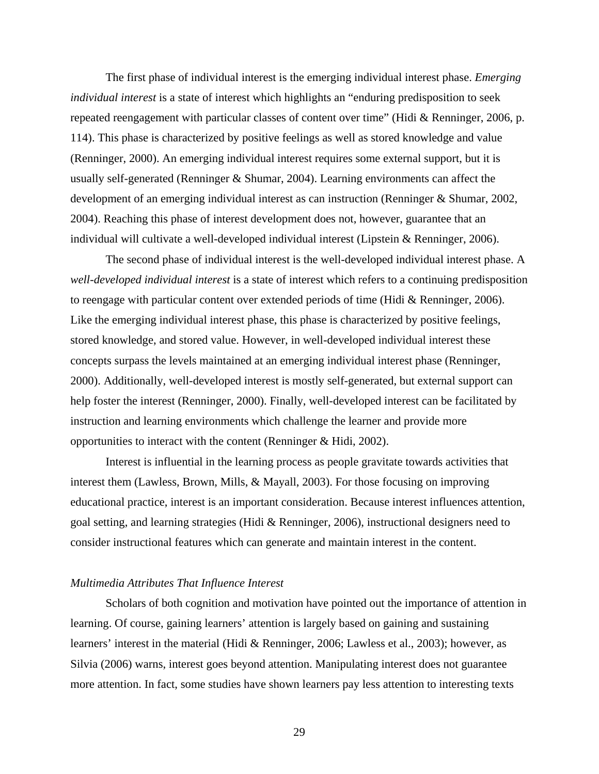The first phase of individual interest is the emerging individual interest phase. *Emerging individual interest* is a state of interest which highlights an "enduring predisposition to seek repeated reengagement with particular classes of content over time" (Hidi & Renninger, 2006, p. 114). This phase is characterized by positive feelings as well as stored knowledge and value (Renninger, 2000). An emerging individual interest requires some external support, but it is usually self-generated (Renninger & Shumar, 2004). Learning environments can affect the development of an emerging individual interest as can instruction (Renninger & Shumar, 2002, 2004). Reaching this phase of interest development does not, however, guarantee that an individual will cultivate a well-developed individual interest (Lipstein & Renninger, 2006).

The second phase of individual interest is the well-developed individual interest phase. A *well-developed individual interest* is a state of interest which refers to a continuing predisposition to reengage with particular content over extended periods of time (Hidi & Renninger, 2006). Like the emerging individual interest phase, this phase is characterized by positive feelings, stored knowledge, and stored value. However, in well-developed individual interest these concepts surpass the levels maintained at an emerging individual interest phase (Renninger, 2000). Additionally, well-developed interest is mostly self-generated, but external support can help foster the interest (Renninger, 2000). Finally, well-developed interest can be facilitated by instruction and learning environments which challenge the learner and provide more opportunities to interact with the content (Renninger & Hidi, 2002).

 Interest is influential in the learning process as people gravitate towards activities that interest them (Lawless, Brown, Mills, & Mayall, 2003). For those focusing on improving educational practice, interest is an important consideration. Because interest influences attention, goal setting, and learning strategies (Hidi & Renninger, 2006), instructional designers need to consider instructional features which can generate and maintain interest in the content.

#### *Multimedia Attributes That Influence Interest*

Scholars of both cognition and motivation have pointed out the importance of attention in learning. Of course, gaining learners' attention is largely based on gaining and sustaining learners' interest in the material (Hidi & Renninger, 2006; Lawless et al., 2003); however, as Silvia (2006) warns, interest goes beyond attention. Manipulating interest does not guarantee more attention. In fact, some studies have shown learners pay less attention to interesting texts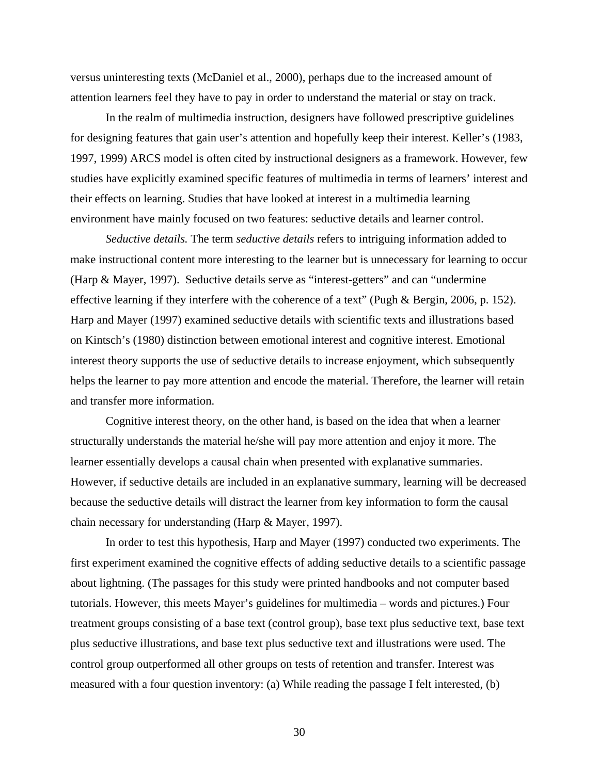versus uninteresting texts (McDaniel et al., 2000), perhaps due to the increased amount of attention learners feel they have to pay in order to understand the material or stay on track.

In the realm of multimedia instruction, designers have followed prescriptive guidelines for designing features that gain user's attention and hopefully keep their interest. Keller's (1983, 1997, 1999) ARCS model is often cited by instructional designers as a framework. However, few studies have explicitly examined specific features of multimedia in terms of learners' interest and their effects on learning. Studies that have looked at interest in a multimedia learning environment have mainly focused on two features: seductive details and learner control.

*Seductive details.* The term *seductive details* refers to intriguing information added to make instructional content more interesting to the learner but is unnecessary for learning to occur (Harp & Mayer, 1997). Seductive details serve as "interest-getters" and can "undermine effective learning if they interfere with the coherence of a text" (Pugh & Bergin, 2006, p. 152). Harp and Mayer (1997) examined seductive details with scientific texts and illustrations based on Kintsch's (1980) distinction between emotional interest and cognitive interest. Emotional interest theory supports the use of seductive details to increase enjoyment, which subsequently helps the learner to pay more attention and encode the material. Therefore, the learner will retain and transfer more information.

 Cognitive interest theory, on the other hand, is based on the idea that when a learner structurally understands the material he/she will pay more attention and enjoy it more. The learner essentially develops a causal chain when presented with explanative summaries. However, if seductive details are included in an explanative summary, learning will be decreased because the seductive details will distract the learner from key information to form the causal chain necessary for understanding (Harp & Mayer, 1997).

 In order to test this hypothesis, Harp and Mayer (1997) conducted two experiments. The first experiment examined the cognitive effects of adding seductive details to a scientific passage about lightning. (The passages for this study were printed handbooks and not computer based tutorials. However, this meets Mayer's guidelines for multimedia – words and pictures.) Four treatment groups consisting of a base text (control group), base text plus seductive text, base text plus seductive illustrations, and base text plus seductive text and illustrations were used. The control group outperformed all other groups on tests of retention and transfer. Interest was measured with a four question inventory: (a) While reading the passage I felt interested, (b)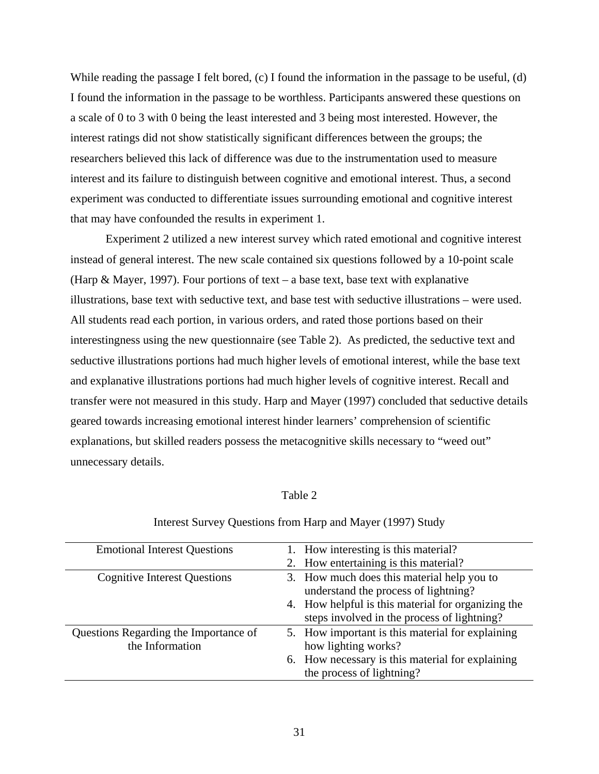While reading the passage I felt bored, (c) I found the information in the passage to be useful, (d) I found the information in the passage to be worthless. Participants answered these questions on a scale of 0 to 3 with 0 being the least interested and 3 being most interested. However, the interest ratings did not show statistically significant differences between the groups; the researchers believed this lack of difference was due to the instrumentation used to measure interest and its failure to distinguish between cognitive and emotional interest. Thus, a second experiment was conducted to differentiate issues surrounding emotional and cognitive interest that may have confounded the results in experiment 1.

 Experiment 2 utilized a new interest survey which rated emotional and cognitive interest instead of general interest. The new scale contained six questions followed by a 10-point scale (Harp & Mayer, 1997). Four portions of text – a base text, base text with explanative illustrations, base text with seductive text, and base test with seductive illustrations – were used. All students read each portion, in various orders, and rated those portions based on their interestingness using the new questionnaire (see Table 2). As predicted, the seductive text and seductive illustrations portions had much higher levels of emotional interest, while the base text and explanative illustrations portions had much higher levels of cognitive interest. Recall and transfer were not measured in this study. Harp and Mayer (1997) concluded that seductive details geared towards increasing emotional interest hinder learners' comprehension of scientific explanations, but skilled readers possess the metacognitive skills necessary to "weed out" unnecessary details.

#### Table 2

| <b>Emotional Interest Questions</b>   | 1. How interesting is this material?               |
|---------------------------------------|----------------------------------------------------|
|                                       | 2. How entertaining is this material?              |
| <b>Cognitive Interest Questions</b>   | 3. How much does this material help you to         |
|                                       | understand the process of lightning?               |
|                                       | 4. How helpful is this material for organizing the |
|                                       | steps involved in the process of lightning?        |
| Questions Regarding the Importance of | 5. How important is this material for explaining   |
| the Information                       | how lighting works?                                |
|                                       | 6. How necessary is this material for explaining   |
|                                       | the process of lightning?                          |

#### Interest Survey Questions from Harp and Mayer (1997) Study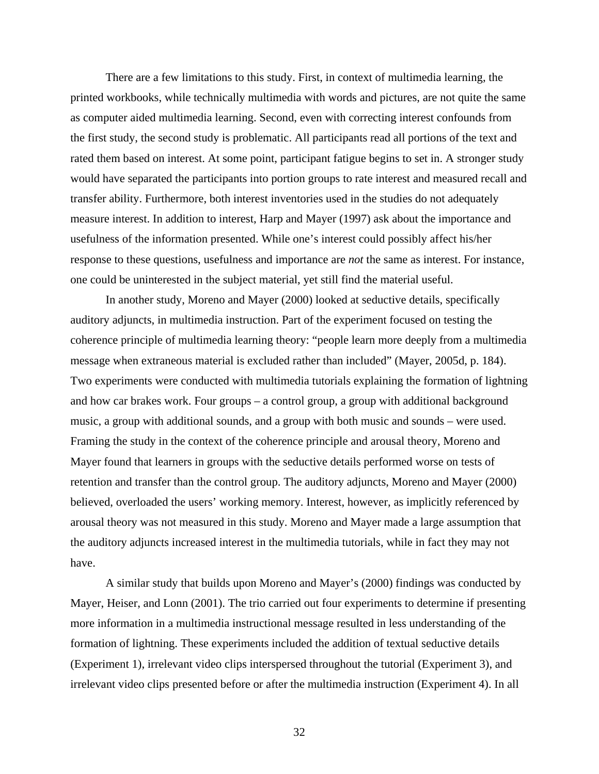There are a few limitations to this study. First, in context of multimedia learning, the printed workbooks, while technically multimedia with words and pictures, are not quite the same as computer aided multimedia learning. Second, even with correcting interest confounds from the first study, the second study is problematic. All participants read all portions of the text and rated them based on interest. At some point, participant fatigue begins to set in. A stronger study would have separated the participants into portion groups to rate interest and measured recall and transfer ability. Furthermore, both interest inventories used in the studies do not adequately measure interest. In addition to interest, Harp and Mayer (1997) ask about the importance and usefulness of the information presented. While one's interest could possibly affect his/her response to these questions, usefulness and importance are *not* the same as interest. For instance, one could be uninterested in the subject material, yet still find the material useful.

 In another study, Moreno and Mayer (2000) looked at seductive details, specifically auditory adjuncts, in multimedia instruction. Part of the experiment focused on testing the coherence principle of multimedia learning theory: "people learn more deeply from a multimedia message when extraneous material is excluded rather than included" (Mayer, 2005d, p. 184). Two experiments were conducted with multimedia tutorials explaining the formation of lightning and how car brakes work. Four groups – a control group, a group with additional background music, a group with additional sounds, and a group with both music and sounds – were used. Framing the study in the context of the coherence principle and arousal theory, Moreno and Mayer found that learners in groups with the seductive details performed worse on tests of retention and transfer than the control group. The auditory adjuncts, Moreno and Mayer (2000) believed, overloaded the users' working memory. Interest, however, as implicitly referenced by arousal theory was not measured in this study. Moreno and Mayer made a large assumption that the auditory adjuncts increased interest in the multimedia tutorials, while in fact they may not have.

 A similar study that builds upon Moreno and Mayer's (2000) findings was conducted by Mayer, Heiser, and Lonn (2001). The trio carried out four experiments to determine if presenting more information in a multimedia instructional message resulted in less understanding of the formation of lightning. These experiments included the addition of textual seductive details (Experiment 1), irrelevant video clips interspersed throughout the tutorial (Experiment 3), and irrelevant video clips presented before or after the multimedia instruction (Experiment 4). In all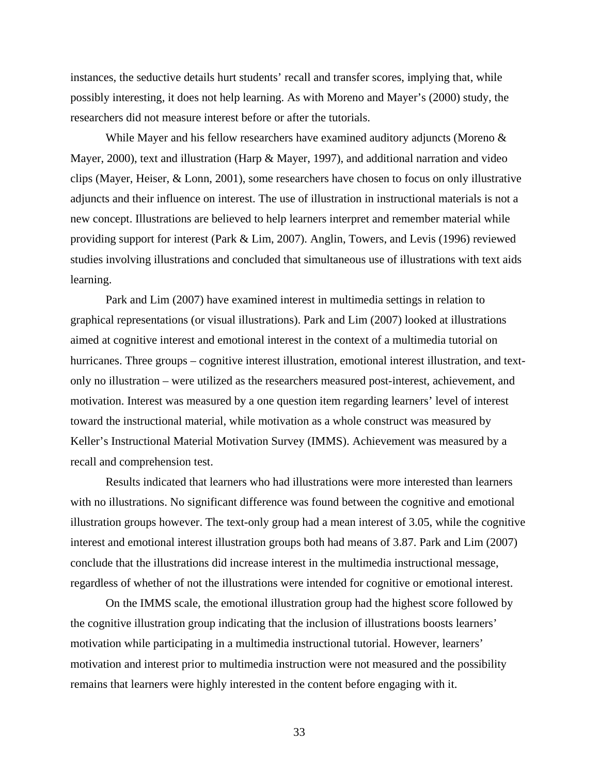instances, the seductive details hurt students' recall and transfer scores, implying that, while possibly interesting, it does not help learning. As with Moreno and Mayer's (2000) study, the researchers did not measure interest before or after the tutorials.

While Mayer and his fellow researchers have examined auditory adjuncts (Moreno  $\&$ Mayer, 2000), text and illustration (Harp & Mayer, 1997), and additional narration and video clips (Mayer, Heiser, & Lonn, 2001), some researchers have chosen to focus on only illustrative adjuncts and their influence on interest. The use of illustration in instructional materials is not a new concept. Illustrations are believed to help learners interpret and remember material while providing support for interest (Park & Lim, 2007). Anglin, Towers, and Levis (1996) reviewed studies involving illustrations and concluded that simultaneous use of illustrations with text aids learning.

Park and Lim (2007) have examined interest in multimedia settings in relation to graphical representations (or visual illustrations). Park and Lim (2007) looked at illustrations aimed at cognitive interest and emotional interest in the context of a multimedia tutorial on hurricanes. Three groups – cognitive interest illustration, emotional interest illustration, and textonly no illustration – were utilized as the researchers measured post-interest, achievement, and motivation. Interest was measured by a one question item regarding learners' level of interest toward the instructional material, while motivation as a whole construct was measured by Keller's Instructional Material Motivation Survey (IMMS). Achievement was measured by a recall and comprehension test.

Results indicated that learners who had illustrations were more interested than learners with no illustrations. No significant difference was found between the cognitive and emotional illustration groups however. The text-only group had a mean interest of 3.05, while the cognitive interest and emotional interest illustration groups both had means of 3.87. Park and Lim (2007) conclude that the illustrations did increase interest in the multimedia instructional message, regardless of whether of not the illustrations were intended for cognitive or emotional interest.

On the IMMS scale, the emotional illustration group had the highest score followed by the cognitive illustration group indicating that the inclusion of illustrations boosts learners' motivation while participating in a multimedia instructional tutorial. However, learners' motivation and interest prior to multimedia instruction were not measured and the possibility remains that learners were highly interested in the content before engaging with it.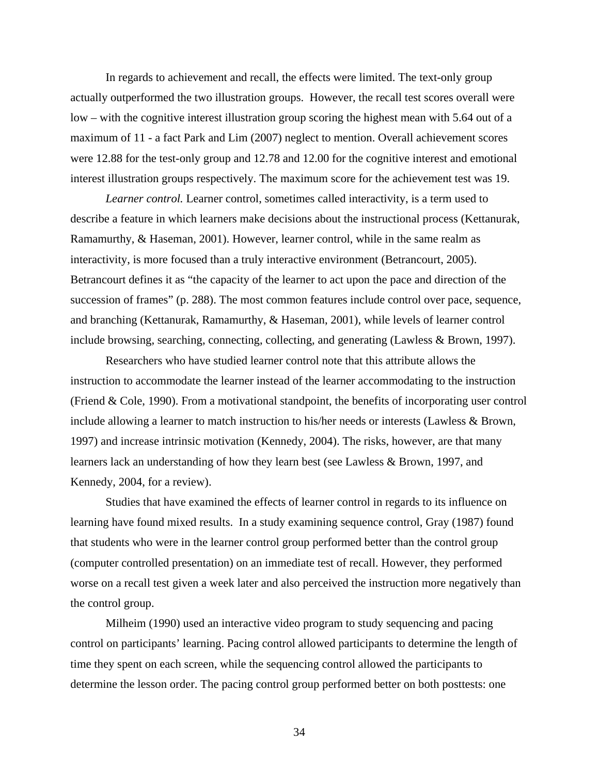In regards to achievement and recall, the effects were limited. The text-only group actually outperformed the two illustration groups. However, the recall test scores overall were low – with the cognitive interest illustration group scoring the highest mean with 5.64 out of a maximum of 11 - a fact Park and Lim (2007) neglect to mention. Overall achievement scores were 12.88 for the test-only group and 12.78 and 12.00 for the cognitive interest and emotional interest illustration groups respectively. The maximum score for the achievement test was 19.

*Learner control.* Learner control, sometimes called interactivity, is a term used to describe a feature in which learners make decisions about the instructional process (Kettanurak, Ramamurthy, & Haseman, 2001). However, learner control, while in the same realm as interactivity, is more focused than a truly interactive environment (Betrancourt, 2005). Betrancourt defines it as "the capacity of the learner to act upon the pace and direction of the succession of frames" (p. 288). The most common features include control over pace, sequence, and branching (Kettanurak, Ramamurthy, & Haseman, 2001), while levels of learner control include browsing, searching, connecting, collecting, and generating (Lawless & Brown, 1997).

Researchers who have studied learner control note that this attribute allows the instruction to accommodate the learner instead of the learner accommodating to the instruction (Friend & Cole, 1990). From a motivational standpoint, the benefits of incorporating user control include allowing a learner to match instruction to his/her needs or interests (Lawless & Brown, 1997) and increase intrinsic motivation (Kennedy, 2004). The risks, however, are that many learners lack an understanding of how they learn best (see Lawless & Brown, 1997, and Kennedy, 2004, for a review).

Studies that have examined the effects of learner control in regards to its influence on learning have found mixed results. In a study examining sequence control, Gray (1987) found that students who were in the learner control group performed better than the control group (computer controlled presentation) on an immediate test of recall. However, they performed worse on a recall test given a week later and also perceived the instruction more negatively than the control group.

Milheim (1990) used an interactive video program to study sequencing and pacing control on participants' learning. Pacing control allowed participants to determine the length of time they spent on each screen, while the sequencing control allowed the participants to determine the lesson order. The pacing control group performed better on both posttests: one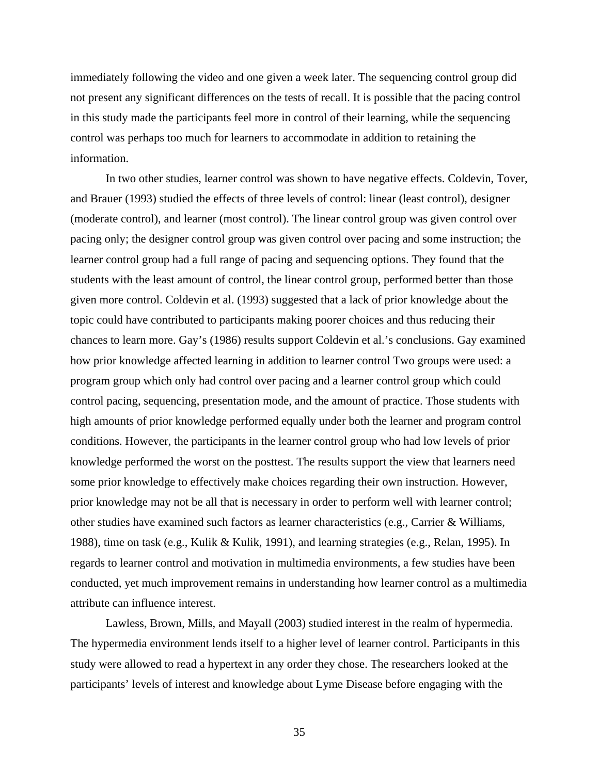immediately following the video and one given a week later. The sequencing control group did not present any significant differences on the tests of recall. It is possible that the pacing control in this study made the participants feel more in control of their learning, while the sequencing control was perhaps too much for learners to accommodate in addition to retaining the information.

In two other studies, learner control was shown to have negative effects. Coldevin, Tover, and Brauer (1993) studied the effects of three levels of control: linear (least control), designer (moderate control), and learner (most control). The linear control group was given control over pacing only; the designer control group was given control over pacing and some instruction; the learner control group had a full range of pacing and sequencing options. They found that the students with the least amount of control, the linear control group, performed better than those given more control. Coldevin et al. (1993) suggested that a lack of prior knowledge about the topic could have contributed to participants making poorer choices and thus reducing their chances to learn more. Gay's (1986) results support Coldevin et al.'s conclusions. Gay examined how prior knowledge affected learning in addition to learner control Two groups were used: a program group which only had control over pacing and a learner control group which could control pacing, sequencing, presentation mode, and the amount of practice. Those students with high amounts of prior knowledge performed equally under both the learner and program control conditions. However, the participants in the learner control group who had low levels of prior knowledge performed the worst on the posttest. The results support the view that learners need some prior knowledge to effectively make choices regarding their own instruction. However, prior knowledge may not be all that is necessary in order to perform well with learner control; other studies have examined such factors as learner characteristics (e.g., Carrier & Williams, 1988), time on task (e.g., Kulik & Kulik, 1991), and learning strategies (e.g., Relan, 1995). In regards to learner control and motivation in multimedia environments, a few studies have been conducted, yet much improvement remains in understanding how learner control as a multimedia attribute can influence interest.

 Lawless, Brown, Mills, and Mayall (2003) studied interest in the realm of hypermedia. The hypermedia environment lends itself to a higher level of learner control. Participants in this study were allowed to read a hypertext in any order they chose. The researchers looked at the participants' levels of interest and knowledge about Lyme Disease before engaging with the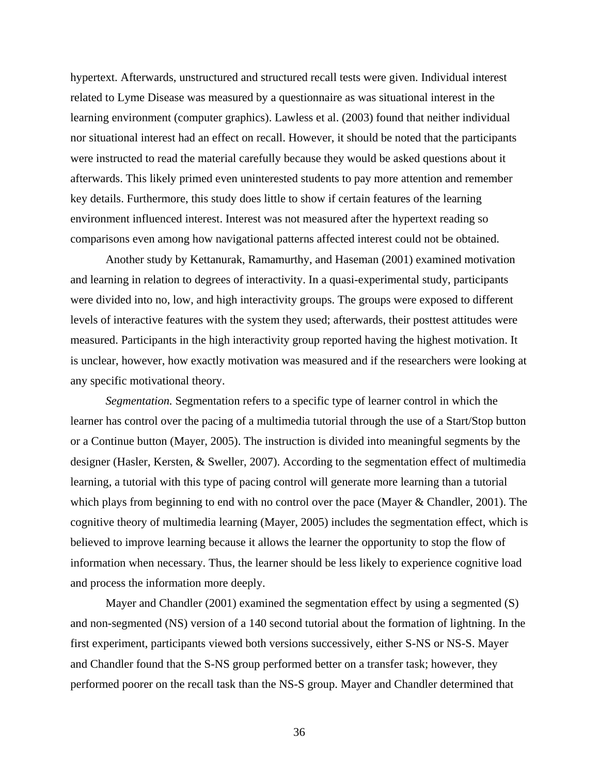hypertext. Afterwards, unstructured and structured recall tests were given. Individual interest related to Lyme Disease was measured by a questionnaire as was situational interest in the learning environment (computer graphics). Lawless et al. (2003) found that neither individual nor situational interest had an effect on recall. However, it should be noted that the participants were instructed to read the material carefully because they would be asked questions about it afterwards. This likely primed even uninterested students to pay more attention and remember key details. Furthermore, this study does little to show if certain features of the learning environment influenced interest. Interest was not measured after the hypertext reading so comparisons even among how navigational patterns affected interest could not be obtained.

 Another study by Kettanurak, Ramamurthy, and Haseman (2001) examined motivation and learning in relation to degrees of interactivity. In a quasi-experimental study, participants were divided into no, low, and high interactivity groups. The groups were exposed to different levels of interactive features with the system they used; afterwards, their posttest attitudes were measured. Participants in the high interactivity group reported having the highest motivation. It is unclear, however, how exactly motivation was measured and if the researchers were looking at any specific motivational theory.

*Segmentation.* Segmentation refers to a specific type of learner control in which the learner has control over the pacing of a multimedia tutorial through the use of a Start/Stop button or a Continue button (Mayer, 2005). The instruction is divided into meaningful segments by the designer (Hasler, Kersten, & Sweller, 2007). According to the segmentation effect of multimedia learning, a tutorial with this type of pacing control will generate more learning than a tutorial which plays from beginning to end with no control over the pace (Mayer & Chandler, 2001). The cognitive theory of multimedia learning (Mayer, 2005) includes the segmentation effect, which is believed to improve learning because it allows the learner the opportunity to stop the flow of information when necessary. Thus, the learner should be less likely to experience cognitive load and process the information more deeply.

Mayer and Chandler (2001) examined the segmentation effect by using a segmented (S) and non-segmented (NS) version of a 140 second tutorial about the formation of lightning. In the first experiment, participants viewed both versions successively, either S-NS or NS-S. Mayer and Chandler found that the S-NS group performed better on a transfer task; however, they performed poorer on the recall task than the NS-S group. Mayer and Chandler determined that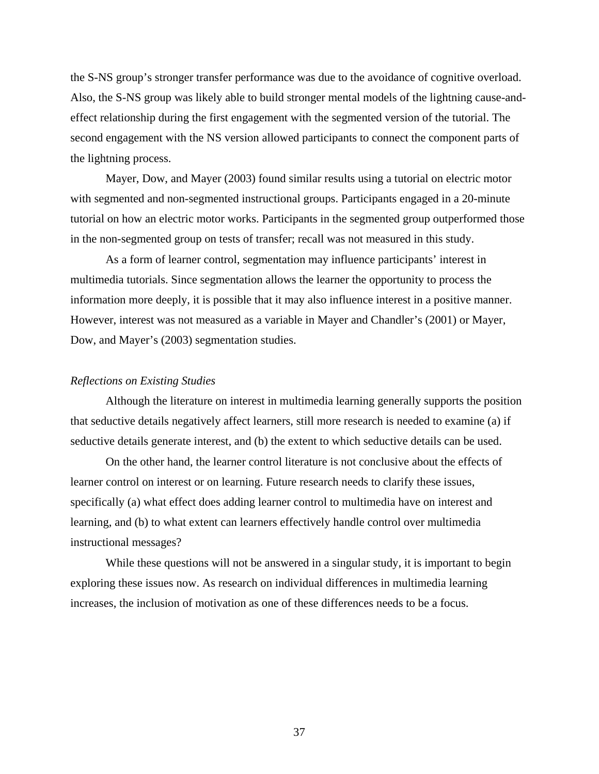the S-NS group's stronger transfer performance was due to the avoidance of cognitive overload. Also, the S-NS group was likely able to build stronger mental models of the lightning cause-andeffect relationship during the first engagement with the segmented version of the tutorial. The second engagement with the NS version allowed participants to connect the component parts of the lightning process.

Mayer, Dow, and Mayer (2003) found similar results using a tutorial on electric motor with segmented and non-segmented instructional groups. Participants engaged in a 20-minute tutorial on how an electric motor works. Participants in the segmented group outperformed those in the non-segmented group on tests of transfer; recall was not measured in this study.

As a form of learner control, segmentation may influence participants' interest in multimedia tutorials. Since segmentation allows the learner the opportunity to process the information more deeply, it is possible that it may also influence interest in a positive manner. However, interest was not measured as a variable in Mayer and Chandler's (2001) or Mayer, Dow, and Mayer's (2003) segmentation studies.

## *Reflections on Existing Studies*

 Although the literature on interest in multimedia learning generally supports the position that seductive details negatively affect learners, still more research is needed to examine (a) if seductive details generate interest, and (b) the extent to which seductive details can be used.

 On the other hand, the learner control literature is not conclusive about the effects of learner control on interest or on learning. Future research needs to clarify these issues, specifically (a) what effect does adding learner control to multimedia have on interest and learning, and (b) to what extent can learners effectively handle control over multimedia instructional messages?

While these questions will not be answered in a singular study, it is important to begin exploring these issues now. As research on individual differences in multimedia learning increases, the inclusion of motivation as one of these differences needs to be a focus.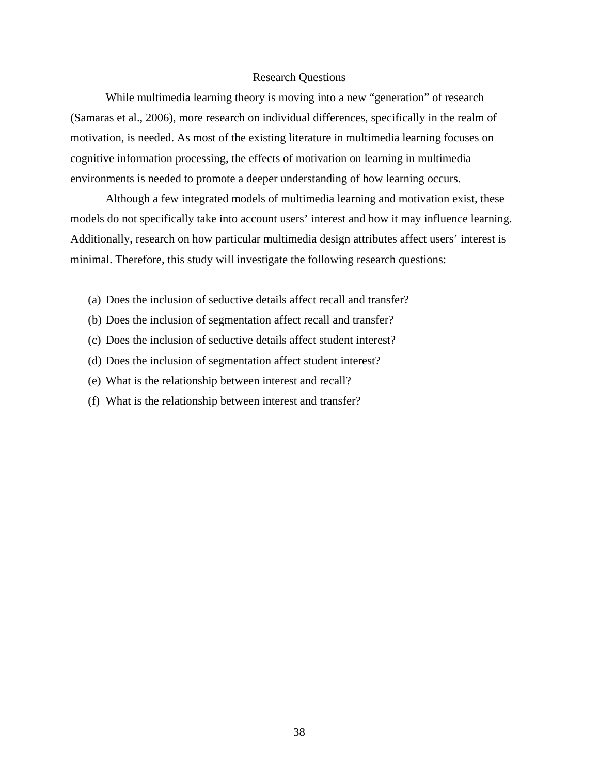### Research Questions

 While multimedia learning theory is moving into a new "generation" of research (Samaras et al., 2006), more research on individual differences, specifically in the realm of motivation, is needed. As most of the existing literature in multimedia learning focuses on cognitive information processing, the effects of motivation on learning in multimedia environments is needed to promote a deeper understanding of how learning occurs.

 Although a few integrated models of multimedia learning and motivation exist, these models do not specifically take into account users' interest and how it may influence learning. Additionally, research on how particular multimedia design attributes affect users' interest is minimal. Therefore, this study will investigate the following research questions:

- (a) Does the inclusion of seductive details affect recall and transfer?
- (b) Does the inclusion of segmentation affect recall and transfer?
- (c) Does the inclusion of seductive details affect student interest?
- (d) Does the inclusion of segmentation affect student interest?
- (e) What is the relationship between interest and recall?
- (f) What is the relationship between interest and transfer?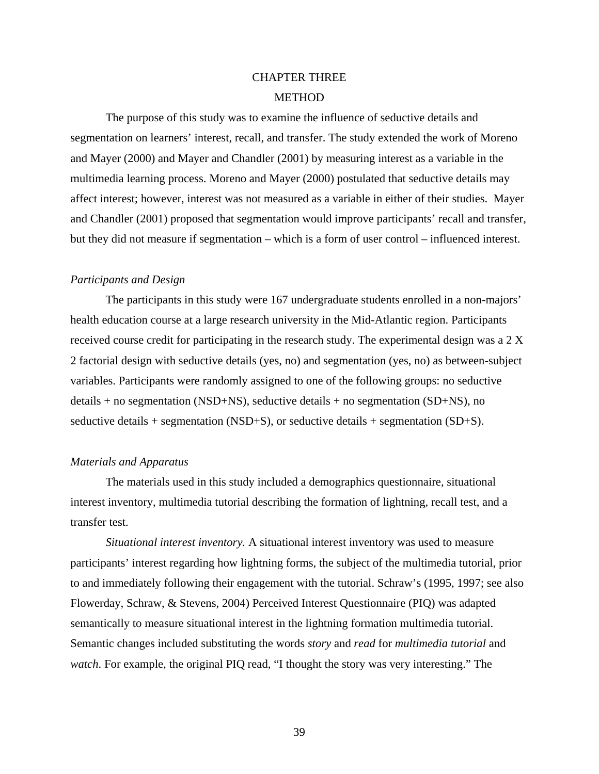# CHAPTER THREE **METHOD**

The purpose of this study was to examine the influence of seductive details and segmentation on learners' interest, recall, and transfer. The study extended the work of Moreno and Mayer (2000) and Mayer and Chandler (2001) by measuring interest as a variable in the multimedia learning process. Moreno and Mayer (2000) postulated that seductive details may affect interest; however, interest was not measured as a variable in either of their studies. Mayer and Chandler (2001) proposed that segmentation would improve participants' recall and transfer, but they did not measure if segmentation – which is a form of user control – influenced interest.

#### *Participants and Design*

The participants in this study were 167 undergraduate students enrolled in a non-majors' health education course at a large research university in the Mid-Atlantic region. Participants received course credit for participating in the research study. The experimental design was a 2 X 2 factorial design with seductive details (yes, no) and segmentation (yes, no) as between-subject variables. Participants were randomly assigned to one of the following groups: no seductive details + no segmentation (NSD+NS), seductive details + no segmentation (SD+NS), no seductive details + segmentation (NSD+S), or seductive details + segmentation (SD+S).

#### *Materials and Apparatus*

The materials used in this study included a demographics questionnaire, situational interest inventory, multimedia tutorial describing the formation of lightning, recall test, and a transfer test.

*Situational interest inventory.* A situational interest inventory was used to measure participants' interest regarding how lightning forms, the subject of the multimedia tutorial, prior to and immediately following their engagement with the tutorial. Schraw's (1995, 1997; see also Flowerday, Schraw, & Stevens, 2004) Perceived Interest Questionnaire (PIQ) was adapted semantically to measure situational interest in the lightning formation multimedia tutorial. Semantic changes included substituting the words *story* and *read* for *multimedia tutorial* and *watch*. For example, the original PIQ read, "I thought the story was very interesting." The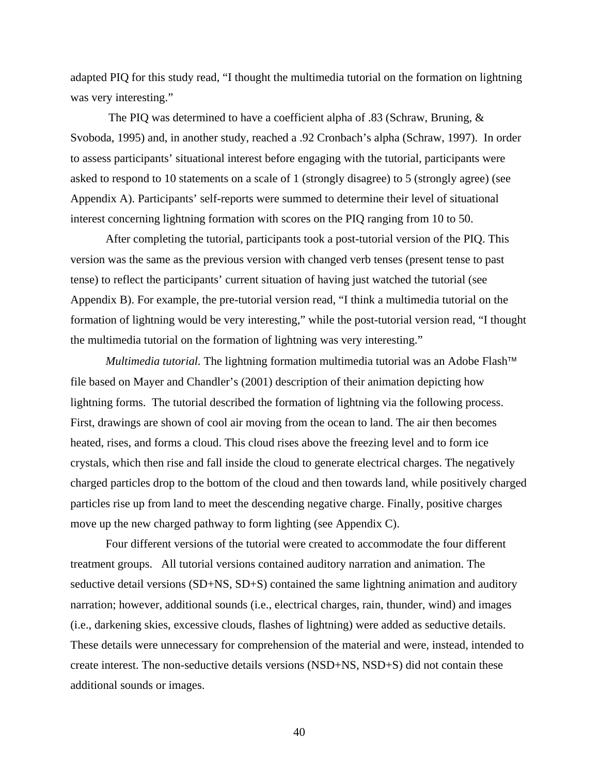adapted PIQ for this study read, "I thought the multimedia tutorial on the formation on lightning was very interesting."

 The PIQ was determined to have a coefficient alpha of .83 (Schraw, Bruning, & Svoboda, 1995) and, in another study, reached a .92 Cronbach's alpha (Schraw, 1997). In order to assess participants' situational interest before engaging with the tutorial, participants were asked to respond to 10 statements on a scale of 1 (strongly disagree) to 5 (strongly agree) (see Appendix A). Participants' self-reports were summed to determine their level of situational interest concerning lightning formation with scores on the PIQ ranging from 10 to 50.

 After completing the tutorial, participants took a post-tutorial version of the PIQ. This version was the same as the previous version with changed verb tenses (present tense to past tense) to reflect the participants' current situation of having just watched the tutorial (see Appendix B). For example, the pre-tutorial version read, "I think a multimedia tutorial on the formation of lightning would be very interesting," while the post-tutorial version read, "I thought the multimedia tutorial on the formation of lightning was very interesting."

*Multimedia tutorial.* The lightning formation multimedia tutorial was an Adobe Flash™ file based on Mayer and Chandler's (2001) description of their animation depicting how lightning forms. The tutorial described the formation of lightning via the following process. First, drawings are shown of cool air moving from the ocean to land. The air then becomes heated, rises, and forms a cloud. This cloud rises above the freezing level and to form ice crystals, which then rise and fall inside the cloud to generate electrical charges. The negatively charged particles drop to the bottom of the cloud and then towards land, while positively charged particles rise up from land to meet the descending negative charge. Finally, positive charges move up the new charged pathway to form lighting (see Appendix C).

Four different versions of the tutorial were created to accommodate the four different treatment groups. All tutorial versions contained auditory narration and animation. The seductive detail versions (SD+NS, SD+S) contained the same lightning animation and auditory narration; however, additional sounds (i.e., electrical charges, rain, thunder, wind) and images (i.e., darkening skies, excessive clouds, flashes of lightning) were added as seductive details. These details were unnecessary for comprehension of the material and were, instead, intended to create interest. The non-seductive details versions (NSD+NS, NSD+S) did not contain these additional sounds or images.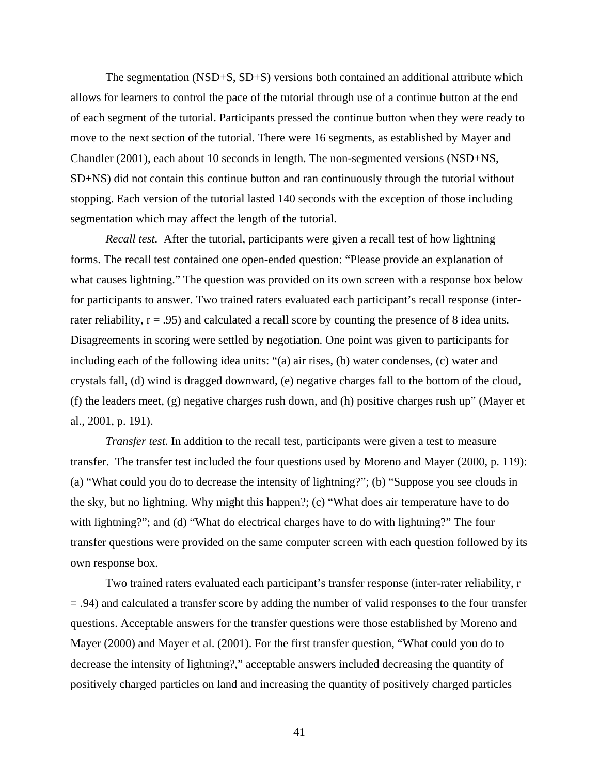The segmentation (NSD+S, SD+S) versions both contained an additional attribute which allows for learners to control the pace of the tutorial through use of a continue button at the end of each segment of the tutorial. Participants pressed the continue button when they were ready to move to the next section of the tutorial. There were 16 segments, as established by Mayer and Chandler (2001), each about 10 seconds in length. The non-segmented versions (NSD+NS, SD+NS) did not contain this continue button and ran continuously through the tutorial without stopping. Each version of the tutorial lasted 140 seconds with the exception of those including segmentation which may affect the length of the tutorial.

*Recall test.* After the tutorial, participants were given a recall test of how lightning forms. The recall test contained one open-ended question: "Please provide an explanation of what causes lightning." The question was provided on its own screen with a response box below for participants to answer. Two trained raters evaluated each participant's recall response (interrater reliability,  $r = .95$ ) and calculated a recall score by counting the presence of 8 idea units. Disagreements in scoring were settled by negotiation. One point was given to participants for including each of the following idea units: "(a) air rises, (b) water condenses, (c) water and crystals fall, (d) wind is dragged downward, (e) negative charges fall to the bottom of the cloud, (f) the leaders meet, (g) negative charges rush down, and (h) positive charges rush up" (Mayer et al., 2001, p. 191).

*Transfer test.* In addition to the recall test, participants were given a test to measure transfer. The transfer test included the four questions used by Moreno and Mayer (2000, p. 119): (a) "What could you do to decrease the intensity of lightning?"; (b) "Suppose you see clouds in the sky, but no lightning. Why might this happen?; (c) "What does air temperature have to do with lightning?"; and (d) "What do electrical charges have to do with lightning?" The four transfer questions were provided on the same computer screen with each question followed by its own response box.

Two trained raters evaluated each participant's transfer response (inter-rater reliability, r = .94) and calculated a transfer score by adding the number of valid responses to the four transfer questions. Acceptable answers for the transfer questions were those established by Moreno and Mayer (2000) and Mayer et al. (2001). For the first transfer question, "What could you do to decrease the intensity of lightning?," acceptable answers included decreasing the quantity of positively charged particles on land and increasing the quantity of positively charged particles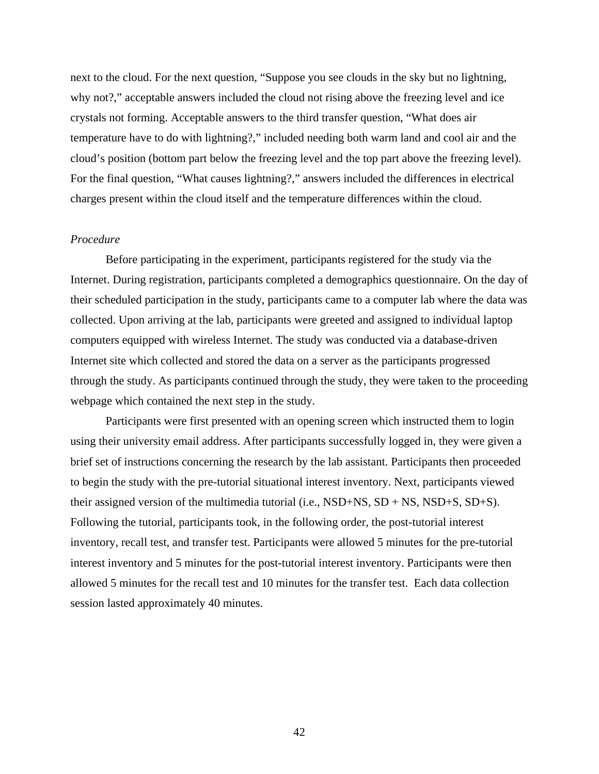next to the cloud. For the next question, "Suppose you see clouds in the sky but no lightning, why not?," acceptable answers included the cloud not rising above the freezing level and ice crystals not forming. Acceptable answers to the third transfer question, "What does air temperature have to do with lightning?," included needing both warm land and cool air and the cloud's position (bottom part below the freezing level and the top part above the freezing level). For the final question, "What causes lightning?," answers included the differences in electrical charges present within the cloud itself and the temperature differences within the cloud.

#### *Procedure*

 Before participating in the experiment, participants registered for the study via the Internet. During registration, participants completed a demographics questionnaire. On the day of their scheduled participation in the study, participants came to a computer lab where the data was collected. Upon arriving at the lab, participants were greeted and assigned to individual laptop computers equipped with wireless Internet. The study was conducted via a database-driven Internet site which collected and stored the data on a server as the participants progressed through the study. As participants continued through the study, they were taken to the proceeding webpage which contained the next step in the study.

Participants were first presented with an opening screen which instructed them to login using their university email address. After participants successfully logged in, they were given a brief set of instructions concerning the research by the lab assistant. Participants then proceeded to begin the study with the pre-tutorial situational interest inventory. Next, participants viewed their assigned version of the multimedia tutorial (i.e.,  $NSD+NS$ ,  $SD + NS$ ,  $NSD+S$ ,  $SD+S$ ). Following the tutorial, participants took, in the following order, the post-tutorial interest inventory, recall test, and transfer test. Participants were allowed 5 minutes for the pre-tutorial interest inventory and 5 minutes for the post-tutorial interest inventory. Participants were then allowed 5 minutes for the recall test and 10 minutes for the transfer test. Each data collection session lasted approximately 40 minutes.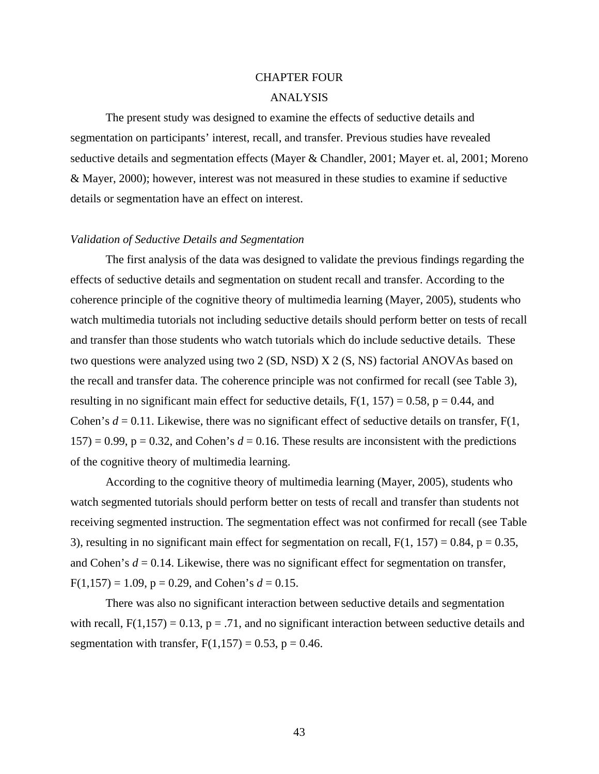# CHAPTER FOUR ANALYSIS

The present study was designed to examine the effects of seductive details and segmentation on participants' interest, recall, and transfer. Previous studies have revealed seductive details and segmentation effects (Mayer & Chandler, 2001; Mayer et. al, 2001; Moreno & Mayer, 2000); however, interest was not measured in these studies to examine if seductive details or segmentation have an effect on interest.

#### *Validation of Seductive Details and Segmentation*

The first analysis of the data was designed to validate the previous findings regarding the effects of seductive details and segmentation on student recall and transfer. According to the coherence principle of the cognitive theory of multimedia learning (Mayer, 2005), students who watch multimedia tutorials not including seductive details should perform better on tests of recall and transfer than those students who watch tutorials which do include seductive details. These two questions were analyzed using two 2 (SD, NSD) X 2 (S, NS) factorial ANOVAs based on the recall and transfer data. The coherence principle was not confirmed for recall (see Table 3), resulting in no significant main effect for seductive details,  $F(1, 157) = 0.58$ ,  $p = 0.44$ , and Cohen's  $d = 0.11$ . Likewise, there was no significant effect of seductive details on transfer,  $F(1, 1)$  $157$ ) = 0.99, p = 0.32, and Cohen's  $d = 0.16$ . These results are inconsistent with the predictions of the cognitive theory of multimedia learning.

According to the cognitive theory of multimedia learning (Mayer, 2005), students who watch segmented tutorials should perform better on tests of recall and transfer than students not receiving segmented instruction. The segmentation effect was not confirmed for recall (see Table 3), resulting in no significant main effect for segmentation on recall,  $F(1, 157) = 0.84$ ,  $p = 0.35$ , and Cohen's  $d = 0.14$ . Likewise, there was no significant effect for segmentation on transfer,  $F(1,157) = 1.09$ ,  $p = 0.29$ , and Cohen's  $d = 0.15$ .

There was also no significant interaction between seductive details and segmentation with recall,  $F(1,157) = 0.13$ ,  $p = .71$ , and no significant interaction between seductive details and segmentation with transfer,  $F(1,157) = 0.53$ ,  $p = 0.46$ .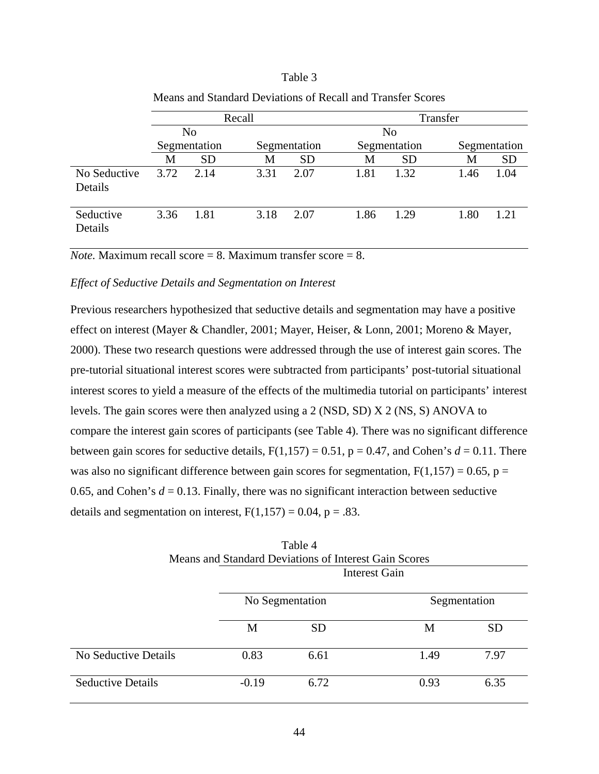## Table 3

|                         | Recall       |                |      |              | Transfer |                |      |              |  |
|-------------------------|--------------|----------------|------|--------------|----------|----------------|------|--------------|--|
|                         |              | N <sub>o</sub> |      |              |          | N <sub>o</sub> |      |              |  |
|                         | Segmentation |                |      | Segmentation |          | Segmentation   |      | Segmentation |  |
|                         | М            | <b>SD</b>      | M    | <b>SD</b>    | M        | <b>SD</b>      | М    | <b>SD</b>    |  |
| No Seductive<br>Details | 3.72         | 2.14           | 3.31 | 2.07         | 1.81     | 1.32           | 1.46 | 1.04         |  |
| Seductive<br>Details    | 3.36         | 1.81           | 3.18 | 2.07         | 1.86     | 1.29           | 1.80 | 1 21         |  |

Means and Standard Deviations of Recall and Transfer Scores

*Note.* Maximum recall score = 8. Maximum transfer score =  $8$ .

# *Effect of Seductive Details and Segmentation on Interest*

Previous researchers hypothesized that seductive details and segmentation may have a positive effect on interest (Mayer & Chandler, 2001; Mayer, Heiser, & Lonn, 2001; Moreno & Mayer, 2000). These two research questions were addressed through the use of interest gain scores. The pre-tutorial situational interest scores were subtracted from participants' post-tutorial situational interest scores to yield a measure of the effects of the multimedia tutorial on participants' interest levels. The gain scores were then analyzed using a 2 (NSD, SD) X 2 (NS, S) ANOVA to compare the interest gain scores of participants (see Table 4). There was no significant difference between gain scores for seductive details,  $F(1,157) = 0.51$ ,  $p = 0.47$ , and Cohen's  $d = 0.11$ . There was also no significant difference between gain scores for segmentation,  $F(1,157) = 0.65$ ,  $p =$ 0.65, and Cohen's  $d = 0.13$ . Finally, there was no significant interaction between seductive details and segmentation on interest,  $F(1,157) = 0.04$ ,  $p = .83$ .

|                             |         | TUOIVI                                                |                      |              |  |
|-----------------------------|---------|-------------------------------------------------------|----------------------|--------------|--|
|                             |         | Means and Standard Deviations of Interest Gain Scores |                      |              |  |
|                             |         |                                                       | <b>Interest Gain</b> |              |  |
|                             |         | No Segmentation                                       |                      | Segmentation |  |
|                             | M       | <b>SD</b>                                             | M                    | <b>SD</b>    |  |
| <b>No Seductive Details</b> | 0.83    | 6.61                                                  | 1.49                 | 7.97         |  |
| <b>Seductive Details</b>    | $-0.19$ | 6.72                                                  | 0.93                 | 6.35         |  |

| Table 4                                               |
|-------------------------------------------------------|
| Means and Standard Deviations of Interest Gain Scores |
| Interest Gain                                         |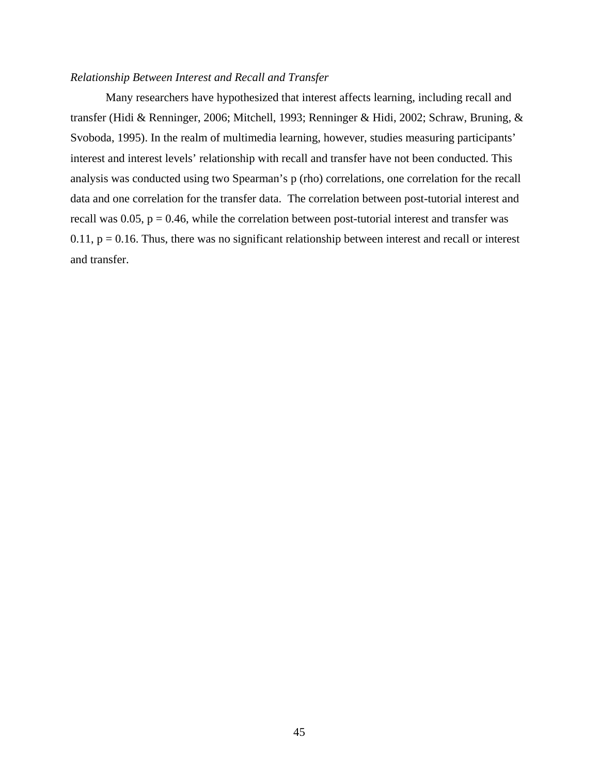## *Relationship Between Interest and Recall and Transfer*

Many researchers have hypothesized that interest affects learning, including recall and transfer (Hidi & Renninger, 2006; Mitchell, 1993; Renninger & Hidi, 2002; Schraw, Bruning, & Svoboda, 1995). In the realm of multimedia learning, however, studies measuring participants' interest and interest levels' relationship with recall and transfer have not been conducted. This analysis was conducted using two Spearman's p (rho) correlations, one correlation for the recall data and one correlation for the transfer data. The correlation between post-tutorial interest and recall was  $0.05$ ,  $p = 0.46$ , while the correlation between post-tutorial interest and transfer was  $0.11$ ,  $p = 0.16$ . Thus, there was no significant relationship between interest and recall or interest and transfer.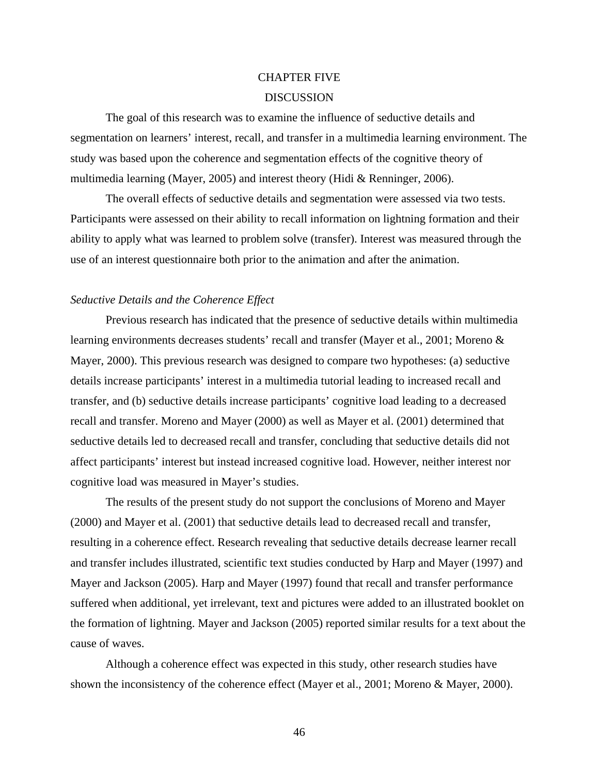# CHAPTER FIVE **DISCUSSION**

 The goal of this research was to examine the influence of seductive details and segmentation on learners' interest, recall, and transfer in a multimedia learning environment. The study was based upon the coherence and segmentation effects of the cognitive theory of multimedia learning (Mayer, 2005) and interest theory (Hidi & Renninger, 2006).

 The overall effects of seductive details and segmentation were assessed via two tests. Participants were assessed on their ability to recall information on lightning formation and their ability to apply what was learned to problem solve (transfer). Interest was measured through the use of an interest questionnaire both prior to the animation and after the animation.

#### *Seductive Details and the Coherence Effect*

Previous research has indicated that the presence of seductive details within multimedia learning environments decreases students' recall and transfer (Mayer et al., 2001; Moreno & Mayer, 2000). This previous research was designed to compare two hypotheses: (a) seductive details increase participants' interest in a multimedia tutorial leading to increased recall and transfer, and (b) seductive details increase participants' cognitive load leading to a decreased recall and transfer. Moreno and Mayer (2000) as well as Mayer et al. (2001) determined that seductive details led to decreased recall and transfer, concluding that seductive details did not affect participants' interest but instead increased cognitive load. However, neither interest nor cognitive load was measured in Mayer's studies.

 The results of the present study do not support the conclusions of Moreno and Mayer (2000) and Mayer et al. (2001) that seductive details lead to decreased recall and transfer, resulting in a coherence effect. Research revealing that seductive details decrease learner recall and transfer includes illustrated, scientific text studies conducted by Harp and Mayer (1997) and Mayer and Jackson (2005). Harp and Mayer (1997) found that recall and transfer performance suffered when additional, yet irrelevant, text and pictures were added to an illustrated booklet on the formation of lightning. Mayer and Jackson (2005) reported similar results for a text about the cause of waves.

Although a coherence effect was expected in this study, other research studies have shown the inconsistency of the coherence effect (Mayer et al., 2001; Moreno & Mayer, 2000).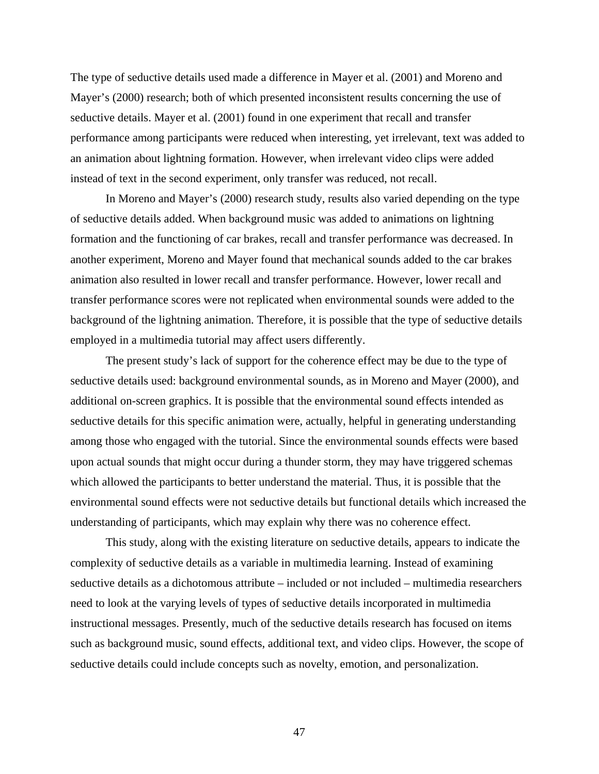The type of seductive details used made a difference in Mayer et al. (2001) and Moreno and Mayer's (2000) research; both of which presented inconsistent results concerning the use of seductive details. Mayer et al. (2001) found in one experiment that recall and transfer performance among participants were reduced when interesting, yet irrelevant, text was added to an animation about lightning formation. However, when irrelevant video clips were added instead of text in the second experiment, only transfer was reduced, not recall.

In Moreno and Mayer's (2000) research study, results also varied depending on the type of seductive details added. When background music was added to animations on lightning formation and the functioning of car brakes, recall and transfer performance was decreased. In another experiment, Moreno and Mayer found that mechanical sounds added to the car brakes animation also resulted in lower recall and transfer performance. However, lower recall and transfer performance scores were not replicated when environmental sounds were added to the background of the lightning animation. Therefore, it is possible that the type of seductive details employed in a multimedia tutorial may affect users differently.

The present study's lack of support for the coherence effect may be due to the type of seductive details used: background environmental sounds, as in Moreno and Mayer (2000), and additional on-screen graphics. It is possible that the environmental sound effects intended as seductive details for this specific animation were, actually, helpful in generating understanding among those who engaged with the tutorial. Since the environmental sounds effects were based upon actual sounds that might occur during a thunder storm, they may have triggered schemas which allowed the participants to better understand the material. Thus, it is possible that the environmental sound effects were not seductive details but functional details which increased the understanding of participants, which may explain why there was no coherence effect.

This study, along with the existing literature on seductive details, appears to indicate the complexity of seductive details as a variable in multimedia learning. Instead of examining seductive details as a dichotomous attribute – included or not included – multimedia researchers need to look at the varying levels of types of seductive details incorporated in multimedia instructional messages. Presently, much of the seductive details research has focused on items such as background music, sound effects, additional text, and video clips. However, the scope of seductive details could include concepts such as novelty, emotion, and personalization.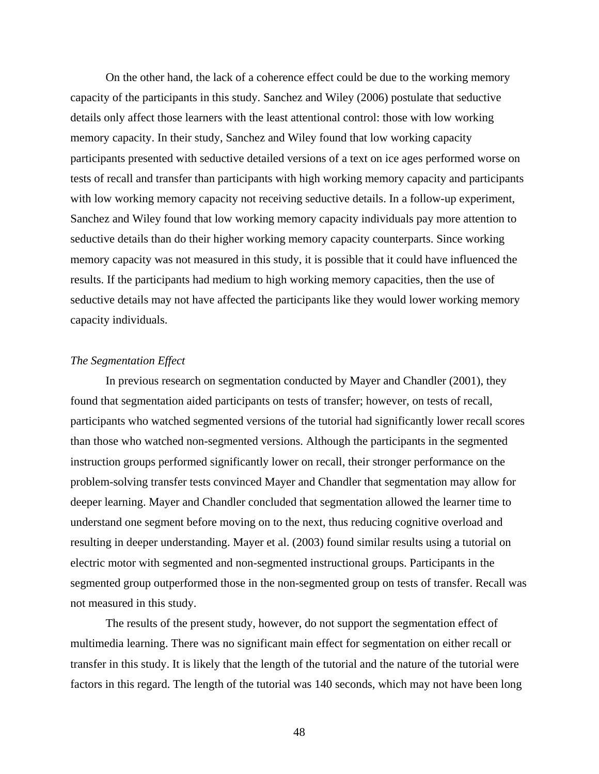On the other hand, the lack of a coherence effect could be due to the working memory capacity of the participants in this study. Sanchez and Wiley (2006) postulate that seductive details only affect those learners with the least attentional control: those with low working memory capacity. In their study, Sanchez and Wiley found that low working capacity participants presented with seductive detailed versions of a text on ice ages performed worse on tests of recall and transfer than participants with high working memory capacity and participants with low working memory capacity not receiving seductive details. In a follow-up experiment, Sanchez and Wiley found that low working memory capacity individuals pay more attention to seductive details than do their higher working memory capacity counterparts. Since working memory capacity was not measured in this study, it is possible that it could have influenced the results. If the participants had medium to high working memory capacities, then the use of seductive details may not have affected the participants like they would lower working memory capacity individuals.

## *The Segmentation Effect*

In previous research on segmentation conducted by Mayer and Chandler (2001), they found that segmentation aided participants on tests of transfer; however, on tests of recall, participants who watched segmented versions of the tutorial had significantly lower recall scores than those who watched non-segmented versions. Although the participants in the segmented instruction groups performed significantly lower on recall, their stronger performance on the problem-solving transfer tests convinced Mayer and Chandler that segmentation may allow for deeper learning. Mayer and Chandler concluded that segmentation allowed the learner time to understand one segment before moving on to the next, thus reducing cognitive overload and resulting in deeper understanding. Mayer et al. (2003) found similar results using a tutorial on electric motor with segmented and non-segmented instructional groups. Participants in the segmented group outperformed those in the non-segmented group on tests of transfer. Recall was not measured in this study.

The results of the present study, however, do not support the segmentation effect of multimedia learning. There was no significant main effect for segmentation on either recall or transfer in this study. It is likely that the length of the tutorial and the nature of the tutorial were factors in this regard. The length of the tutorial was 140 seconds, which may not have been long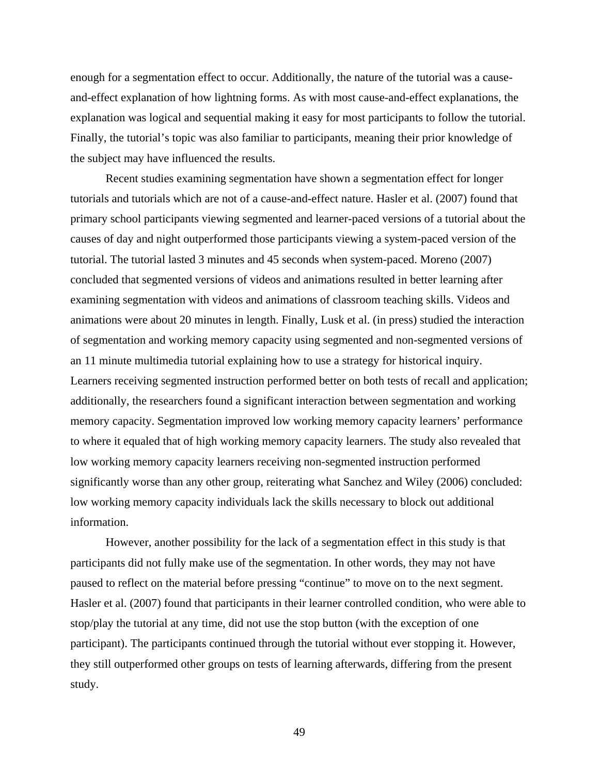enough for a segmentation effect to occur. Additionally, the nature of the tutorial was a causeand-effect explanation of how lightning forms. As with most cause-and-effect explanations, the explanation was logical and sequential making it easy for most participants to follow the tutorial. Finally, the tutorial's topic was also familiar to participants, meaning their prior knowledge of the subject may have influenced the results.

Recent studies examining segmentation have shown a segmentation effect for longer tutorials and tutorials which are not of a cause-and-effect nature. Hasler et al. (2007) found that primary school participants viewing segmented and learner-paced versions of a tutorial about the causes of day and night outperformed those participants viewing a system-paced version of the tutorial. The tutorial lasted 3 minutes and 45 seconds when system-paced. Moreno (2007) concluded that segmented versions of videos and animations resulted in better learning after examining segmentation with videos and animations of classroom teaching skills. Videos and animations were about 20 minutes in length. Finally, Lusk et al. (in press) studied the interaction of segmentation and working memory capacity using segmented and non-segmented versions of an 11 minute multimedia tutorial explaining how to use a strategy for historical inquiry. Learners receiving segmented instruction performed better on both tests of recall and application; additionally, the researchers found a significant interaction between segmentation and working memory capacity. Segmentation improved low working memory capacity learners' performance to where it equaled that of high working memory capacity learners. The study also revealed that low working memory capacity learners receiving non-segmented instruction performed significantly worse than any other group, reiterating what Sanchez and Wiley (2006) concluded: low working memory capacity individuals lack the skills necessary to block out additional information.

However, another possibility for the lack of a segmentation effect in this study is that participants did not fully make use of the segmentation. In other words, they may not have paused to reflect on the material before pressing "continue" to move on to the next segment. Hasler et al. (2007) found that participants in their learner controlled condition, who were able to stop/play the tutorial at any time, did not use the stop button (with the exception of one participant). The participants continued through the tutorial without ever stopping it. However, they still outperformed other groups on tests of learning afterwards, differing from the present study.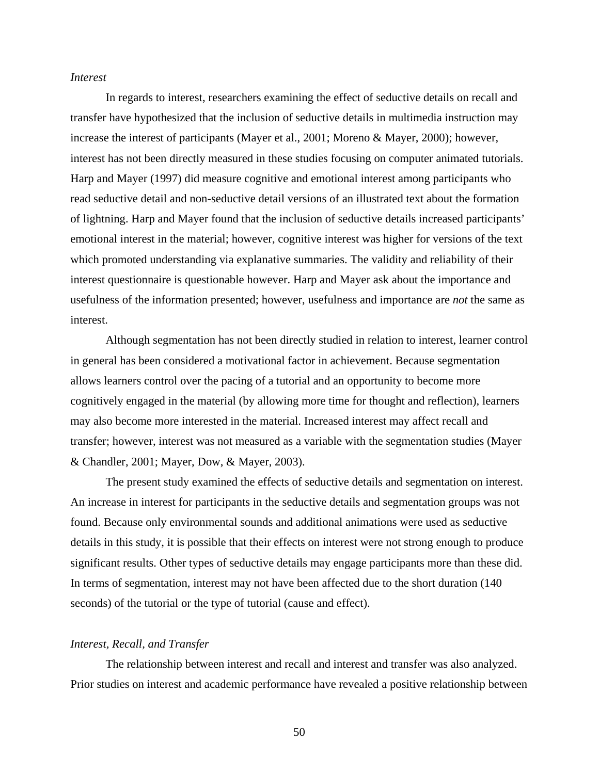## *Interest*

In regards to interest, researchers examining the effect of seductive details on recall and transfer have hypothesized that the inclusion of seductive details in multimedia instruction may increase the interest of participants (Mayer et al., 2001; Moreno & Mayer, 2000); however, interest has not been directly measured in these studies focusing on computer animated tutorials. Harp and Mayer (1997) did measure cognitive and emotional interest among participants who read seductive detail and non-seductive detail versions of an illustrated text about the formation of lightning. Harp and Mayer found that the inclusion of seductive details increased participants' emotional interest in the material; however, cognitive interest was higher for versions of the text which promoted understanding via explanative summaries. The validity and reliability of their interest questionnaire is questionable however. Harp and Mayer ask about the importance and usefulness of the information presented; however, usefulness and importance are *not* the same as interest.

Although segmentation has not been directly studied in relation to interest, learner control in general has been considered a motivational factor in achievement. Because segmentation allows learners control over the pacing of a tutorial and an opportunity to become more cognitively engaged in the material (by allowing more time for thought and reflection), learners may also become more interested in the material. Increased interest may affect recall and transfer; however, interest was not measured as a variable with the segmentation studies (Mayer & Chandler, 2001; Mayer, Dow, & Mayer, 2003).

The present study examined the effects of seductive details and segmentation on interest. An increase in interest for participants in the seductive details and segmentation groups was not found. Because only environmental sounds and additional animations were used as seductive details in this study, it is possible that their effects on interest were not strong enough to produce significant results. Other types of seductive details may engage participants more than these did. In terms of segmentation, interest may not have been affected due to the short duration (140 seconds) of the tutorial or the type of tutorial (cause and effect).

## *Interest, Recall, and Transfer*

The relationship between interest and recall and interest and transfer was also analyzed. Prior studies on interest and academic performance have revealed a positive relationship between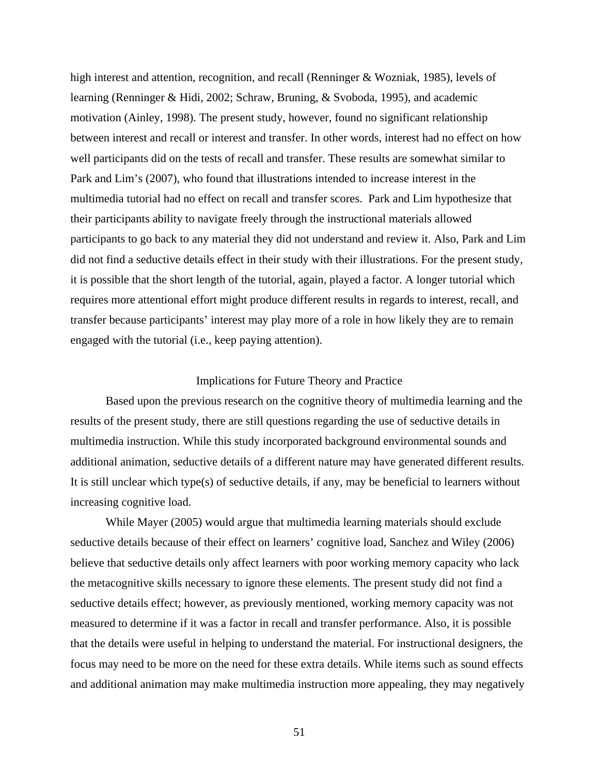high interest and attention, recognition, and recall (Renninger & Wozniak, 1985), levels of learning (Renninger & Hidi, 2002; Schraw, Bruning, & Svoboda, 1995), and academic motivation (Ainley, 1998). The present study, however, found no significant relationship between interest and recall or interest and transfer. In other words, interest had no effect on how well participants did on the tests of recall and transfer. These results are somewhat similar to Park and Lim's (2007), who found that illustrations intended to increase interest in the multimedia tutorial had no effect on recall and transfer scores. Park and Lim hypothesize that their participants ability to navigate freely through the instructional materials allowed participants to go back to any material they did not understand and review it. Also, Park and Lim did not find a seductive details effect in their study with their illustrations. For the present study, it is possible that the short length of the tutorial, again, played a factor. A longer tutorial which requires more attentional effort might produce different results in regards to interest, recall, and transfer because participants' interest may play more of a role in how likely they are to remain engaged with the tutorial (i.e., keep paying attention).

## Implications for Future Theory and Practice

 Based upon the previous research on the cognitive theory of multimedia learning and the results of the present study, there are still questions regarding the use of seductive details in multimedia instruction. While this study incorporated background environmental sounds and additional animation, seductive details of a different nature may have generated different results. It is still unclear which type(s) of seductive details, if any, may be beneficial to learners without increasing cognitive load.

While Mayer (2005) would argue that multimedia learning materials should exclude seductive details because of their effect on learners' cognitive load, Sanchez and Wiley (2006) believe that seductive details only affect learners with poor working memory capacity who lack the metacognitive skills necessary to ignore these elements. The present study did not find a seductive details effect; however, as previously mentioned, working memory capacity was not measured to determine if it was a factor in recall and transfer performance. Also, it is possible that the details were useful in helping to understand the material. For instructional designers, the focus may need to be more on the need for these extra details. While items such as sound effects and additional animation may make multimedia instruction more appealing, they may negatively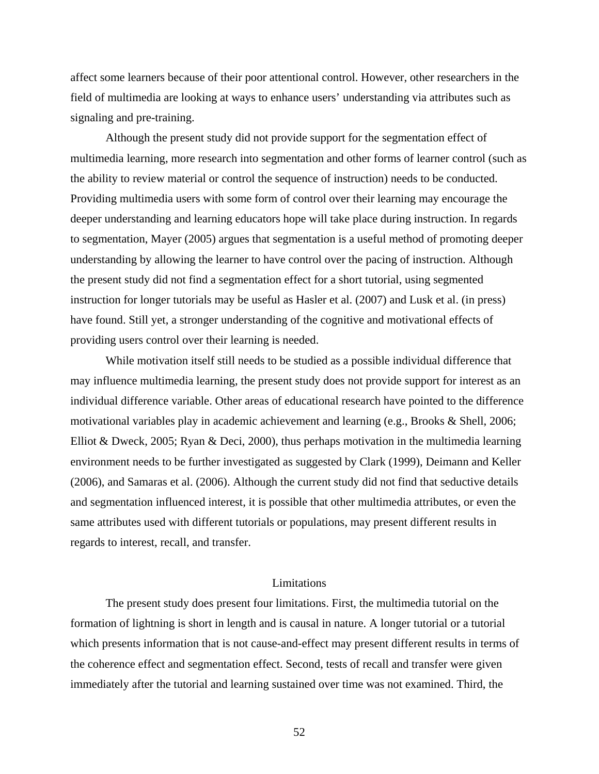affect some learners because of their poor attentional control. However, other researchers in the field of multimedia are looking at ways to enhance users' understanding via attributes such as signaling and pre-training.

 Although the present study did not provide support for the segmentation effect of multimedia learning, more research into segmentation and other forms of learner control (such as the ability to review material or control the sequence of instruction) needs to be conducted. Providing multimedia users with some form of control over their learning may encourage the deeper understanding and learning educators hope will take place during instruction. In regards to segmentation, Mayer (2005) argues that segmentation is a useful method of promoting deeper understanding by allowing the learner to have control over the pacing of instruction. Although the present study did not find a segmentation effect for a short tutorial, using segmented instruction for longer tutorials may be useful as Hasler et al. (2007) and Lusk et al. (in press) have found. Still yet, a stronger understanding of the cognitive and motivational effects of providing users control over their learning is needed.

 While motivation itself still needs to be studied as a possible individual difference that may influence multimedia learning, the present study does not provide support for interest as an individual difference variable. Other areas of educational research have pointed to the difference motivational variables play in academic achievement and learning (e.g., Brooks & Shell, 2006; Elliot & Dweck, 2005; Ryan & Deci, 2000), thus perhaps motivation in the multimedia learning environment needs to be further investigated as suggested by Clark (1999), Deimann and Keller (2006), and Samaras et al. (2006). Although the current study did not find that seductive details and segmentation influenced interest, it is possible that other multimedia attributes, or even the same attributes used with different tutorials or populations, may present different results in regards to interest, recall, and transfer.

# Limitations

The present study does present four limitations. First, the multimedia tutorial on the formation of lightning is short in length and is causal in nature. A longer tutorial or a tutorial which presents information that is not cause-and-effect may present different results in terms of the coherence effect and segmentation effect. Second, tests of recall and transfer were given immediately after the tutorial and learning sustained over time was not examined. Third, the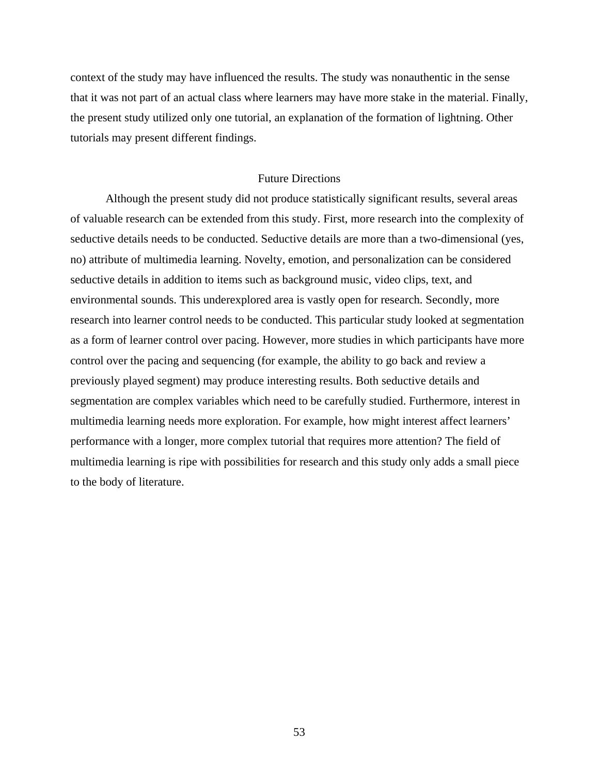context of the study may have influenced the results. The study was nonauthentic in the sense that it was not part of an actual class where learners may have more stake in the material. Finally, the present study utilized only one tutorial, an explanation of the formation of lightning. Other tutorials may present different findings.

# Future Directions

 Although the present study did not produce statistically significant results, several areas of valuable research can be extended from this study. First, more research into the complexity of seductive details needs to be conducted. Seductive details are more than a two-dimensional (yes, no) attribute of multimedia learning. Novelty, emotion, and personalization can be considered seductive details in addition to items such as background music, video clips, text, and environmental sounds. This underexplored area is vastly open for research. Secondly, more research into learner control needs to be conducted. This particular study looked at segmentation as a form of learner control over pacing. However, more studies in which participants have more control over the pacing and sequencing (for example, the ability to go back and review a previously played segment) may produce interesting results. Both seductive details and segmentation are complex variables which need to be carefully studied. Furthermore, interest in multimedia learning needs more exploration. For example, how might interest affect learners' performance with a longer, more complex tutorial that requires more attention? The field of multimedia learning is ripe with possibilities for research and this study only adds a small piece to the body of literature.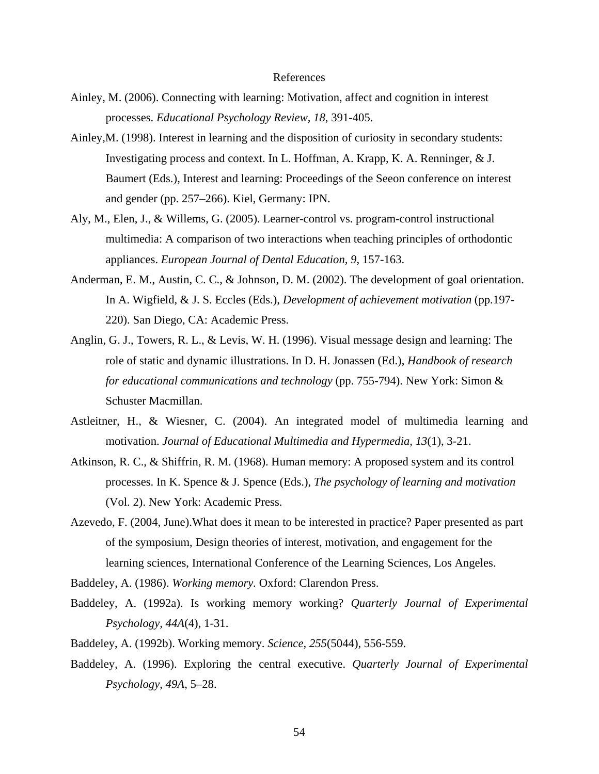#### References

- Ainley, M. (2006). Connecting with learning: Motivation, affect and cognition in interest processes. *Educational Psychology Review, 18,* 391-405.
- Ainley,M. (1998). Interest in learning and the disposition of curiosity in secondary students: Investigating process and context. In L. Hoffman, A. Krapp, K. A. Renninger, & J. Baumert (Eds.), Interest and learning: Proceedings of the Seeon conference on interest and gender (pp. 257–266). Kiel, Germany: IPN.
- Aly, M., Elen, J., & Willems, G. (2005). Learner-control vs. program-control instructional multimedia: A comparison of two interactions when teaching principles of orthodontic appliances. *European Journal of Dental Education, 9*, 157-163.
- Anderman, E. M., Austin, C. C., & Johnson, D. M. (2002). The development of goal orientation. In A. Wigfield, & J. S. Eccles (Eds.), *Development of achievement motivation* (pp.197- 220). San Diego, CA: Academic Press.
- Anglin, G. J., Towers, R. L., & Levis, W. H. (1996). Visual message design and learning: The role of static and dynamic illustrations. In D. H. Jonassen (Ed.), *Handbook of research for educational communications and technology* (pp. 755-794). New York: Simon & Schuster Macmillan.
- Astleitner, H., & Wiesner, C. (2004). An integrated model of multimedia learning and motivation. *Journal of Educational Multimedia and Hypermedia, 13*(1), 3-21.
- Atkinson, R. C., & Shiffrin, R. M. (1968). Human memory: A proposed system and its control processes. In K. Spence & J. Spence (Eds.), *The psychology of learning and motivation*  (Vol. 2). New York: Academic Press.
- Azevedo, F. (2004, June).What does it mean to be interested in practice? Paper presented as part of the symposium, Design theories of interest, motivation, and engagement for the learning sciences, International Conference of the Learning Sciences, Los Angeles.

Baddeley, A. (1986). *Working memory.* Oxford: Clarendon Press.

- Baddeley, A. (1992a). Is working memory working? *Quarterly Journal of Experimental Psychology, 44A*(4), 1-31.
- Baddeley, A. (1992b). Working memory. *Science, 255*(5044), 556-559.
- Baddeley, A. (1996). Exploring the central executive. *Quarterly Journal of Experimental Psychology*, *49A*, 5–28.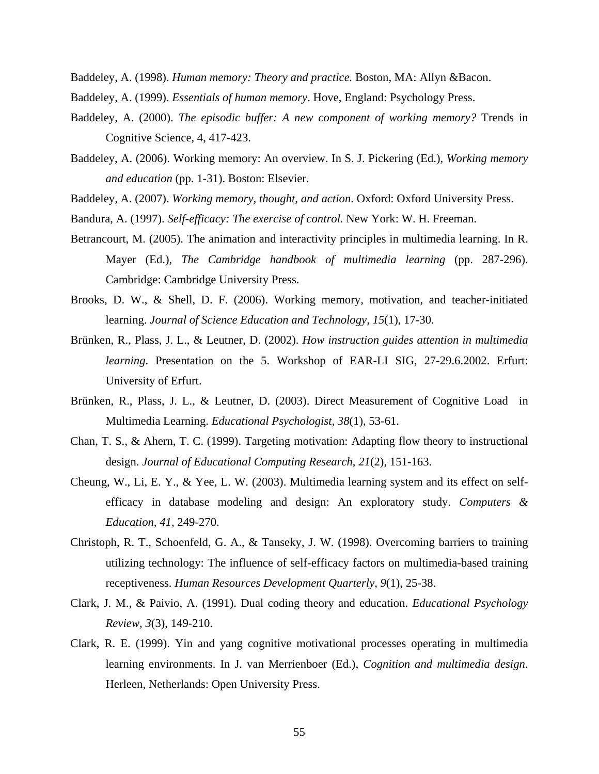Baddeley, A. (1998). *Human memory: Theory and practice.* Boston, MA: Allyn &Bacon.

- Baddeley, A. (1999). *Essentials of human memory*. Hove, England: Psychology Press.
- Baddeley, A. (2000). *The episodic buffer: A new component of working memory?* Trends in Cognitive Science, 4, 417-423.
- Baddeley, A. (2006). Working memory: An overview. In S. J. Pickering (Ed.), *Working memory and education* (pp. 1-31). Boston: Elsevier.
- Baddeley, A. (2007). *Working memory, thought, and action*. Oxford: Oxford University Press.
- Bandura, A. (1997). *Self-efficacy: The exercise of control.* New York: W. H. Freeman.
- Betrancourt, M. (2005). The animation and interactivity principles in multimedia learning. In R. Mayer (Ed.), *The Cambridge handbook of multimedia learning* (pp. 287-296). Cambridge: Cambridge University Press.
- Brooks, D. W., & Shell, D. F. (2006). Working memory, motivation, and teacher-initiated learning. *Journal of Science Education and Technology, 15*(1), 17-30.
- Brünken, R., Plass, J. L., & Leutner, D. (2002). *How instruction guides attention in multimedia learning*. Presentation on the 5. Workshop of EAR-LI SIG, 27-29.6.2002. Erfurt: University of Erfurt.
- Brünken, R., Plass, J. L., & Leutner, D. (2003). Direct Measurement of Cognitive Load in Multimedia Learning. *Educational Psychologist, 38*(1), 53-61.
- Chan, T. S., & Ahern, T. C. (1999). Targeting motivation: Adapting flow theory to instructional design. *Journal of Educational Computing Research, 21*(2), 151-163.
- Cheung, W., Li, E. Y., & Yee, L. W. (2003). Multimedia learning system and its effect on selfefficacy in database modeling and design: An exploratory study. *Computers & Education, 41,* 249-270.
- Christoph, R. T., Schoenfeld, G. A., & Tanseky, J. W. (1998). Overcoming barriers to training utilizing technology: The influence of self-efficacy factors on multimedia-based training receptiveness. *Human Resources Development Quarterly, 9*(1), 25-38.
- Clark, J. M., & Paivio, A. (1991). Dual coding theory and education. *Educational Psychology Review, 3*(3), 149-210.
- Clark, R. E. (1999). Yin and yang cognitive motivational processes operating in multimedia learning environments. In J. van Merrienboer (Ed.), *Cognition and multimedia design*. Herleen, Netherlands: Open University Press.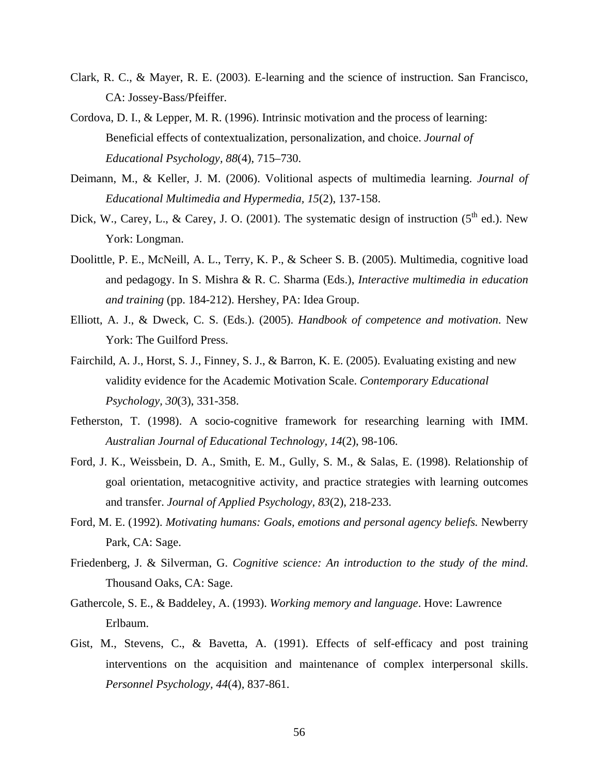- Clark, R. C., & Mayer, R. E. (2003). E-learning and the science of instruction. San Francisco, CA: Jossey-Bass/Pfeiffer.
- Cordova, D. I., & Lepper, M. R. (1996). Intrinsic motivation and the process of learning: Beneficial effects of contextualization, personalization, and choice. *Journal of Educational Psychology, 88*(4), 715–730.
- Deimann, M., & Keller, J. M. (2006). Volitional aspects of multimedia learning. *Journal of Educational Multimedia and Hypermedia, 15*(2), 137-158.
- Dick, W., Carey, L., & Carey, J. O. (2001). The systematic design of instruction ( $5<sup>th</sup>$  ed.). New York: Longman.
- Doolittle, P. E., McNeill, A. L., Terry, K. P., & Scheer S. B. (2005). Multimedia, cognitive load and pedagogy. In S. Mishra & R. C. Sharma (Eds.), *Interactive multimedia in education and training* (pp. 184-212). Hershey, PA: Idea Group.
- Elliott, A. J., & Dweck, C. S. (Eds.). (2005). *Handbook of competence and motivation*. New York: The Guilford Press.
- Fairchild, A. J., Horst, S. J., Finney, S. J., & Barron, K. E. (2005). Evaluating existing and new validity evidence for the Academic Motivation Scale. *Contemporary Educational Psychology, 30*(3), 331-358.
- Fetherston, T. (1998). A socio-cognitive framework for researching learning with IMM. *Australian Journal of Educational Technology, 14*(2), 98-106.
- Ford, J. K., Weissbein, D. A., Smith, E. M., Gully, S. M., & Salas, E. (1998). Relationship of goal orientation, metacognitive activity, and practice strategies with learning outcomes and transfer. *Journal of Applied Psychology, 83*(2), 218-233.
- Ford, M. E. (1992). *Motivating humans: Goals, emotions and personal agency beliefs.* Newberry Park, CA: Sage.
- Friedenberg, J. & Silverman, G. *Cognitive science: An introduction to the study of the mind*. Thousand Oaks, CA: Sage.
- Gathercole, S. E., & Baddeley, A. (1993). *Working memory and language*. Hove: Lawrence Erlbaum.
- Gist, M., Stevens, C., & Bavetta, A. (1991). Effects of self-efficacy and post training interventions on the acquisition and maintenance of complex interpersonal skills. *Personnel Psychology, 44*(4)*,* 837-861.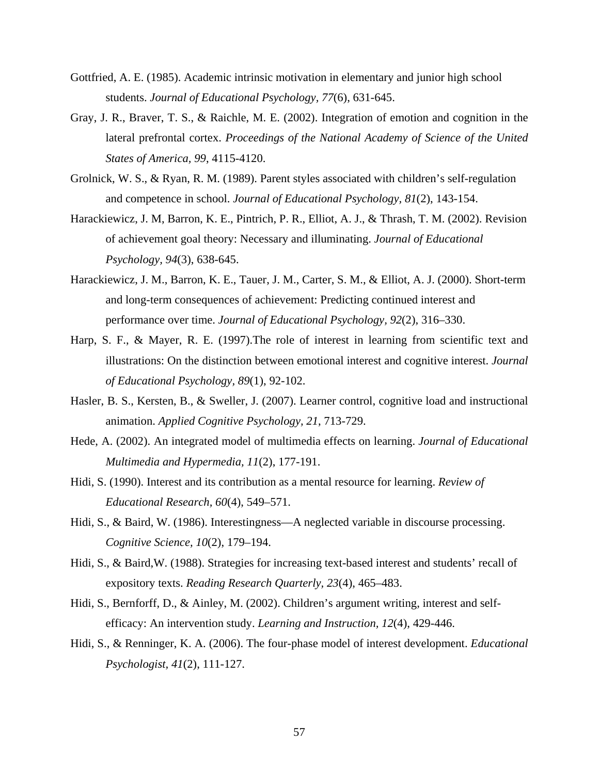- Gottfried, A. E. (1985). Academic intrinsic motivation in elementary and junior high school students. *Journal of Educational Psychology, 77*(6), 631-645.
- Gray, J. R., Braver, T. S., & Raichle, M. E. (2002). Integration of emotion and cognition in the lateral prefrontal cortex. *Proceedings of the National Academy of Science of the United States of America, 99*, 4115-4120.
- Grolnick, W. S., & Ryan, R. M. (1989). Parent styles associated with children's self-regulation and competence in school. *Journal of Educational Psychology, 81*(2), 143-154.
- Harackiewicz, J. M, Barron, K. E., Pintrich, P. R., Elliot, A. J., & Thrash, T. M. (2002). Revision of achievement goal theory: Necessary and illuminating. *Journal of Educational Psychology, 94*(3), 638-645.
- Harackiewicz, J. M., Barron, K. E., Tauer, J. M., Carter, S. M., & Elliot, A. J. (2000). Short-term and long-term consequences of achievement: Predicting continued interest and performance over time. *Journal of Educational Psychology, 92*(2), 316–330.
- Harp, S. F., & Mayer, R. E. (1997).The role of interest in learning from scientific text and illustrations: On the distinction between emotional interest and cognitive interest. *Journal of Educational Psychology, 89*(1), 92-102.
- Hasler, B. S., Kersten, B., & Sweller, J. (2007). Learner control, cognitive load and instructional animation. *Applied Cognitive Psychology, 21*, 713-729.
- Hede, A. (2002). An integrated model of multimedia effects on learning. *Journal of Educational Multimedia and Hypermedia, 11*(2), 177-191.
- Hidi, S. (1990). Interest and its contribution as a mental resource for learning. *Review of Educational Research, 60*(4), 549–571.
- Hidi, S., & Baird, W. (1986). Interestingness—A neglected variable in discourse processing. *Cognitive Science, 10*(2), 179–194.
- Hidi, S., & Baird,W. (1988). Strategies for increasing text-based interest and students' recall of expository texts. *Reading Research Quarterly, 23*(4), 465–483.
- Hidi, S., Bernforff, D., & Ainley, M. (2002). Children's argument writing, interest and selfefficacy: An intervention study. *Learning and Instruction, 12*(4), 429-446.
- Hidi, S., & Renninger, K. A. (2006). The four-phase model of interest development. *Educational Psychologist, 41*(2), 111-127.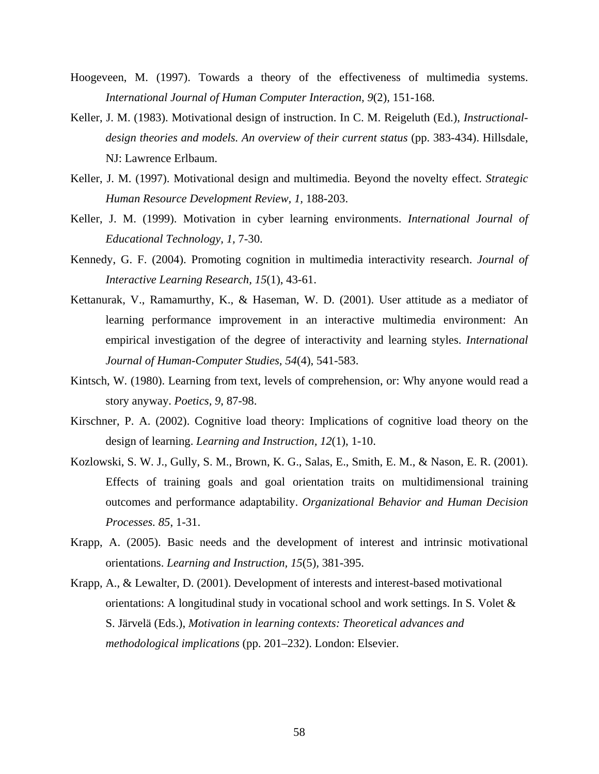- Hoogeveen, M. (1997). Towards a theory of the effectiveness of multimedia systems. *International Journal of Human Computer Interaction, 9*(2)*,* 151-168.
- Keller, J. M. (1983). Motivational design of instruction. In C. M. Reigeluth (Ed.), *Instructional*design theories and models. An overview of their current status (pp. 383-434). Hillsdale, NJ: Lawrence Erlbaum.
- Keller, J. M. (1997). Motivational design and multimedia. Beyond the novelty effect. *Strategic Human Resource Development Review, 1,* 188-203.
- Keller, J. M. (1999). Motivation in cyber learning environments. *International Journal of Educational Technology, 1,* 7-30.
- Kennedy, G. F. (2004). Promoting cognition in multimedia interactivity research. *Journal of Interactive Learning Research, 15*(1), 43-61.
- Kettanurak, V., Ramamurthy, K., & Haseman, W. D. (2001). User attitude as a mediator of learning performance improvement in an interactive multimedia environment: An empirical investigation of the degree of interactivity and learning styles. *International Journal of Human-Computer Studies, 54*(4), 541-583.
- Kintsch, W. (1980). Learning from text, levels of comprehension, or: Why anyone would read a story anyway. *Poetics, 9*, 87-98.
- Kirschner, P. A. (2002). Cognitive load theory: Implications of cognitive load theory on the design of learning. *Learning and Instruction, 12*(1), 1-10.
- Kozlowski, S. W. J., Gully, S. M., Brown, K. G., Salas, E., Smith, E. M., & Nason, E. R. (2001). Effects of training goals and goal orientation traits on multidimensional training outcomes and performance adaptability. *Organizational Behavior and Human Decision Processes. 85*, 1-31.
- Krapp, A. (2005). Basic needs and the development of interest and intrinsic motivational orientations. *Learning and Instruction, 15*(5)*,* 381-395.
- Krapp, A., & Lewalter, D. (2001). Development of interests and interest-based motivational orientations: A longitudinal study in vocational school and work settings. In S. Volet  $\&$ S. Järvelä (Eds.), *Motivation in learning contexts: Theoretical advances and methodological implications* (pp. 201–232). London: Elsevier.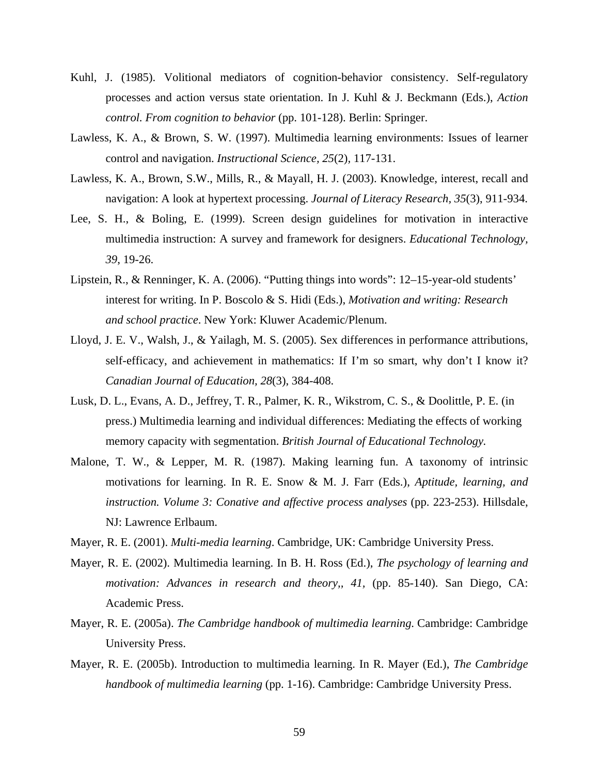- Kuhl, J. (1985). Volitional mediators of cognition-behavior consistency. Self-regulatory processes and action versus state orientation. In J. Kuhl & J. Beckmann (Eds.), *Action control. From cognition to behavior* (pp. 101-128). Berlin: Springer.
- Lawless, K. A., & Brown, S. W. (1997). Multimedia learning environments: Issues of learner control and navigation. *Instructional Science, 25*(2)*,* 117-131.
- Lawless, K. A., Brown, S.W., Mills, R., & Mayall, H. J. (2003). Knowledge, interest, recall and navigation: A look at hypertext processing. *Journal of Literacy Research, 35*(3), 911-934.
- Lee, S. H., & Boling, E. (1999). Screen design guidelines for motivation in interactive multimedia instruction: A survey and framework for designers. *Educational Technology, 39*, 19-26.
- Lipstein, R., & Renninger, K. A. (2006). "Putting things into words": 12–15-year-old students' interest for writing. In P. Boscolo & S. Hidi (Eds.), *Motivation and writing: Research and school practice*. New York: Kluwer Academic/Plenum.
- Lloyd, J. E. V., Walsh, J., & Yailagh, M. S. (2005). Sex differences in performance attributions, self-efficacy, and achievement in mathematics: If I'm so smart, why don't I know it? *Canadian Journal of Education, 28*(3), 384-408.
- Lusk, D. L., Evans, A. D., Jeffrey, T. R., Palmer, K. R., Wikstrom, C. S., & Doolittle, P. E. (in press.) Multimedia learning and individual differences: Mediating the effects of working memory capacity with segmentation. *British Journal of Educational Technology.*
- Malone, T. W., & Lepper, M. R. (1987). Making learning fun. A taxonomy of intrinsic motivations for learning. In R. E. Snow & M. J. Farr (Eds.), *Aptitude, learning, and instruction. Volume 3: Conative and affective process analyses* (pp. 223-253). Hillsdale, NJ: Lawrence Erlbaum.
- Mayer, R. E. (2001). *Multi-media learning*. Cambridge, UK: Cambridge University Press.
- Mayer, R. E. (2002). Multimedia learning. In B. H. Ross (Ed.), *The psychology of learning and motivation: Advances in research and theory,, 41,* (pp. 85-140). San Diego, CA: Academic Press.
- Mayer, R. E. (2005a). *The Cambridge handbook of multimedia learning*. Cambridge: Cambridge University Press.
- Mayer, R. E. (2005b). Introduction to multimedia learning. In R. Mayer (Ed.), *The Cambridge handbook of multimedia learning* (pp. 1-16). Cambridge: Cambridge University Press.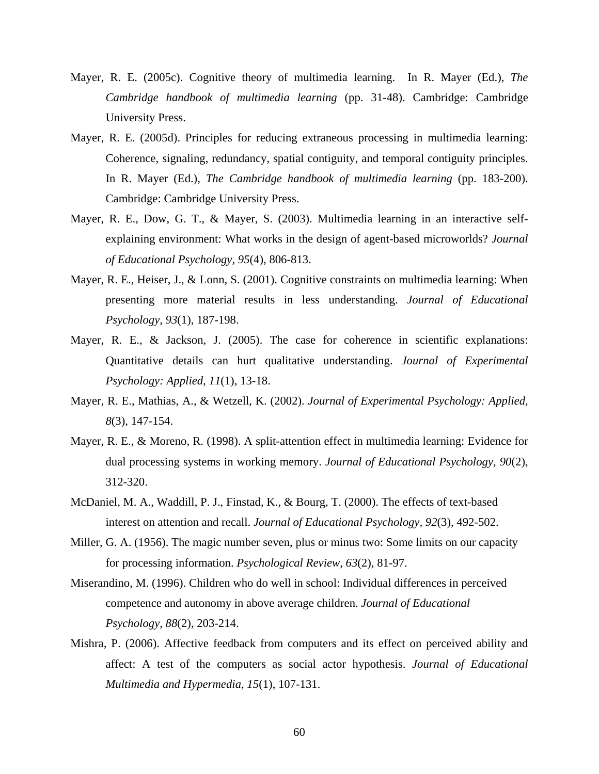- Mayer, R. E. (2005c). Cognitive theory of multimedia learning. In R. Mayer (Ed.), *The Cambridge handbook of multimedia learning* (pp. 31-48). Cambridge: Cambridge University Press.
- Mayer, R. E. (2005d). Principles for reducing extraneous processing in multimedia learning: Coherence, signaling, redundancy, spatial contiguity, and temporal contiguity principles. In R. Mayer (Ed.), *The Cambridge handbook of multimedia learning* (pp. 183-200). Cambridge: Cambridge University Press.
- Mayer, R. E., Dow, G. T., & Mayer, S. (2003). Multimedia learning in an interactive selfexplaining environment: What works in the design of agent-based microworlds? *Journal of Educational Psychology, 95*(4), 806-813.
- Mayer, R. E., Heiser, J., & Lonn, S. (2001). Cognitive constraints on multimedia learning: When presenting more material results in less understanding. *Journal of Educational Psychology, 93*(1), 187-198.
- Mayer, R. E., & Jackson, J. (2005). The case for coherence in scientific explanations: Quantitative details can hurt qualitative understanding. *Journal of Experimental Psychology: Applied, 11*(1), 13-18.
- Mayer, R. E., Mathias, A., & Wetzell, K. (2002). *Journal of Experimental Psychology: Applied, 8*(3), 147-154.
- Mayer, R. E., & Moreno, R. (1998). A split-attention effect in multimedia learning: Evidence for dual processing systems in working memory. *Journal of Educational Psychology, 90*(2), 312-320.
- McDaniel, M. A., Waddill, P. J., Finstad, K., & Bourg, T. (2000). The effects of text-based interest on attention and recall. *Journal of Educational Psychology, 92*(3), 492-502.
- Miller, G. A. (1956). The magic number seven, plus or minus two: Some limits on our capacity for processing information. *Psychological Review, 63*(2), 81-97.
- Miserandino, M. (1996). Children who do well in school: Individual differences in perceived competence and autonomy in above average children. *Journal of Educational Psychology, 88*(2)*,* 203-214.
- Mishra, P. (2006). Affective feedback from computers and its effect on perceived ability and affect: A test of the computers as social actor hypothesis. *Journal of Educational Multimedia and Hypermedia, 15*(1), 107-131.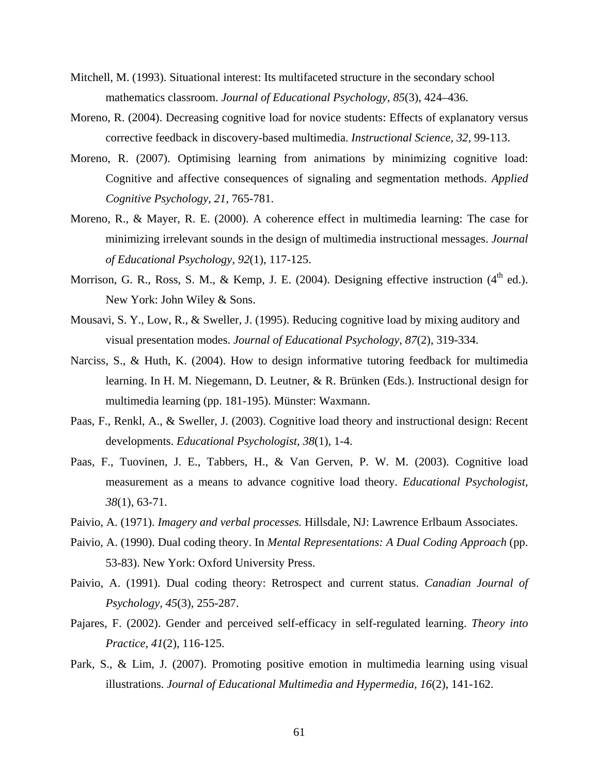- Mitchell, M. (1993). Situational interest: Its multifaceted structure in the secondary school mathematics classroom. *Journal of Educational Psychology, 85*(3), 424–436.
- Moreno, R. (2004). Decreasing cognitive load for novice students: Effects of explanatory versus corrective feedback in discovery-based multimedia. *Instructional Science, 32*, 99-113.
- Moreno, R. (2007). Optimising learning from animations by minimizing cognitive load: Cognitive and affective consequences of signaling and segmentation methods. *Applied Cognitive Psychology, 21*, 765-781.
- Moreno, R., & Mayer, R. E. (2000). A coherence effect in multimedia learning: The case for minimizing irrelevant sounds in the design of multimedia instructional messages. *Journal of Educational Psychology, 92*(1), 117-125.
- Morrison, G. R., Ross, S. M., & Kemp, J. E. (2004). Designing effective instruction  $(4<sup>th</sup>$  ed.). New York: John Wiley & Sons.
- Mousavi, S. Y., Low, R., & Sweller, J. (1995). Reducing cognitive load by mixing auditory and visual presentation modes. *Journal of Educational Psychology, 87*(2), 319-334.
- Narciss, S., & Huth, K. (2004). How to design informative tutoring feedback for multimedia learning. In H. M. Niegemann, D. Leutner, & R. Brünken (Eds.). Instructional design for multimedia learning (pp. 181-195). Münster: Waxmann.
- Paas, F., Renkl, A., & Sweller, J. (2003). Cognitive load theory and instructional design: Recent developments. *Educational Psychologist, 38*(1), 1-4.
- Paas, F., Tuovinen, J. E., Tabbers, H., & Van Gerven, P. W. M. (2003). Cognitive load measurement as a means to advance cognitive load theory. *Educational Psychologist, 38*(1), 63-71.
- Paivio, A. (1971). *Imagery and verbal processes.* Hillsdale, NJ: Lawrence Erlbaum Associates.
- Paivio, A. (1990). Dual coding theory. In *Mental Representations: A Dual Coding Approach* (pp. 53-83). New York: Oxford University Press.
- Paivio, A. (1991). Dual coding theory: Retrospect and current status. *Canadian Journal of Psychology, 45*(3), 255-287.
- Pajares, F. (2002). Gender and perceived self-efficacy in self-regulated learning. *Theory into Practice, 41*(2), 116-125.
- Park, S., & Lim, J. (2007). Promoting positive emotion in multimedia learning using visual illustrations. *Journal of Educational Multimedia and Hypermedia, 16*(2), 141-162.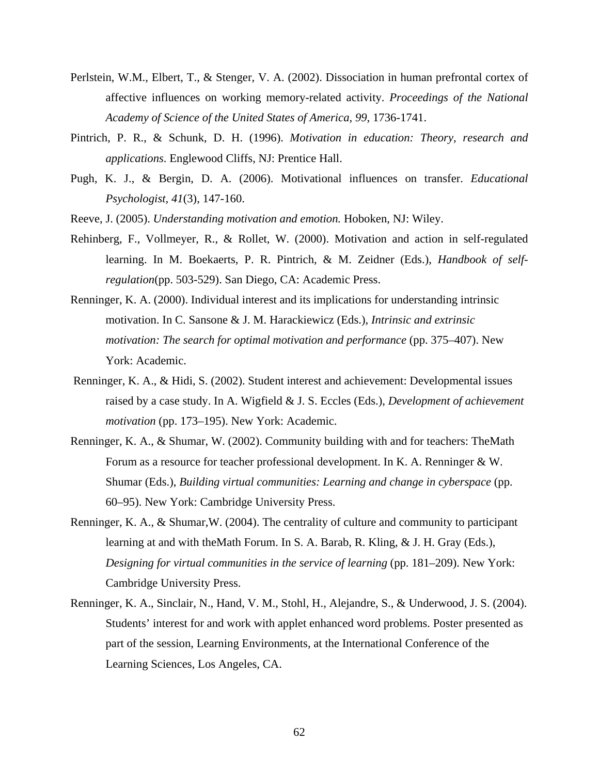- Perlstein, W.M., Elbert, T., & Stenger, V. A. (2002). Dissociation in human prefrontal cortex of affective influences on working memory-related activity. *Proceedings of the National Academy of Science of the United States of America, 99*, 1736-1741.
- Pintrich, P. R., & Schunk, D. H. (1996). *Motivation in education: Theory, research and applications*. Englewood Cliffs, NJ: Prentice Hall.
- Pugh, K. J., & Bergin, D. A. (2006). Motivational influences on transfer. *Educational Psychologist, 41*(3), 147-160.
- Reeve, J. (2005). *Understanding motivation and emotion.* Hoboken, NJ: Wiley.
- Rehinberg, F., Vollmeyer, R., & Rollet, W. (2000). Motivation and action in self-regulated learning. In M. Boekaerts, P. R. Pintrich, & M. Zeidner (Eds.), *Handbook of selfregulation*(pp. 503-529). San Diego, CA: Academic Press.
- Renninger, K. A. (2000). Individual interest and its implications for understanding intrinsic motivation. In C. Sansone & J. M. Harackiewicz (Eds.), *Intrinsic and extrinsic motivation: The search for optimal motivation and performance* (pp. 375–407). New York: Academic.
- Renninger, K. A., & Hidi, S. (2002). Student interest and achievement: Developmental issues raised by a case study. In A. Wigfield & J. S. Eccles (Eds.), *Development of achievement motivation* (pp. 173–195). New York: Academic.
- Renninger, K. A., & Shumar, W. (2002). Community building with and for teachers: TheMath Forum as a resource for teacher professional development. In K. A. Renninger & W. Shumar (Eds.), *Building virtual communities: Learning and change in cyberspace* (pp. 60–95). New York: Cambridge University Press.
- Renninger, K. A., & Shumar,W. (2004). The centrality of culture and community to participant learning at and with theMath Forum. In S. A. Barab, R. Kling, & J. H. Gray (Eds.), *Designing for virtual communities in the service of learning (pp. 181–209). New York:* Cambridge University Press.
- Renninger, K. A., Sinclair, N., Hand, V. M., Stohl, H., Alejandre, S., & Underwood, J. S. (2004). Students' interest for and work with applet enhanced word problems. Poster presented as part of the session, Learning Environments, at the International Conference of the Learning Sciences, Los Angeles, CA.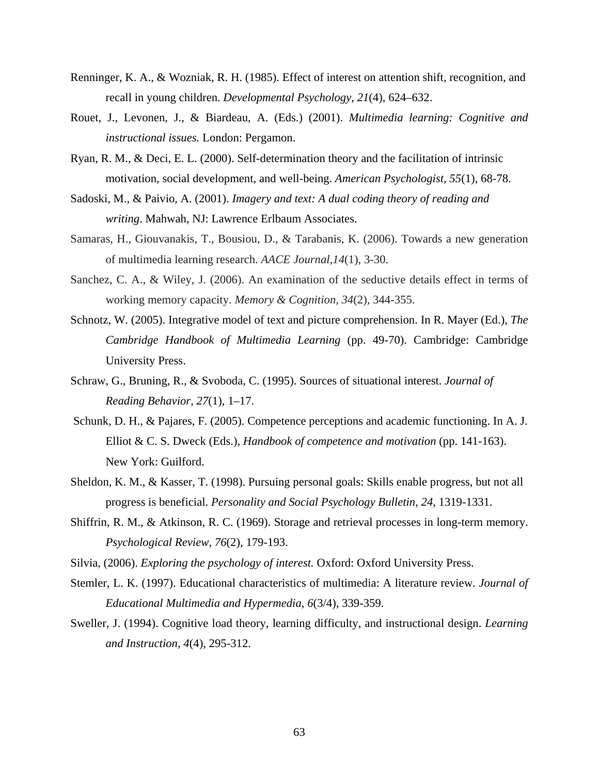- Renninger, K. A., & Wozniak, R. H. (1985). Effect of interest on attention shift, recognition, and recall in young children. *Developmental Psychology, 21*(4), 624–632.
- Rouet, J., Levonen, J., & Biardeau, A. (Eds.) (2001). *Multimedia learning: Cognitive and instructional issues.* London: Pergamon.
- Ryan, R. M., & Deci, E. L. (2000). Self-determination theory and the facilitation of intrinsic motivation, social development, and well-being. *American Psychologist, 55*(1), 68-78.
- Sadoski, M., & Paivio, A. (2001). *Imagery and text: A dual coding theory of reading and writing*. Mahwah, NJ: Lawrence Erlbaum Associates.
- Samaras, H., Giouvanakis, T., Bousiou, D., & Tarabanis, K. (2006). Towards a new generation of multimedia learning research. *AACE Journal,14*(1), 3-30.
- Sanchez, C. A., & Wiley, J. (2006). An examination of the seductive details effect in terms of working memory capacity. *Memory & Cognition, 34*(2), 344-355.
- Schnotz, W. (2005). Integrative model of text and picture comprehension. In R. Mayer (Ed.), *The Cambridge Handbook of Multimedia Learning* (pp. 49-70). Cambridge: Cambridge University Press.
- Schraw, G., Bruning, R., & Svoboda, C. (1995). Sources of situational interest. *Journal of Reading Behavior, 27*(1), 1–17.
- Schunk, D. H., & Pajares, F. (2005). Competence perceptions and academic functioning. In A. J. Elliot & C. S. Dweck (Eds.), *Handbook of competence and motivation* (pp. 141-163). New York: Guilford.
- Sheldon, K. M., & Kasser, T. (1998). Pursuing personal goals: Skills enable progress, but not all progress is beneficial. *Personality and Social Psychology Bulletin, 24*, 1319-1331.
- Shiffrin, R. M., & Atkinson, R. C. (1969). Storage and retrieval processes in long-term memory. *Psychological Review, 76*(2), 179-193.
- Silvia, (2006). *Exploring the psychology of interest.* Oxford: Oxford University Press.
- Stemler, L. K. (1997). Educational characteristics of multimedia: A literature review. *Journal of Educational Multimedia and Hypermedia, 6*(3/4), 339-359.
- Sweller, J. (1994). Cognitive load theory, learning difficulty, and instructional design. *Learning and Instruction, 4*(4), 295-312.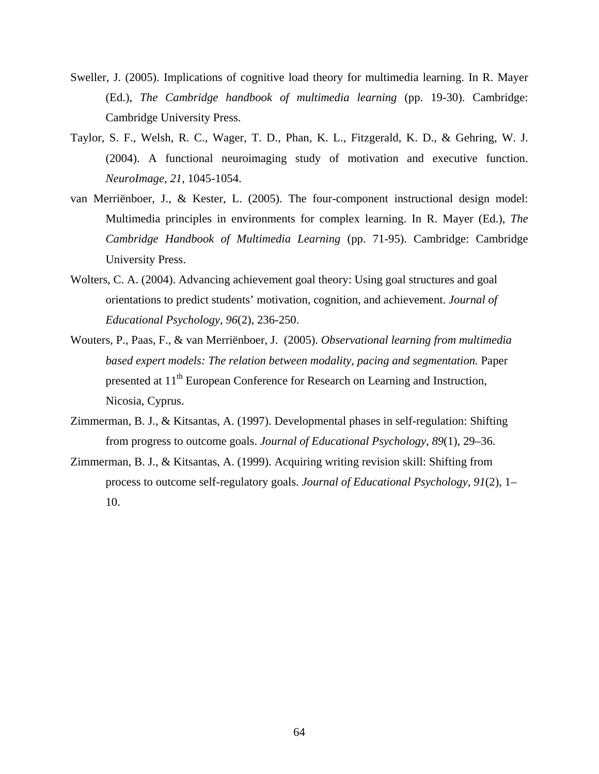- Sweller, J. (2005). Implications of cognitive load theory for multimedia learning. In R. Mayer (Ed.), *The Cambridge handbook of multimedia learning* (pp. 19-30). Cambridge: Cambridge University Press.
- Taylor, S. F., Welsh, R. C., Wager, T. D., Phan, K. L., Fitzgerald, K. D., & Gehring, W. J. (2004). A functional neuroimaging study of motivation and executive function. *NeuroImage, 21*, 1045-1054.
- van Merriënboer, J., & Kester, L. (2005). The four-component instructional design model: Multimedia principles in environments for complex learning. In R. Mayer (Ed.), *The Cambridge Handbook of Multimedia Learning* (pp. 71-95). Cambridge: Cambridge University Press.
- Wolters, C. A. (2004). Advancing achievement goal theory: Using goal structures and goal orientations to predict students' motivation, cognition, and achievement. *Journal of Educational Psychology, 96*(2), 236-250.
- Wouters, P., Paas, F., & van Merriënboer, J. (2005). *Observational learning from multimedia based expert models: The relation between modality, pacing and segmentation.* Paper presented at 11<sup>th</sup> European Conference for Research on Learning and Instruction, Nicosia, Cyprus.
- Zimmerman, B. J., & Kitsantas, A. (1997). Developmental phases in self-regulation: Shifting from progress to outcome goals. *Journal of Educational Psychology, 89*(1), 29–36.
- Zimmerman, B. J., & Kitsantas, A. (1999). Acquiring writing revision skill: Shifting from process to outcome self-regulatory goals. *Journal of Educational Psychology, 91*(2), 1– 10.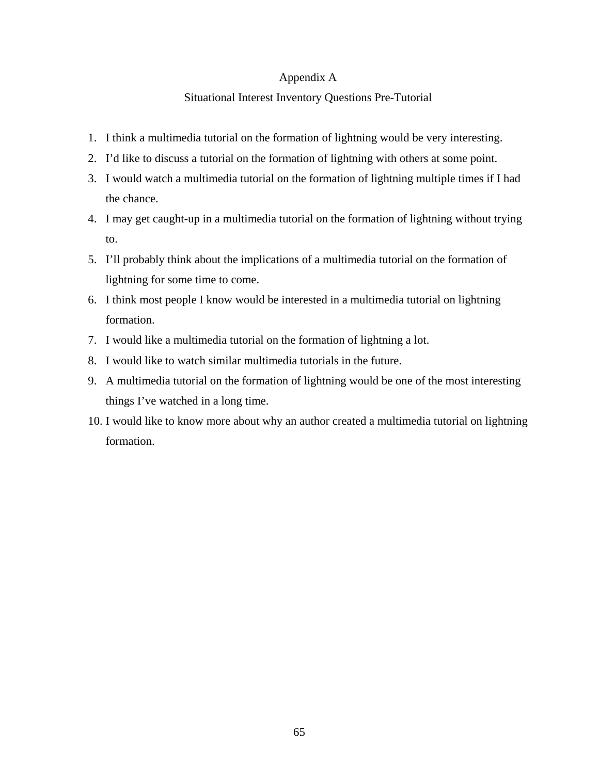# Appendix A

# Situational Interest Inventory Questions Pre-Tutorial

- 1. I think a multimedia tutorial on the formation of lightning would be very interesting.
- 2. I'd like to discuss a tutorial on the formation of lightning with others at some point.
- 3. I would watch a multimedia tutorial on the formation of lightning multiple times if I had the chance.
- 4. I may get caught-up in a multimedia tutorial on the formation of lightning without trying to.
- 5. I'll probably think about the implications of a multimedia tutorial on the formation of lightning for some time to come.
- 6. I think most people I know would be interested in a multimedia tutorial on lightning formation.
- 7. I would like a multimedia tutorial on the formation of lightning a lot.
- 8. I would like to watch similar multimedia tutorials in the future.
- 9. A multimedia tutorial on the formation of lightning would be one of the most interesting things I've watched in a long time.
- 10. I would like to know more about why an author created a multimedia tutorial on lightning formation.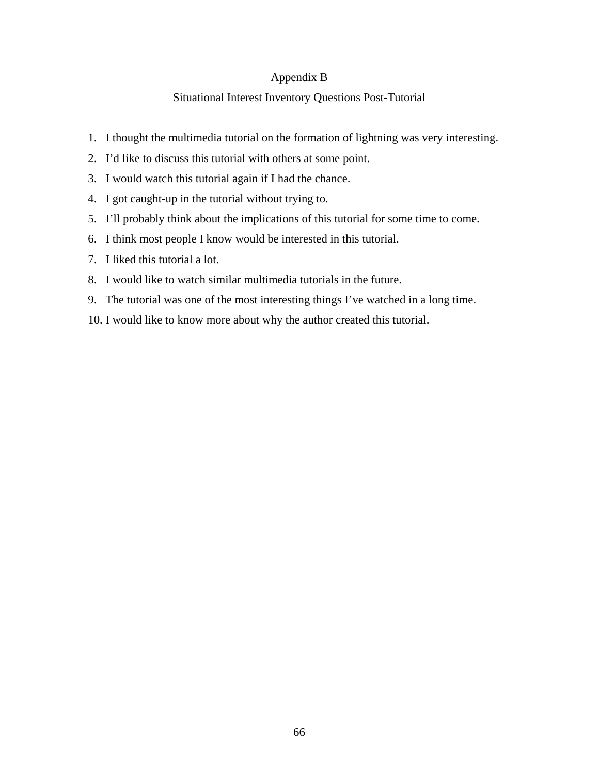# Appendix B

# Situational Interest Inventory Questions Post-Tutorial

- 1. I thought the multimedia tutorial on the formation of lightning was very interesting.
- 2. I'd like to discuss this tutorial with others at some point.
- 3. I would watch this tutorial again if I had the chance.
- 4. I got caught-up in the tutorial without trying to.
- 5. I'll probably think about the implications of this tutorial for some time to come.
- 6. I think most people I know would be interested in this tutorial.
- 7. I liked this tutorial a lot.
- 8. I would like to watch similar multimedia tutorials in the future.
- 9. The tutorial was one of the most interesting things I've watched in a long time.
- 10. I would like to know more about why the author created this tutorial.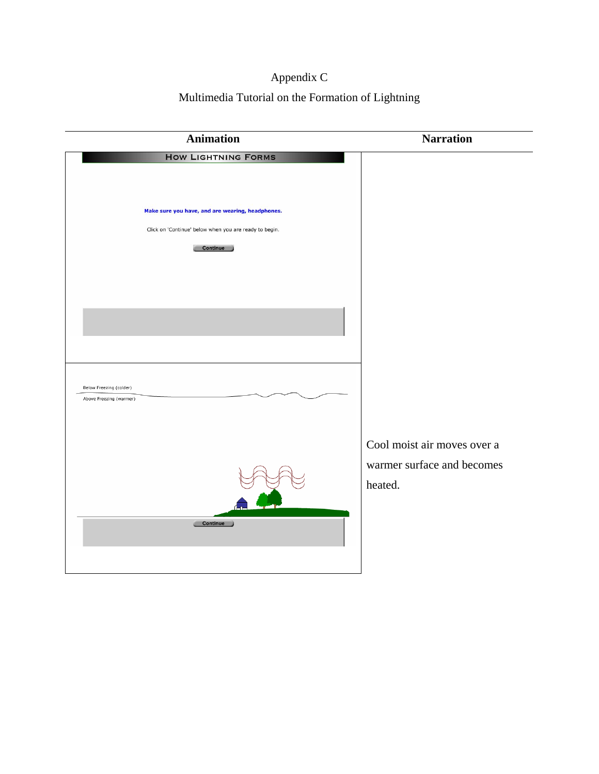## Appendix C

Multimedia Tutorial on the Formation of Lightning

| <b>Animation</b>                                                                                                              | <b>Narration</b>                                                     |
|-------------------------------------------------------------------------------------------------------------------------------|----------------------------------------------------------------------|
| <b>HOW LIGHTNING FORMS</b>                                                                                                    |                                                                      |
| Make sure you have, and are wearing, headphones.<br>Click on 'Continue' below when you are ready to begin.<br><b>Continue</b> |                                                                      |
| Below Freezing (colder)                                                                                                       |                                                                      |
| Above Freezing (warmer)                                                                                                       | Cool moist air moves over a<br>warmer surface and becomes<br>heated. |
| Continue                                                                                                                      |                                                                      |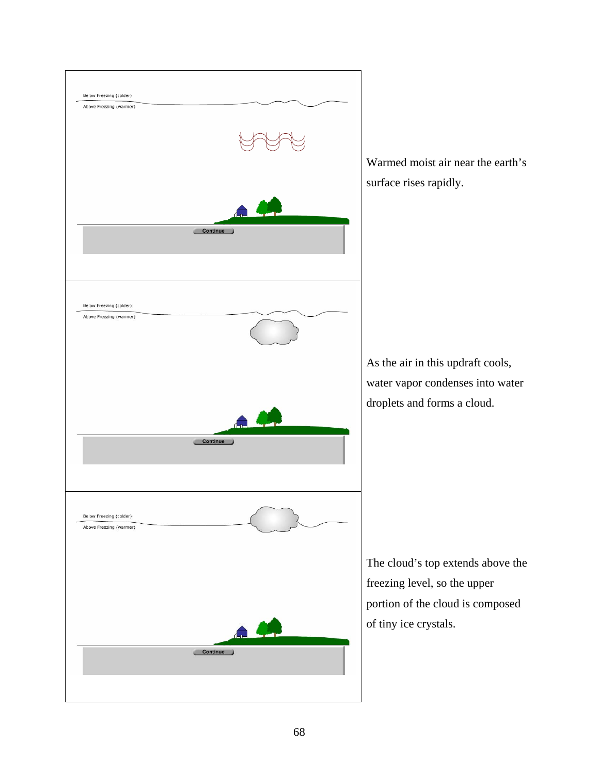

Warmed moist air near the earth's surface rises rapidly.

As the air in this updraft cools, water vapor condenses into water droplets and forms a cloud.

The cloud's top extends above the freezing level, so the upper portion of the cloud is composed of tiny ice crystals.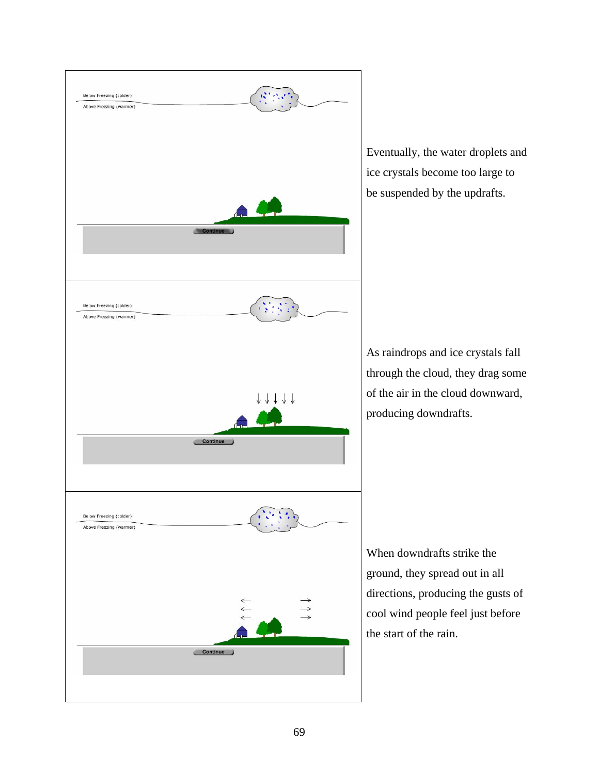

Eventually, the water droplets and ice crystals become too large to be suspended by the updrafts.

As raindrops and ice crystals fall through the cloud, they drag some of the air in the cloud downward, producing downdrafts.

When downdrafts strike the ground, they spread out in all directions, producing the gusts of cool wind people feel just before the start of the rain.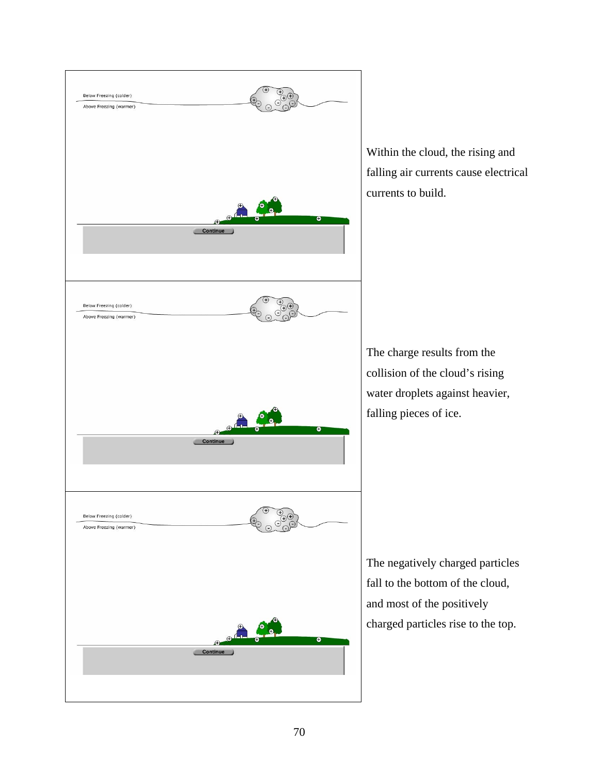

Within the cloud, the rising and falling air currents cause electrical currents to build.

The charge results from the collision of the cloud's rising water droplets against heavier, falling pieces of ice.

The negatively charged particles fall to the bottom of the cloud, and most of the positively charged particles rise to the top.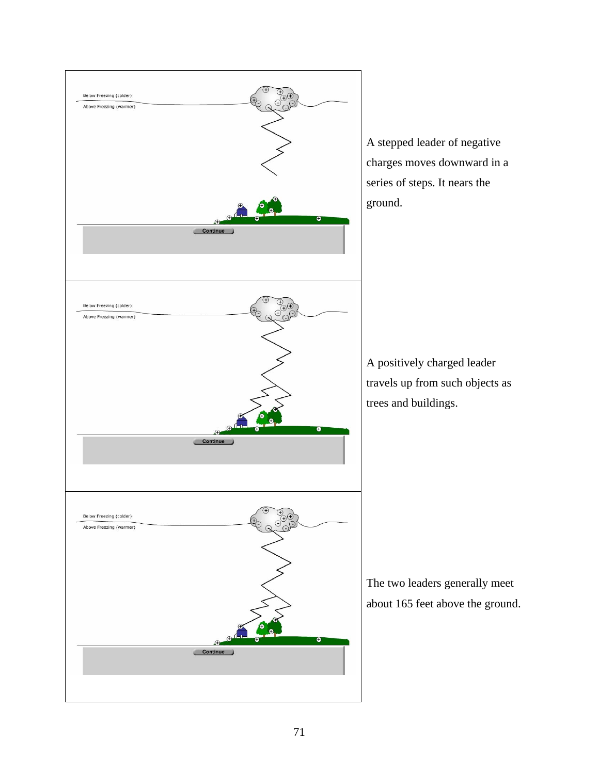

A stepped leader of negative charges moves downward in a series of steps. It nears the ground.

A positively charged leader travels up from such objects as trees and buildings.

The two leaders generally meet about 165 feet above the ground.